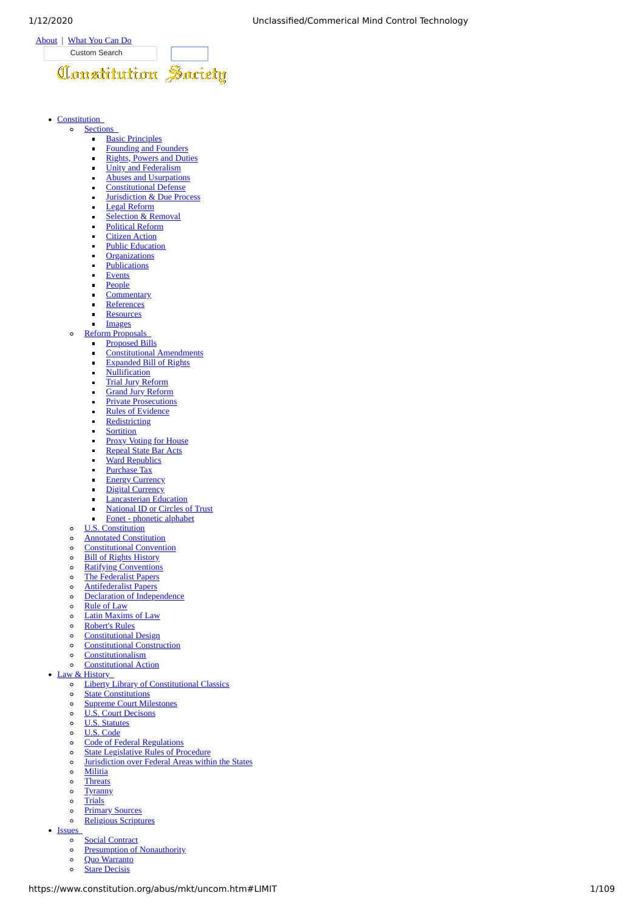

#### • Constitution  $\sim$

- **Sections [Basic Principles](https://constitution.org/cs_basic.htm)**  $\blacksquare$ 
	-
	- [Founding and Founders](https://constitution.org/cs_found.htm) [Rights, Powers and Duties](https://constitution.org/cs_power.htm)  $\blacksquare$
	- [Unity and Federalism](https://constitution.org/cs_feder.htm)  $\blacksquare$
	- [Abuses and Usurpations](https://constitution.org/cs_abuse.htm)
	- [Constitutional Defense](https://constitution.org/cs_defen.htm)
	- [Jurisdiction & Due Process](https://constitution.org/cs_duepr.htm)
	- [Legal Reform](https://constitution.org/cs_legal.htm)
	- [Selection & Removal](https://constitution.org/cs_elect.htm)  $\blacksquare$
	- $\overline{a}$
	- [Political Reform](https://constitution.org/cs_polit.htm)
	- **[Citizen Action](https://constitution.org/cs_civic.htm)**
	- [Public Education](https://constitution.org/cs_pubed.htm)
	- **[Organizations](https://constitution.org/cs_organ.htm)**
	- **[Publications](https://constitution.org/cs_publi.htm)** ÷
	- [Events](https://constitution.org/cs_event.htm)
	- [People](https://constitution.org/cs_peopl.htm)
	- [Commentary](https://constitution.org/cs_comnt.htm)
	- **[References](https://constitution.org/cs_refer.htm)**  $\blacksquare$
	- **[Resources](https://constitution.org/cs_resou.htm)**  $\blacksquare$
	- $\blacksquare$ [Images](https://constitution.org/cs_image.htm)

 $\circ$ 

- **Reform Proposals** 
	- [Proposed Bills](http://jonroland.net/proposed_bills)  $\blacksquare$
	- [Constitutional Amendments](https://constitution.org/reform/us/con_amend.htm)  $\blacksquare$
	- $\blacksquare$ [Expanded Bill of Rights](http://constitutionalism.blogspot.com/2012/07/list-of-constitutional-rights.html)
	- **[Nullification](https://constitution.org/reform/us/tx/nullification/nullcomm.htm)**
	- [Trial Jury Reform](https://constitution.org/jury/pj/pj-us.htm)
	- [Grand Jury Reform](https://constitution.org/jury/gj/gj-us.htm)
	- [Private Prosecutions](https://constitution.org/uslaw/privpros.htm)
	- [Rules of Evidence](http://constitutionalism.blogspot.com/2011/02/amend-federal-rules-of-evidence.html)  $\blacksquare$
	- j. **[Redistricting](https://constitution.org/reform/us/tx/redistrict/cnpr.htm)**
	- **[Sortition](https://constitution.org/elec/sortition.htm)**
	- [Proxy Voting for House](https://constitution.org/voting/proxy_voting.htm)
	- [Repeal State Bar Acts](https://constitution.org/reform/us/statebar.htm)
	- **[Ward Republics](https://constitution.org/reform/us/ward_republic.html)**  $\blacksquare$
	- ÷. [Purchase Tax](https://constitution.org/tax/us-ic/cmt/purchasetax.htm)
	- **[Energy Currency](https://constitution.org/enercur.htm)** j.
	- [Digital Currency](https://constitution.org/digicoin.htm)
	-
	- [Lancasterian Education](https://constitution.org/lanc/monitorial.htm)  $\blacksquare$
	- [National ID or Circles of Trust](https://constitution.org/col/id_trust.htm)  $\sim$
- [Fonet phonetic alphabet](https://constitution.org/reform/spelling/fonet.html)
- [U.S. Constitution](https://constitution.org/constit_.htm)  $\circ$
- [Annotated Constitution](https://constitution.org/cons/GPO-CONAN-2002.pdf)  $\circ$
- $\alpha$ [Constitutional Convention](https://constitution.org/dfc/dfc_0000.htm)
- [Bill of Rights History](https://constitution.org/dhbr.htm)  $\circ$
- [Ratifying Conventions](https://constitution.org/elliot.htm)  $\circ$
- [The Federalist Papers](https://constitution.org/fed/federa00.htm)  $\circ$
- 
- $\circ$ [Antifederalist Papers](https://constitution.org/afp.htm)
- $\circ$ [Declaration of Independence](https://constitution.org/us_doi.htm)
- $\circ$ [Rule of Law](https://constitution.org/cons/rule_law.html)
- [Latin Maxims of Law](https://constitution.org/bouv/bouvier_m.htm#maxim)  $\circ$
- [Robert's Rules](https://constitution.org/rror/rror--00.htm)  $\circ$
- $\circ$ [Constitutional Design](https://constitution.org/cons/con_design.html)
- $\circ$ [Constitutional Construction](https://constitution.org/cons/prin_cons.htm)
- **[Constitutionalism](https://constitution.org/constitutionalism.htm)**  $\circ$
- [Constitutional Action](https://constitution.org/cons/con_action.html)  $\circ$
- Law & History
	- [Liberty Library of Constitutional Classics](https://constitution.org/liberlib.htm)  $\sim$
	- $\circ$ **[State Constitutions](https://www.constitution.org/abus/cons/usstcons.htm)**
	- [Supreme Court Milestones](https://constitution.org/ussc/ussc_milestones.html)  $\circ$
	- [U.S. Court Decisons](https://constitution.org/court_decisions.htm)  $\circ$
	- [U.S. Statutes](https://constitution.org/uslaw/sal/sal.htm)  $\circ$
	- [U.S. Code](http://www.law.cornell.edu/uscode/)  $\sim$
	- $\circ$ [Code of Federal Regulations](http://ecfr.gpoaccess.gov/)
	- [State Legislative Rules of Procedure](https://constitution.org/parlpro/us_state_leg_rule.htm)  $\circ$
	- [Jurisdiction over Federal Areas within the States](https://constitution.org/juris/fjur/fed_jur.htm)  $\circ$
	- **[Militia](https://constitution.org/mil/cs_milit.htm)**  $\circ$
	- $\circ$ **[Threats](https://constitution.org/threats.htm)**
	- $\circ$ **[Tyranny](https://constitution.org/tyranny.htm)**
	- $\circ$ **[Trials](https://constitution.org/trials/trials.htm)**
	- **[Primary Sources](https://constitution.org/primarysources/primarysources.html)**  $\circ$
	- [Religious Scriptures](https://constitution.org/scriptur.htm)  $\circ$
- **Issues** 
	- $\circ$ **[Social Contract](https://constitution.org/soclcont.htm)**
	- [Presumption of Nonauthority](https://constitution.org/9ll/schol/pnur.htm)  $\circ$
	- [Quo Warranto](https://constitution.org/writ/quo_warranto.htm)  $\circ$
	- $\circ$ **[Stare Decisis](https://constitution.org/col/0610staredrift.htm)**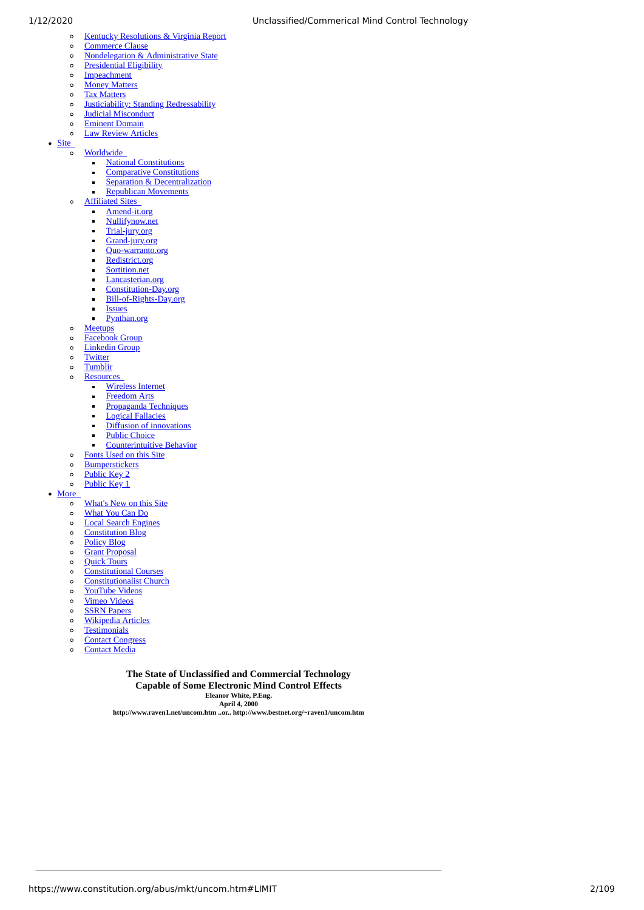- [Kentucky Resolutions & Virginia Report](https://constitution.org/rf/vr.htm) [Commerce Clause](https://constitution.org/col/02729_fed-usurp.htm)  $\circ$
- [Nondelegation & Administrative State](https://constitution.org/ad_state/ad_state.htm)  $\circ$ 
	- [Presidential Eligibility](https://constitution.org/abus/pres_elig.htm)
- $\circ$  $\circ$
- [Impeachment](https://constitution.org/cmt/impeach.htm)  $\circ$ **[Money Matters](https://constitution.org/cs_money.htm)**
- [Tax Matters](https://constitution.org/cs_taxes.htm)  $\circ$
- $\circ$
- **[Justiciability: Standing Redressability](https://constitution.org/duepr/standing/standing.htm)**
- [Judicial Misconduct](https://constitution.org/duepr/judicial/judmiscon.htm)  $\circ$  $\circ$
- [Eminent Domain](https://constitution.org/proppriv/e-domain/dub-dom.html) [Law Review Articles](https://constitution.org/lrev/lrev.htm)
- $\circ$

• Site  $\circ$ 

 $\circ$ 

- **Worldwide**  $\blacksquare$ 
	- [National Constitutions](https://constitution.org/cons/natlcons.htm)  $\blacksquare$
	- **[Comparative Constitutions](http://www.comparativeconstitutions.org/)** [Separation & Decentralization](https://constitution.org/cs_separ.htm)  $\blacksquare$
	- [Republican Movements](https://constitution.org/cs_repub.htm)  $\blacksquare$
	- Affiliated Sites
	- $\blacksquare$ 
		- [Amend-it.org](http://amend-it.org/)  $\blacksquare$ [Nullifynow.net](http://nullifynow.net/)
		- $\blacksquare$ [Trial-jury.org](http://trial-jury.org/)
		- $\blacksquare$
		- [Grand-jury.org](http://grand-jury.org/)  $\blacksquare$
		- [Quo-warranto.org](http://quo-warranto.org/)  $\mathbf{r}$
		- [Redistrict.org](http://redistrict.org/) [Sortition.net](http://sortition.net/)
		- j. [Lancasterian.org](http://lancasterian.org/)
		- $\blacksquare$
		- [Constitution-Day.org](http://constitution-day.org/)  $\blacksquare$ [Bill-of-Rights-Day.org](http://bill-of-rights-day.org/)
	- $\overline{a}$
	- **Issues**  $\blacksquare$ [Pynthan.org](http://pynthan.org/)
- 
- $\circ$ **[Meetups](http://meetup.com/constitution)**
- [Facebook Group](http://www.facebook.com/group.php?gid=103746176345169)  $\circ$  $\circ$
- [Linkedin Group](http://www.linkedin.com/groups/Constitution-Society-4043688?home=&gid=4043688&trk=anet_ug_hm)
- $\circ$ **[Twitter](http://twitter.com/lex_rex) [Tumblir](http://www.tumblr.com/blog/lexrex)**  $\circ$
- $\circ$ [Resources](javascript:void(1)) 
	- - [Wireless Internet](https://constitution.org/wipnet/wipnet.htm)  $\blacksquare$  $\mathbf{r}$
		- [Freedom Arts](https://constitution.org/cs_arts.htm)
		- [Propaganda Techniques](https://constitution.org/col/propaganda_army.htm)  $\blacksquare$
		- [Logical Fallacies](https://constitution.org/col/logical_fallacies.htm)  $\blacksquare$
		- [Diffusion of innovations](https://constitution.org/col/03317_diffusion.htm)  $\blacksquare$
		- [Public Choice](https://constitution.org/pd/pd.htm)  $\blacksquare$
		- $\blacksquare$ [Counterintuitive Behavior](https://constitution.org/ps/cbss.pdf)
	- [Fonts Used on this Site](https://constitution.org/fonts/fonts.htm)
- $\circ$ **[Bumperstickers](http://www.libertystickers.com/category/american-constitution/)**
- $\circ$ [Public Key 2](https://constitution.org/jrpubkey.asc)
- $\circ$ [Public Key 1](https://constitution.org/jonroland.txt)

[More](javascript:void(1)) 

 $\circ$ 

- [What's New on this Site](https://constitution.org/whatsnew.htm)  $\circ$
- [What You Can Do](https://www.constitution.org/abus/mkt/whatucando.htm)  $\circ$
- [Local Search Engines](https://constitution.org/search.htm)  $\circ$
- **[Constitution Blog](http://constitutionalism.blogspot.com/)**  $\circ$
- $\circ$ [Policy Blog](http://obitur-dictum.blogspot.com/)
- 
- [Grant Proposal](https://constitution.org/donate/grant_proposal.htm)  $\circ$
- [Quick Tours](https://constitution.org/tours.htm)  $\circ$
- [Constitutional Courses](http://constitutional-courses.org/)  $\circ$
- [Constitutionalist Church](http://constitutionalist-church.org/)  $\circ$
- $\circ$ [YouTube Videos](http://www.youtube.com/user/JonRoland1787)
- [Vimeo Videos](http://vimeo.com/groups/25589/videos)  $\circ$
- [SSRN Papers](http://hq.ssrn.com/GroupProcesses/RedirectClick.cfm?partid=486529&corid=649&runid=5231&url=http://ssrn.com/author=486529)  $\circ$
- [Wikipedia Articles](https://constitution.org/refer/wikipedia.htm)  $\circ$
- $\circ$ **[Testimonials](https://constitution.org/cmt/testimonials.htm)**
- $\circ$ [Contact Congress](http://www.votesmart.org/official_congress.php)
- $\circ$ [Contact Media](http://www.congress.org/congressorg/dbq/media/)
- 

**The State of Unclassified and Commercial Technology Capable of Some Electronic Mind Control Effects Eleanor White, P.Eng. April 4, 2000**

**http://www.raven1.net/uncom.htm ..or.. http://www.bestnet.org/~raven1/uncom.htm**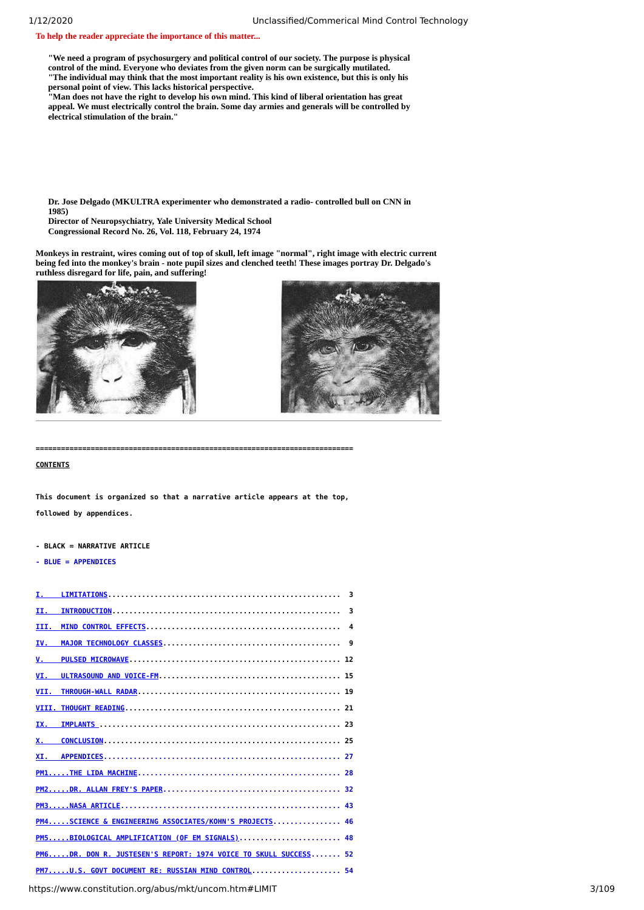**To help the reader appreciate the importance of this matter...**

**"We need a program of psychosurgery and political control of our society. The purpose is physical control of the mind. Everyone who deviates from the given norm can be surgically mutilated. "The individual may think that the most important reality is his own existence, but this is only his personal point of view. This lacks historical perspective.** 

**"Man does not have the right to develop his own mind. This kind of liberal orientation has great appeal. We must electrically control the brain. Some day armies and generals will be controlled by electrical stimulation of the brain."**

**Dr. Jose Delgado (MKULTRA experimenter who demonstrated a radio- controlled bull on CNN in 1985)**

**Director of Neuropsychiatry, Yale University Medical School Congressional Record No. 26, Vol. 118, February 24, 1974**

**Monkeys in restraint, wires coming out of top of skull, left image "normal", right image with electric current being fed into the monkey's brain - note pupil sizes and clenched teeth! These images portray Dr. Delgado's ruthless disregard for life, pain, and suffering!**



**===========================================================================**

<span id="page-2-0"></span>**CONTENTS**

**This document is organized so that a narrative article appears at the top, followed by appendices.**

**- BLACK = NARRATIVE ARTICLE**

**- BLUE = APPENDICES**

| 3                                                                                                           |  |
|-------------------------------------------------------------------------------------------------------------|--|
| 3                                                                                                           |  |
| 4                                                                                                           |  |
| IV.<br>9                                                                                                    |  |
|                                                                                                             |  |
|                                                                                                             |  |
|                                                                                                             |  |
|                                                                                                             |  |
|                                                                                                             |  |
|                                                                                                             |  |
|                                                                                                             |  |
|                                                                                                             |  |
|                                                                                                             |  |
|                                                                                                             |  |
| PM4SCIENCE & ENGINEERING ASSOCIATES/KOHN'S PROJECTS 46                                                      |  |
| PM5BIOLOGICAL AMPLIFICATION (OF EM SIGNALS) 48                                                              |  |
| PM6DR. DON R. JUSTESEN'S REPORT: 1974 VOICE TO SKULL SUCCESS 52                                             |  |
| PM7U.S. GOVT DOCUMENT RE: RUSSIAN MIND CONTROL 54                                                           |  |
| $\mathbf{t}$ is a linear constitution or in lot in line in the sound below the $\mathbf{t}$ in $\mathbf{t}$ |  |

https://www.constitution.org/abus/mkt/uncom.htm#LIMIT 3/109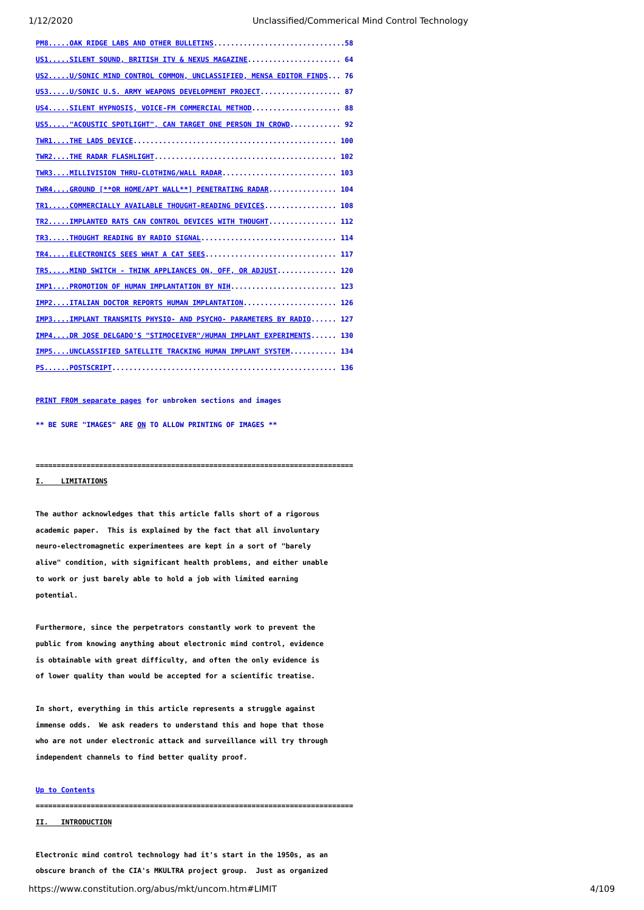| PM8OAK RIDGE LABS AND OTHER BULLETINS58                                   |
|---------------------------------------------------------------------------|
| US1SILENT SOUND, BRITISH ITV & NEXUS MAGAZINE 64                          |
| US2U/SONIC MIND CONTROL COMMON, UNCLASSIFIED, MENSA EDITOR FINDS 76       |
| US3U/SONIC U.S. ARMY WEAPONS DEVELOPMENT PROJECT 87                       |
| US4SILENT HYPNOSIS, VOICE-FM COMMERCIAL METHOD 88                         |
| US5"ACOUSTIC SPOTLIGHT", CAN TARGET ONE PERSON IN CROWD 92                |
|                                                                           |
|                                                                           |
| TWR3MILLIVISION THRU-CLOTHING/WALL RADAR 103                              |
| TWR4GROUND [**OR HOME/APT WALL**] PENETRATING RADAR 104                   |
| TR1COMMERCIALLY AVAILABLE THOUGHT-READING DEVICES 108                     |
| TR2IMPLANTED RATS CAN CONTROL DEVICES WITH THOUGHT 112                    |
| TR3THOUGHT READING BY RADIO SIGNAL 114                                    |
|                                                                           |
| TR5MIND SWITCH - THINK APPLIANCES ON, OFF, OR ADJUST 120                  |
| IMP1PROMOTION OF HUMAN IMPLANTATION BY NIH 123                            |
| IMP2ITALIAN DOCTOR REPORTS HUMAN IMPLANTATION 126                         |
| IMP3IMPLANT TRANSMITS PHYSIO- AND PSYCHO- PARAMETERS BY RADIO 127         |
| <u> IMP4DR JOSE DELGADO'S "STIMOCEIVER"/HUMAN IMPLANT EXPERIMENTS 130</u> |
| IMP5UNCLASSIFIED SATELLITE TRACKING HUMAN IMPLANT SYSTEM 134              |
|                                                                           |

#### **[PRINT FROM separate pages](https://www.constitution.org/abus/mkt/p00.htm) for unbroken sections and images**

**\*\* BE SURE "IMAGES" ARE ON TO ALLOW PRINTING OF IMAGES \*\***

#### <span id="page-3-0"></span>**I. LIMITATIONS**

**The author acknowledges that this article falls short of a rigorous academic paper. This is explained by the fact that all involuntary neuro-electromagnetic experimentees are kept in a sort of "barely alive" condition, with significant health problems, and either unable to work or just barely able to hold a job with limited earning potential.**

**===========================================================================**

**Furthermore, since the perpetrators constantly work to prevent the public from knowing anything about electronic mind control, evidence is obtainable with great difficulty, and often the only evidence is of lower quality than would be accepted for a scientific treatise.**

**In short, everything in this article represents a struggle against immense odds. We ask readers to understand this and hope that those who are not under electronic attack and surveillance will try through independent channels to find better quality proof.**

### **[Up to Contents](#page-2-0)**

**===========================================================================**

### <span id="page-3-1"></span>**II. INTRODUCTION**

https://www.constitution.org/abus/mkt/uncom.htm#LIMIT 4/109 **Electronic mind control technology had it's start in the 1950s, as an obscure branch of the CIA's MKULTRA project group. Just as organized**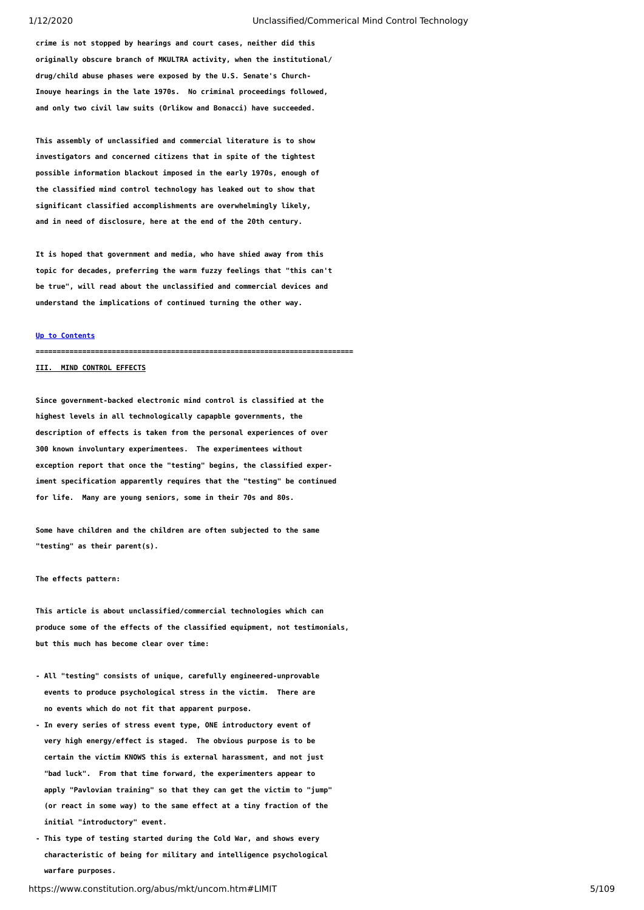**crime is not stopped by hearings and court cases, neither did this originally obscure branch of MKULTRA activity, when the institutional/ drug/child abuse phases were exposed by the U.S. Senate's Church-Inouye hearings in the late 1970s. No criminal proceedings followed, and only two civil law suits (Orlikow and Bonacci) have succeeded.**

**This assembly of unclassified and commercial literature is to show investigators and concerned citizens that in spite of the tightest possible information blackout imposed in the early 1970s, enough of the classified mind control technology has leaked out to show that significant classified accomplishments are overwhelmingly likely, and in need of disclosure, here at the end of the 20th century.**

**It is hoped that government and media, who have shied away from this topic for decades, preferring the warm fuzzy feelings that "this can't be true", will read about the unclassified and commercial devices and understand the implications of continued turning the other way.**

#### **[Up to Contents](#page-2-0)**

**===========================================================================**

## <span id="page-4-0"></span>**III. MIND CONTROL EFFECTS**

**Since government-backed electronic mind control is classified at the highest levels in all technologically capapble governments, the description of effects is taken from the personal experiences of over 300 known involuntary experimentees. The experimentees without exception report that once the "testing" begins, the classified experiment specification apparently requires that the "testing" be continued for life. Many are young seniors, some in their 70s and 80s.**

**Some have children and the children are often subjected to the same "testing" as their parent(s).**

#### **The effects pattern:**

**This article is about unclassified/commercial technologies which can produce some of the effects of the classified equipment, not testimonials, but this much has become clear over time:**

- **All "testing" consists of unique, carefully engineered-unprovable events to produce psychological stress in the victim. There are no events which do not fit that apparent purpose.**
- **In every series of stress event type, ONE introductory event of very high energy/effect is staged. The obvious purpose is to be certain the victim KNOWS this is external harassment, and not just "bad luck". From that time forward, the experimenters appear to apply "Pavlovian training" so that they can get the victim to "jump" (or react in some way) to the same effect at a tiny fraction of the initial "introductory" event.**
- **This type of testing started during the Cold War, and shows every characteristic of being for military and intelligence psychological warfare purposes.**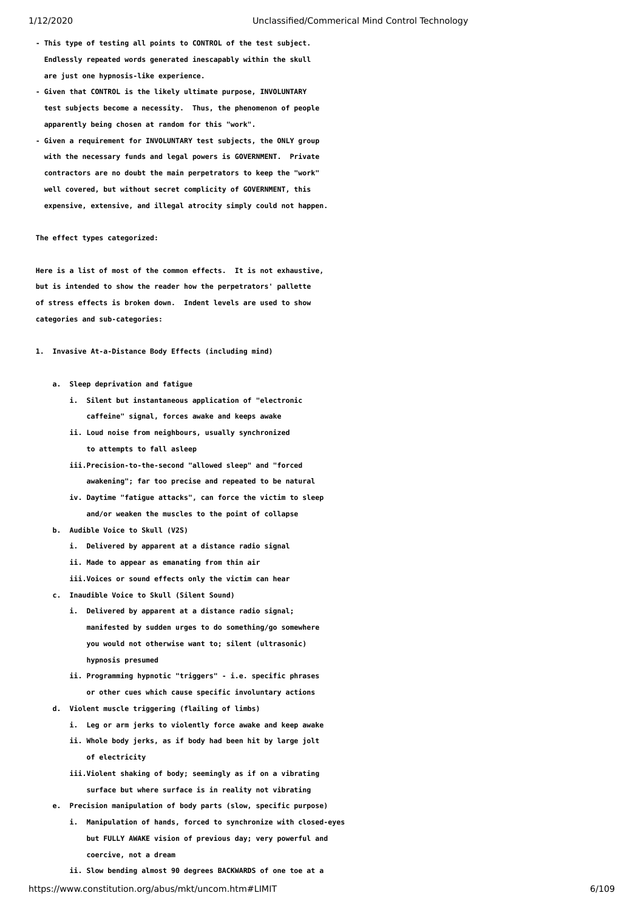- **This type of testing all points to CONTROL of the test subject. Endlessly repeated words generated inescapably within the skull are just one hypnosis-like experience.**
- **Given that CONTROL is the likely ultimate purpose, INVOLUNTARY test subjects become a necessity. Thus, the phenomenon of people apparently being chosen at random for this "work".**
- **Given a requirement for INVOLUNTARY test subjects, the ONLY group with the necessary funds and legal powers is GOVERNMENT. Private contractors are no doubt the main perpetrators to keep the "work" well covered, but without secret complicity of GOVERNMENT, this expensive, extensive, and illegal atrocity simply could not happen.**

#### **The effect types categorized:**

**Here is a list of most of the common effects. It is not exhaustive, but is intended to show the reader how the perpetrators' pallette of stress effects is broken down. Indent levels are used to show categories and sub-categories:**

- **1. Invasive At-a-Distance Body Effects (including mind)**
	- **a. Sleep deprivation and fatigue**
		- **i. Silent but instantaneous application of "electronic caffeine" signal, forces awake and keeps awake**
		- **ii. Loud noise from neighbours, usually synchronized to attempts to fall asleep**
		- **iii.Precision-to-the-second "allowed sleep" and "forced awakening"; far too precise and repeated to be natural**
		- **iv. Daytime "fatigue attacks", can force the victim to sleep and/or weaken the muscles to the point of collapse**
	- **b. Audible Voice to Skull (V2S)**
		- **i. Delivered by apparent at a distance radio signal**
		- **ii. Made to appear as emanating from thin air**
		- **iii.Voices or sound effects only the victim can hear**
	- **c. Inaudible Voice to Skull (Silent Sound)**
		- **i. Delivered by apparent at a distance radio signal; manifested by sudden urges to do something/go somewhere you would not otherwise want to; silent (ultrasonic) hypnosis presumed**
		- **ii. Programming hypnotic "triggers" i.e. specific phrases or other cues which cause specific involuntary actions**
	- **d. Violent muscle triggering (flailing of limbs)**
		- **i. Leg or arm jerks to violently force awake and keep awake**
		- **ii. Whole body jerks, as if body had been hit by large jolt of electricity**
		- **iii.Violent shaking of body; seemingly as if on a vibrating surface but where surface is in reality not vibrating**
	- **e. Precision manipulation of body parts (slow, specific purpose)**
		- **i. Manipulation of hands, forced to synchronize with closed-eyes but FULLY AWAKE vision of previous day; very powerful and coercive, not a dream**
		- **ii. Slow bending almost 90 degrees BACKWARDS of one toe at a**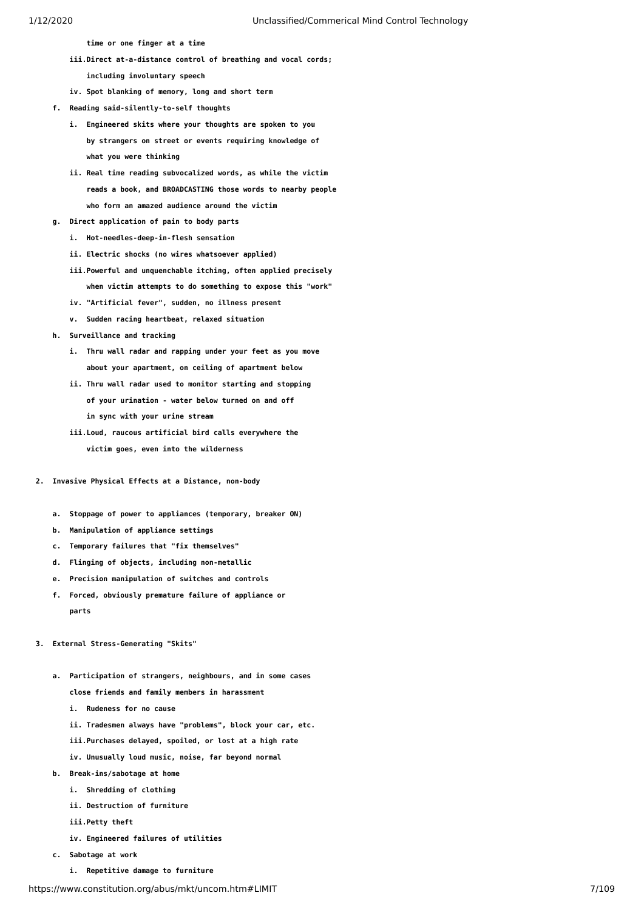**time or one finger at a time**

- **iii.Direct at-a-distance control of breathing and vocal cords;**
	- **including involuntary speech**
- **iv. Spot blanking of memory, long and short term**
- **f. Reading said-silently-to-self thoughts**
	- **i. Engineered skits where your thoughts are spoken to you by strangers on street or events requiring knowledge of what you were thinking**
	- **ii. Real time reading subvocalized words, as while the victim reads a book, and BROADCASTING those words to nearby people who form an amazed audience around the victim**
- **g. Direct application of pain to body parts**
	- **i. Hot-needles-deep-in-flesh sensation**
	- **ii. Electric shocks (no wires whatsoever applied)**
	- **iii.Powerful and unquenchable itching, often applied precisely when victim attempts to do something to expose this "work"**
	- **iv. "Artificial fever", sudden, no illness present**
	- **v. Sudden racing heartbeat, relaxed situation**

 **h. Surveillance and tracking**

- **i. Thru wall radar and rapping under your feet as you move about your apartment, on ceiling of apartment below**
- **ii. Thru wall radar used to monitor starting and stopping of your urination - water below turned on and off in sync with your urine stream**
- **iii.Loud, raucous artificial bird calls everywhere the victim goes, even into the wilderness**
- **2. Invasive Physical Effects at a Distance, non-body**
	- **a. Stoppage of power to appliances (temporary, breaker ON)**
	- **b. Manipulation of appliance settings**
	- **c. Temporary failures that "fix themselves"**
	- **d. Flinging of objects, including non-metallic**
	- **e. Precision manipulation of switches and controls**
	- **f. Forced, obviously premature failure of appliance or parts**
- **3. External Stress-Generating "Skits"**
	- **a. Participation of strangers, neighbours, and in some cases close friends and family members in harassment**
		- **i. Rudeness for no cause**
		- **ii. Tradesmen always have "problems", block your car, etc.**
		- **iii.Purchases delayed, spoiled, or lost at a high rate**
		- **iv. Unusually loud music, noise, far beyond normal**
	- **b. Break-ins/sabotage at home**
		- **i. Shredding of clothing**
		- **ii. Destruction of furniture**
		- **iii.Petty theft**
		- **iv. Engineered failures of utilities**
	- **c. Sabotage at work**
		- **i. Repetitive damage to furniture**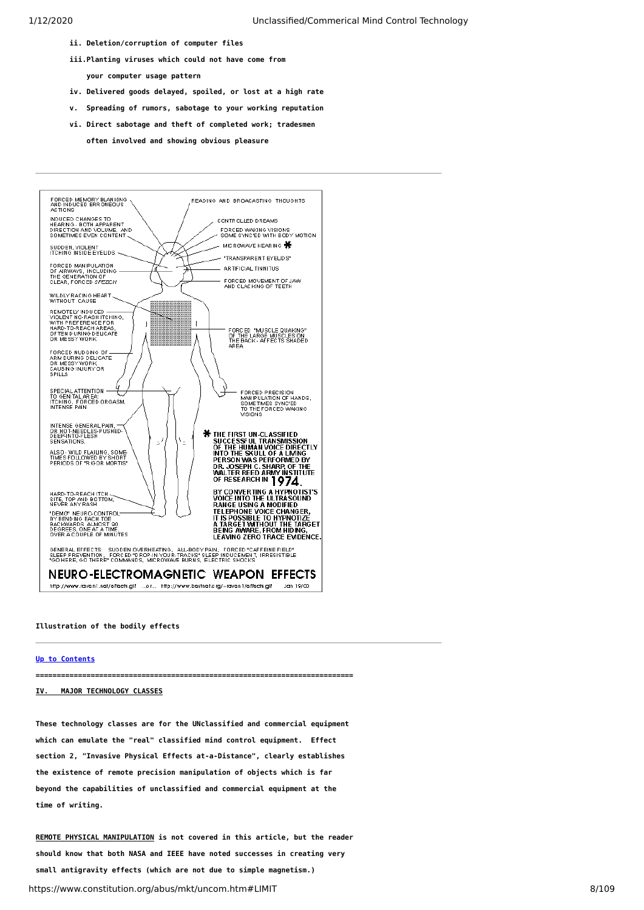- **ii. Deletion/corruption of computer files**
- **iii.Planting viruses which could not have come from your computer usage pattern**
- **iv. Delivered goods delayed, spoiled, or lost at a high rate**
- **v. Spreading of rumors, sabotage to your working reputation**
- **vi. Direct sabotage and theft of completed work; tradesmen often involved and showing obvious pleasure**



#### **Illustration of the bodily effects**

#### **[Up to Contents](#page-2-0)**

**===========================================================================**

### <span id="page-7-0"></span>**IV. MAJOR TECHNOLOGY CLASSES**

**These technology classes are for the UNclassified and commercial equipment which can emulate the "real" classified mind control equipment. Effect section 2, "Invasive Physical Effects at-a-Distance", clearly establishes the existence of remote precision manipulation of objects which is far beyond the capabilities of unclassified and commercial equipment at the time of writing.**

https://www.constitution.org/abus/mkt/uncom.htm#LIMIT 8/109 **REMOTE PHYSICAL MANIPULATION is not covered in this article, but the reader should know that both NASA and IEEE have noted successes in creating very small antigravity effects (which are not due to simple magnetism.)**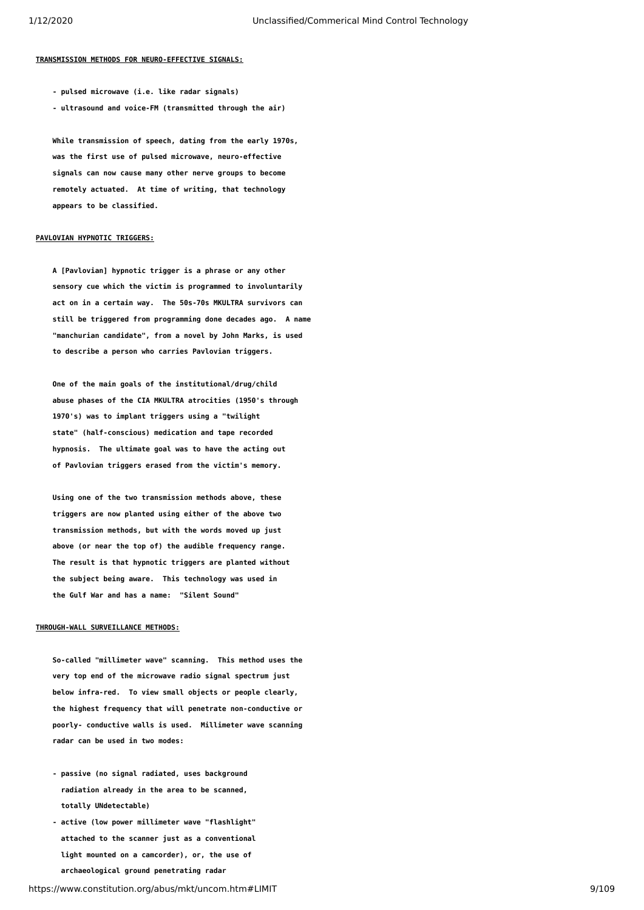#### **TRANSMISSION METHODS FOR NEURO-EFFECTIVE SIGNALS:**

- **pulsed microwave (i.e. like radar signals)**
- **ultrasound and voice-FM (transmitted through the air)**

 **While transmission of speech, dating from the early 1970s, was the first use of pulsed microwave, neuro-effective signals can now cause many other nerve groups to become remotely actuated. At time of writing, that technology appears to be classified.**

#### **PAVLOVIAN HYPNOTIC TRIGGERS:**

 **A [Pavlovian] hypnotic trigger is a phrase or any other sensory cue which the victim is programmed to involuntarily act on in a certain way. The 50s-70s MKULTRA survivors can still be triggered from programming done decades ago. A name "manchurian candidate", from a novel by John Marks, is used to describe a person who carries Pavlovian triggers.**

 **One of the main goals of the institutional/drug/child abuse phases of the CIA MKULTRA atrocities (1950's through 1970's) was to implant triggers using a "twilight state" (half-conscious) medication and tape recorded hypnosis. The ultimate goal was to have the acting out of Pavlovian triggers erased from the victim's memory.**

 **Using one of the two transmission methods above, these triggers are now planted using either of the above two transmission methods, but with the words moved up just above (or near the top of) the audible frequency range. The result is that hypnotic triggers are planted without the subject being aware. This technology was used in the Gulf War and has a name: "Silent Sound"**

#### **THROUGH-WALL SURVEILLANCE METHODS:**

 **So-called "millimeter wave" scanning. This method uses the very top end of the microwave radio signal spectrum just below infra-red. To view small objects or people clearly, the highest frequency that will penetrate non-conductive or poorly- conductive walls is used. Millimeter wave scanning radar can be used in two modes:**

- **passive (no signal radiated, uses background radiation already in the area to be scanned, totally UNdetectable)**
- **active (low power millimeter wave "flashlight" attached to the scanner just as a conventional light mounted on a camcorder), or, the use of archaeological ground penetrating radar**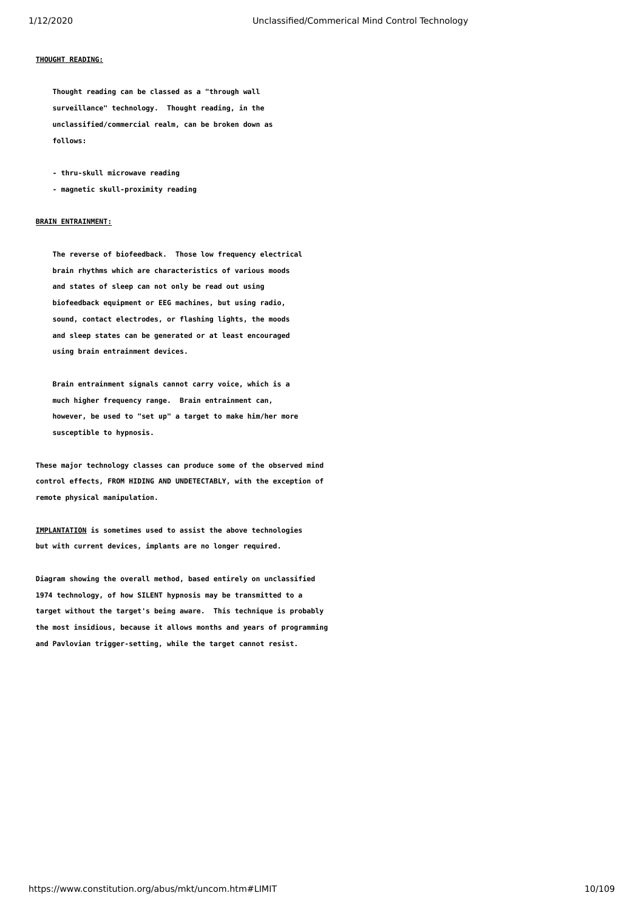## **THOUGHT READING:**

 **Thought reading can be classed as a "through wall surveillance" technology. Thought reading, in the unclassified/commercial realm, can be broken down as follows:**

 **- thru-skull microwave reading**

 **- magnetic skull-proximity reading**

### **BRAIN ENTRAINMENT:**

 **The reverse of biofeedback. Those low frequency electrical brain rhythms which are characteristics of various moods and states of sleep can not only be read out using biofeedback equipment or EEG machines, but using radio, sound, contact electrodes, or flashing lights, the moods and sleep states can be generated or at least encouraged using brain entrainment devices.**

 **Brain entrainment signals cannot carry voice, which is a much higher frequency range. Brain entrainment can, however, be used to "set up" a target to make him/her more susceptible to hypnosis.**

**These major technology classes can produce some of the observed mind control effects, FROM HIDING AND UNDETECTABLY, with the exception of remote physical manipulation.**

**IMPLANTATION is sometimes used to assist the above technologies but with current devices, implants are no longer required.**

**Diagram showing the overall method, based entirely on unclassified 1974 technology, of how SILENT hypnosis may be transmitted to a target without the target's being aware. This technique is probably the most insidious, because it allows months and years of programming and Pavlovian trigger-setting, while the target cannot resist.**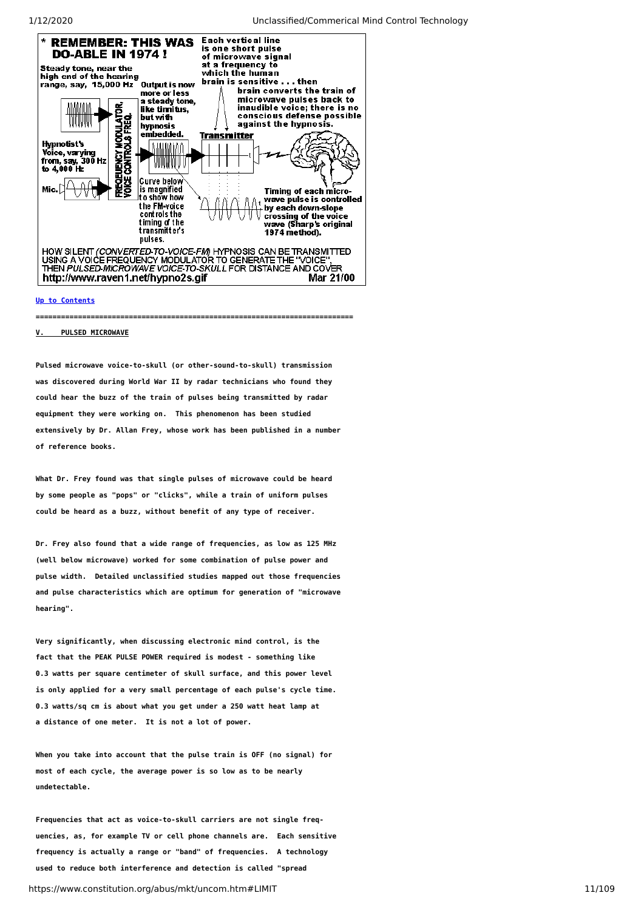

# **[Up to Contents](#page-2-0)**

**===========================================================================**

#### <span id="page-10-0"></span>**V. PULSED MICROWAVE**

**Pulsed microwave voice-to-skull (or other-sound-to-skull) transmission was discovered during World War II by radar technicians who found they could hear the buzz of the train of pulses being transmitted by radar equipment they were working on. This phenomenon has been studied extensively by Dr. Allan Frey, whose work has been published in a number of reference books.**

**What Dr. Frey found was that single pulses of microwave could be heard by some people as "pops" or "clicks", while a train of uniform pulses could be heard as a buzz, without benefit of any type of receiver.**

**Dr. Frey also found that a wide range of frequencies, as low as 125 MHz (well below microwave) worked for some combination of pulse power and pulse width. Detailed unclassified studies mapped out those frequencies and pulse characteristics which are optimum for generation of "microwave hearing".**

**Very significantly, when discussing electronic mind control, is the fact that the PEAK PULSE POWER required is modest - something like 0.3 watts per square centimeter of skull surface, and this power level is only applied for a very small percentage of each pulse's cycle time. 0.3 watts/sq cm is about what you get under a 250 watt heat lamp at a distance of one meter. It is not a lot of power.**

**When you take into account that the pulse train is OFF (no signal) for most of each cycle, the average power is so low as to be nearly undetectable.**

https://www.constitution.org/abus/mkt/uncom.htm#LIMIT 11/109 **Frequencies that act as voice-to-skull carriers are not single frequencies, as, for example TV or cell phone channels are. Each sensitive frequency is actually a range or "band" of frequencies. A technology used to reduce both interference and detection is called "spread**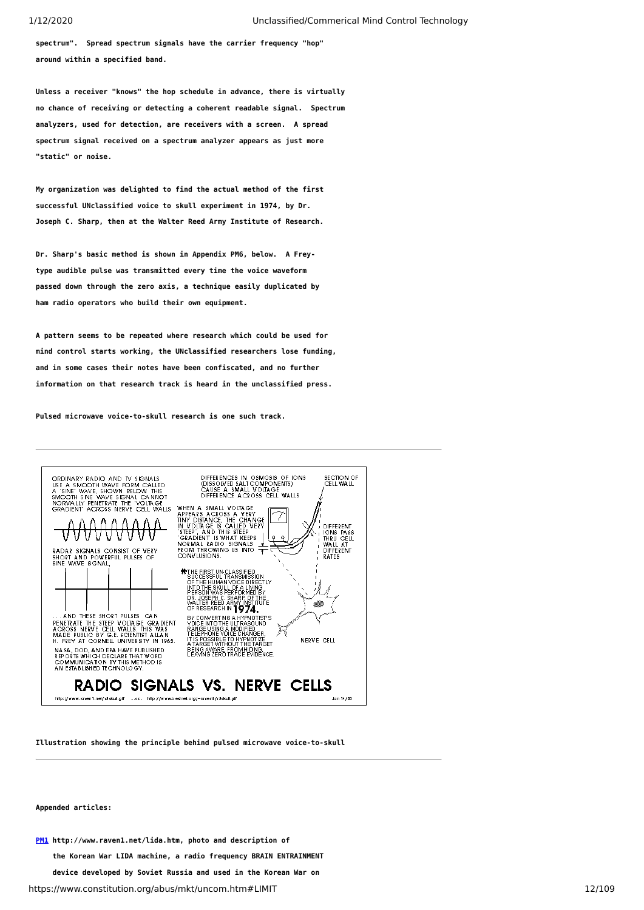**spectrum". Spread spectrum signals have the carrier frequency "hop" around within a specified band.**

**Unless a receiver "knows" the hop schedule in advance, there is virtually no chance of receiving or detecting a coherent readable signal. Spectrum analyzers, used for detection, are receivers with a screen. A spread spectrum signal received on a spectrum analyzer appears as just more "static" or noise.**

**My organization was delighted to find the actual method of the first successful UNclassified voice to skull experiment in 1974, by Dr. Joseph C. Sharp, then at the Walter Reed Army Institute of Research.**

**Dr. Sharp's basic method is shown in Appendix PM6, below. A Freytype audible pulse was transmitted every time the voice waveform passed down through the zero axis, a technique easily duplicated by ham radio operators who build their own equipment.**

**A pattern seems to be repeated where research which could be used for mind control starts working, the UNclassified researchers lose funding, and in some cases their notes have been confiscated, and no further information on that research track is heard in the unclassified press.**

**Pulsed microwave voice-to-skull research is one such track.**



**Illustration showing the principle behind pulsed microwave voice-to-skull**

#### **Appended articles:**

**[PM1](#page-20-0) http://www.raven1.net/lida.htm, photo and description of**

 **the Korean War LIDA machine, a radio frequency BRAIN ENTRAINMENT**

 **device developed by Soviet Russia and used in the Korean War on**

https://www.constitution.org/abus/mkt/uncom.htm#LIMIT 12/109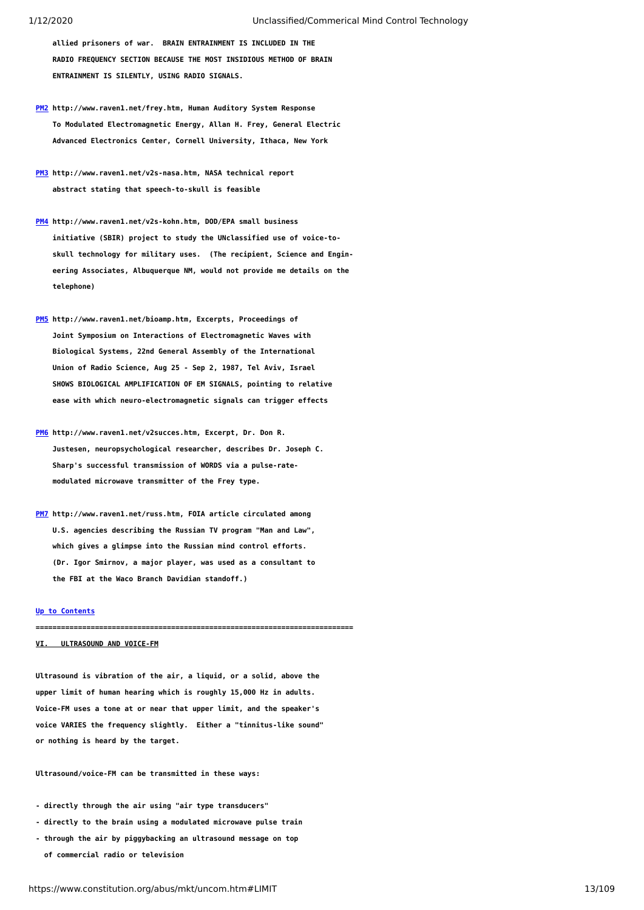**allied prisoners of war. BRAIN ENTRAINMENT IS INCLUDED IN THE RADIO FREQUENCY SECTION BECAUSE THE MOST INSIDIOUS METHOD OF BRAIN ENTRAINMENT IS SILENTLY, USING RADIO SIGNALS.**

- **[PM2](#page-23-0) http://www.raven1.net/frey.htm, Human Auditory System Response To Modulated Electromagnetic Energy, Allan H. Frey, General Electric Advanced Electronics Center, Cornell University, Ithaca, New York**
- **[PM3](#page-31-0) http://www.raven1.net/v2s-nasa.htm, NASA technical report abstract stating that speech-to-skull is feasible**
- **[PM4](#page-34-0) http://www.raven1.net/v2s-kohn.htm, DOD/EPA small business initiative (SBIR) project to study the UNclassified use of voice-to skull technology for military uses. (The recipient, Science and Engin eering Associates, Albuquerque NM, would not provide me details on the telephone)**
- **[PM5](#page-35-0) http://www.raven1.net/bioamp.htm, Excerpts, Proceedings of Joint Symposium on Interactions of Electromagnetic Waves with Biological Systems, 22nd General Assembly of the International Union of Radio Science, Aug 25 - Sep 2, 1987, Tel Aviv, Israel SHOWS BIOLOGICAL AMPLIFICATION OF EM SIGNALS, pointing to relative ease with which neuro-electromagnetic signals can trigger effects**
- **[PM6](#page-39-0) http://www.raven1.net/v2succes.htm, Excerpt, Dr. Don R. Justesen, neuropsychological researcher, describes Dr. Joseph C. Sharp's successful transmission of WORDS via a pulse-rate modulated microwave transmitter of the Frey type.**
- **[PM7](#page-41-0) http://www.raven1.net/russ.htm, FOIA article circulated among U.S. agencies describing the Russian TV program "Man and Law", which gives a glimpse into the Russian mind control efforts. (Dr. Igor Smirnov, a major player, was used as a consultant to the FBI at the Waco Branch Davidian standoff.)**

#### **[Up to Contents](#page-2-0)**

**===========================================================================**

# <span id="page-12-0"></span>**VI. ULTRASOUND AND VOICE-FM**

**Ultrasound is vibration of the air, a liquid, or a solid, above the upper limit of human hearing which is roughly 15,000 Hz in adults. Voice-FM uses a tone at or near that upper limit, and the speaker's voice VARIES the frequency slightly. Either a "tinnitus-like sound" or nothing is heard by the target.**

**Ultrasound/voice-FM can be transmitted in these ways:**

- **directly through the air using "air type transducers"**
- **directly to the brain using a modulated microwave pulse train**
- **through the air by piggybacking an ultrasound message on top of commercial radio or television**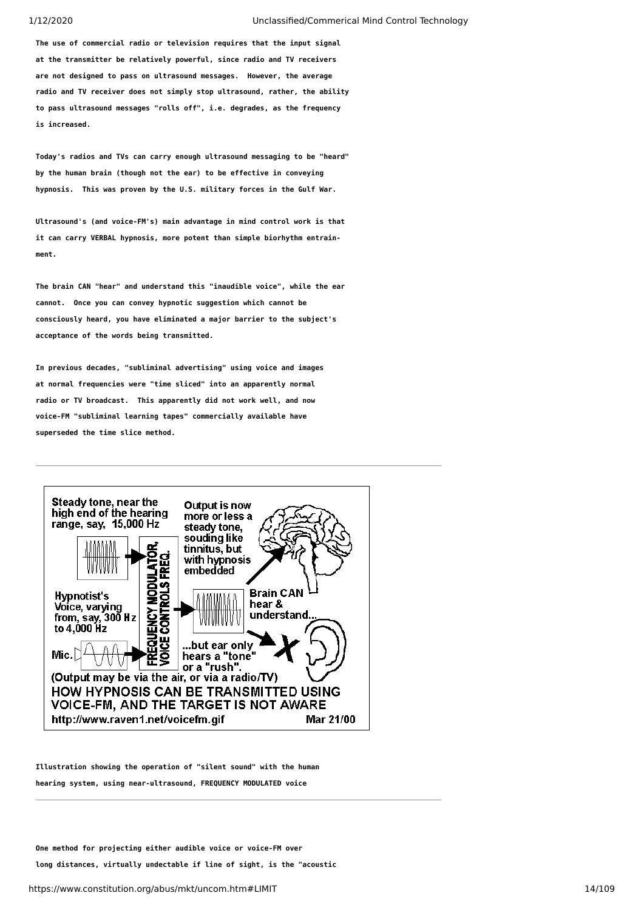**The use of commercial radio or television requires that the input signal at the transmitter be relatively powerful, since radio and TV receivers are not designed to pass on ultrasound messages. However, the average radio and TV receiver does not simply stop ultrasound, rather, the ability to pass ultrasound messages "rolls off", i.e. degrades, as the frequency is increased.**

**Today's radios and TVs can carry enough ultrasound messaging to be "heard" by the human brain (though not the ear) to be effective in conveying hypnosis. This was proven by the U.S. military forces in the Gulf War.**

**Ultrasound's (and voice-FM's) main advantage in mind control work is that it can carry VERBAL hypnosis, more potent than simple biorhythm entrainment.**

**The brain CAN "hear" and understand this "inaudible voice", while the ear cannot. Once you can convey hypnotic suggestion which cannot be consciously heard, you have eliminated a major barrier to the subject's acceptance of the words being transmitted.**

**In previous decades, "subliminal advertising" using voice and images at normal frequencies were "time sliced" into an apparently normal radio or TV broadcast. This apparently did not work well, and now voice-FM "subliminal learning tapes" commercially available have superseded the time slice method.**



**Illustration showing the operation of "silent sound" with the human hearing system, using near-ultrasound, FREQUENCY MODULATED voice**

**One method for projecting either audible voice or voice-FM over long distances, virtually undectable if line of sight, is the "acoustic**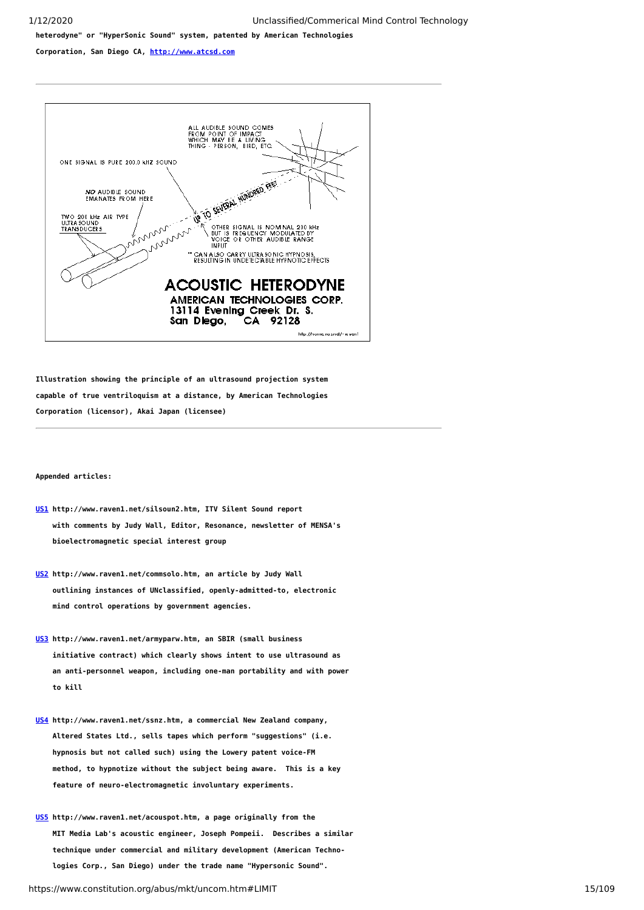**heterodyne" or "HyperSonic Sound" system, patented by American Technologies**

**Corporation, San Diego CA, [http://www.atcsd.com](http://www.atcsd.com/)**



**Illustration showing the principle of an ultrasound projection system capable of true ventriloquism at a distance, by American Technologies Corporation (licensor), Akai Japan (licensee)**

#### **Appended articles:**

- **[US1](#page-48-0) http://www.raven1.net/silsoun2.htm, ITV Silent Sound report with comments by Judy Wall, Editor, Resonance, newsletter of MENSA's bioelectromagnetic special interest group**
- **[US2](#page-59-0) http://www.raven1.net/commsolo.htm, an article by Judy Wall outlining instances of UNclassified, openly-admitted-to, electronic mind control operations by government agencies.**
- **[US3](#page-69-0) http://www.raven1.net/armyparw.htm, an SBIR (small business initiative contract) which clearly shows intent to use ultrasound as an anti-personnel weapon, including one-man portability and with power to kill**
- **[US4](#page-70-0) http://www.raven1.net/ssnz.htm, a commercial New Zealand company, Altered States Ltd., sells tapes which perform "suggestions" (i.e. hypnosis but not called such) using the Lowery patent voice-FM method, to hypnotize without the subject being aware. This is a key feature of neuro-electromagnetic involuntary experiments.**
- **[US5](#page-72-0) http://www.raven1.net/acouspot.htm, a page originally from the MIT Media Lab's acoustic engineer, Joseph Pompeii. Describes a similar technique under commercial and military development (American Techno logies Corp., San Diego) under the trade name "Hypersonic Sound".**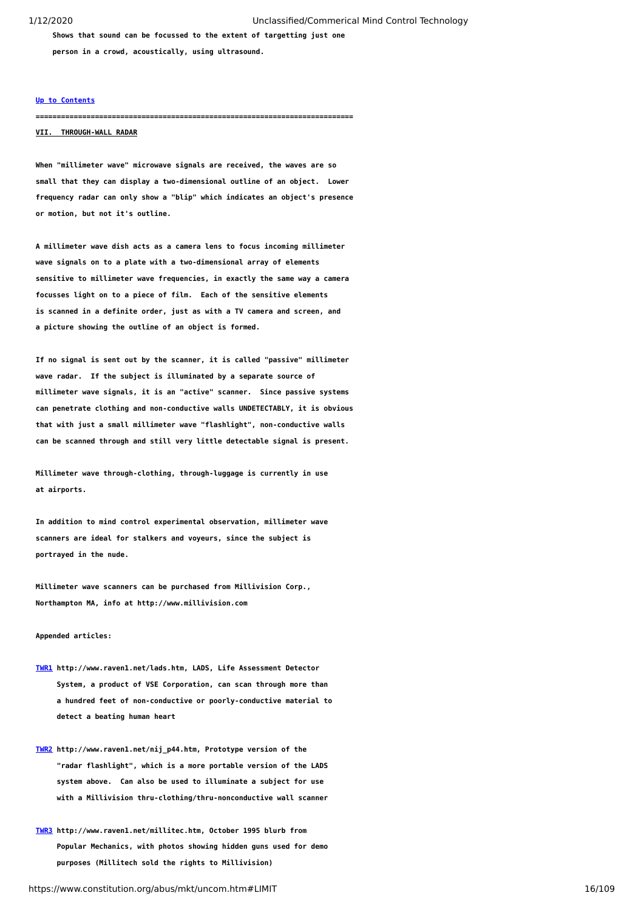**Shows that sound can be focussed to the extent of targetting just one**

 **person in a crowd, acoustically, using ultrasound.**

#### **[Up to Contents](#page-2-0)**

**===========================================================================**

### <span id="page-15-0"></span>**VII. THROUGH-WALL RADAR**

**When "millimeter wave" microwave signals are received, the waves are so small that they can display a two-dimensional outline of an object. Lower frequency radar can only show a "blip" which indicates an object's presence or motion, but not it's outline.**

**A millimeter wave dish acts as a camera lens to focus incoming millimeter wave signals on to a plate with a two-dimensional array of elements sensitive to millimeter wave frequencies, in exactly the same way a camera focusses light on to a piece of film. Each of the sensitive elements is scanned in a definite order, just as with a TV camera and screen, and a picture showing the outline of an object is formed.**

**If no signal is sent out by the scanner, it is called "passive" millimeter wave radar. If the subject is illuminated by a separate source of millimeter wave signals, it is an "active" scanner. Since passive systems can penetrate clothing and non-conductive walls UNDETECTABLY, it is obvious that with just a small millimeter wave "flashlight", non-conductive walls can be scanned through and still very little detectable signal is present.**

**Millimeter wave through-clothing, through-luggage is currently in use at airports.**

**In addition to mind control experimental observation, millimeter wave scanners are ideal for stalkers and voyeurs, since the subject is portrayed in the nude.**

**Millimeter wave scanners can be purchased from Millivision Corp., Northampton MA, info at http://www.millivision.com**

#### **Appended articles:**

- **[TWR1](#page-79-0) http://www.raven1.net/lads.htm, LADS, Life Assessment Detector System, a product of VSE Corporation, can scan through more than a hundred feet of non-conductive or poorly-conductive material to detect a beating human heart**
- **[TWR2](#page-80-0) http://www.raven1.net/nij\_p44.htm, Prototype version of the "radar flashlight", which is a more portable version of the LADS system above. Can also be used to illuminate a subject for use with a Millivision thru-clothing/thru-nonconductive wall scanner**
- **[TWR3](#page-81-0) http://www.raven1.net/millitec.htm, October 1995 blurb from Popular Mechanics, with photos showing hidden guns used for demo purposes (Millitech sold the rights to Millivision)**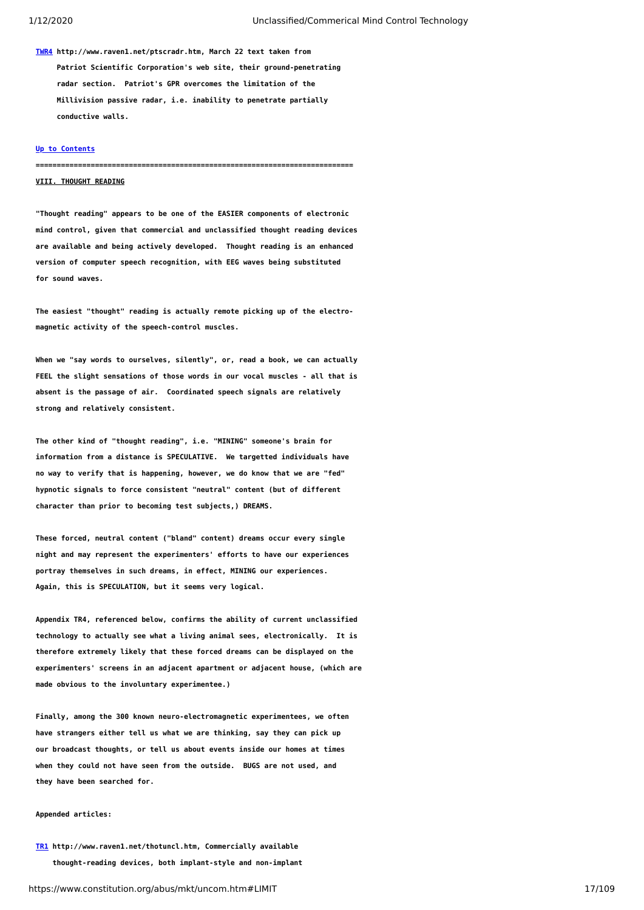**[TWR4](#page-81-1) http://www.raven1.net/ptscradr.htm, March 22 text taken from Patriot Scientific Corporation's web site, their ground-penetrating radar section. Patriot's GPR overcomes the limitation of the Millivision passive radar, i.e. inability to penetrate partially conductive walls.**

### **[Up to Contents](#page-2-0)**

**===========================================================================**

### <span id="page-16-0"></span>**VIII. THOUGHT READING**

**"Thought reading" appears to be one of the EASIER components of electronic mind control, given that commercial and unclassified thought reading devices are available and being actively developed. Thought reading is an enhanced version of computer speech recognition, with EEG waves being substituted for sound waves.**

**The easiest "thought" reading is actually remote picking up of the electromagnetic activity of the speech-control muscles.**

**When we "say words to ourselves, silently", or, read a book, we can actually FEEL the slight sensations of those words in our vocal muscles - all that is absent is the passage of air. Coordinated speech signals are relatively strong and relatively consistent.**

**The other kind of "thought reading", i.e. "MINING" someone's brain for information from a distance is SPECULATIVE. We targetted individuals have no way to verify that is happening, however, we do know that we are "fed" hypnotic signals to force consistent "neutral" content (but of different character than prior to becoming test subjects,) DREAMS.**

**These forced, neutral content ("bland" content) dreams occur every single night and may represent the experimenters' efforts to have our experiences portray themselves in such dreams, in effect, MINING our experiences. Again, this is SPECULATION, but it seems very logical.**

**Appendix TR4, referenced below, confirms the ability of current unclassified technology to actually see what a living animal sees, electronically. It is therefore extremely likely that these forced dreams can be displayed on the experimenters' screens in an adjacent apartment or adjacent house, (which are made obvious to the involuntary experimentee.)**

**Finally, among the 300 known neuro-electromagnetic experimentees, we often have strangers either tell us what we are thinking, say they can pick up our broadcast thoughts, or tell us about events inside our homes at times when they could not have seen from the outside. BUGS are not used, and they have been searched for.**

#### **Appended articles:**

**[TR1](#page-84-0) http://www.raven1.net/thotuncl.htm, Commercially available thought-reading devices, both implant-style and non-implant**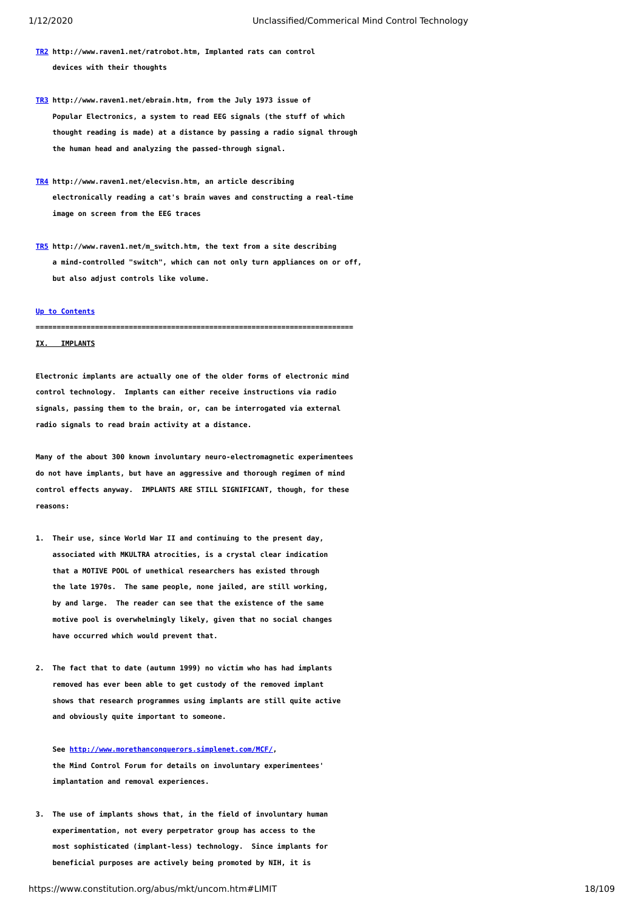- **[TR2](#page-88-0) http://www.raven1.net/ratrobot.htm, Implanted rats can control devices with their thoughts**
- **[TR3](#page-89-0) http://www.raven1.net/ebrain.htm, from the July 1973 issue of Popular Electronics, a system to read EEG signals (the stuff of which thought reading is made) at a distance by passing a radio signal through the human head and analyzing the passed-through signal.**
- **[TR4](#page-92-0) http://www.raven1.net/elecvisn.htm, an article describing electronically reading a cat's brain waves and constructing a real-time image on screen from the EEG traces**
- **[TR5](#page-94-0) http://www.raven1.net/m\_switch.htm, the text from a site describing a mind-controlled "switch", which can not only turn appliances on or off, but also adjust controls like volume.**

#### **[Up to Contents](#page-2-0)**

# <span id="page-17-0"></span>**=========================================================================== IX. IMPLANTS**

**Electronic implants are actually one of the older forms of electronic mind control technology. Implants can either receive instructions via radio signals, passing them to the brain, or, can be interrogated via external radio signals to read brain activity at a distance.**

**Many of the about 300 known involuntary neuro-electromagnetic experimentees do not have implants, but have an aggressive and thorough regimen of mind control effects anyway. IMPLANTS ARE STILL SIGNIFICANT, though, for these reasons:**

- **1. Their use, since World War II and continuing to the present day, associated with MKULTRA atrocities, is a crystal clear indication that a MOTIVE POOL of unethical researchers has existed through the late 1970s. The same people, none jailed, are still working, by and large. The reader can see that the existence of the same motive pool is overwhelmingly likely, given that no social changes have occurred which would prevent that.**
- **2. The fact that to date (autumn 1999) no victim who has had implants removed has ever been able to get custody of the removed implant shows that research programmes using implants are still quite active and obviously quite important to someone.**

 **See <http://www.morethanconquerors.simplenet.com/MCF/>, the Mind Control Forum for details on involuntary experimentees' implantation and removal experiences.**

**3. The use of implants shows that, in the field of involuntary human experimentation, not every perpetrator group has access to the most sophisticated (implant-less) technology. Since implants for beneficial purposes are actively being promoted by NIH, it is**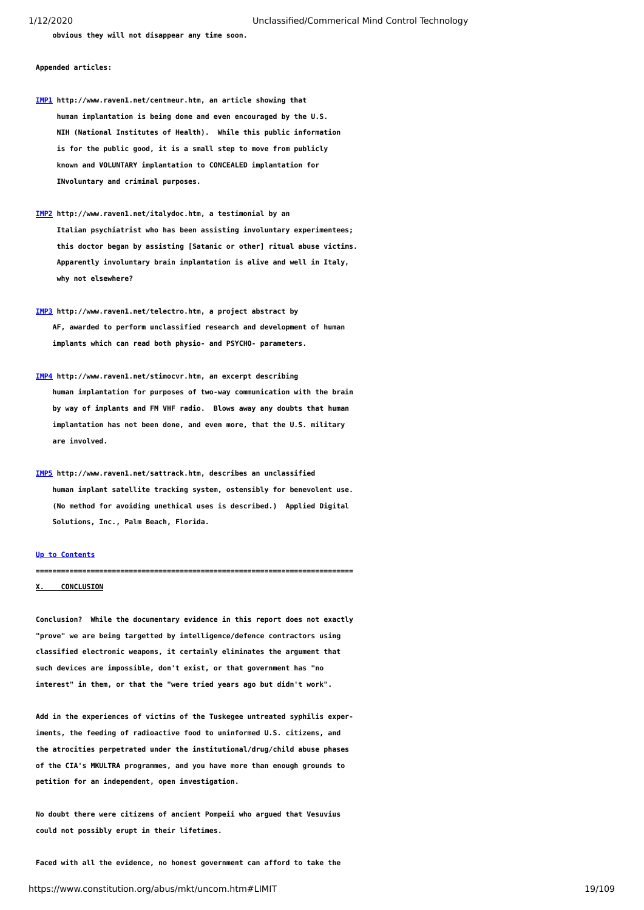**obvious they will not disappear any time soon.**

# **Appended articles:**

- **[IMP1](#page-96-0) http://www.raven1.net/centneur.htm, an article showing that human implantation is being done and even encouraged by the U.S. NIH (National Institutes of Health). While this public information is for the public good, it is a small step to move from publicly known and VOLUNTARY implantation to CONCEALED implantation for INvoluntary and criminal purposes.**
- **[IMP2](#page-98-0) http://www.raven1.net/italydoc.htm, a testimonial by an Italian psychiatrist who has been assisting involuntary experimentees; this doctor began by assisting [Satanic or other] ritual abuse victims. Apparently involuntary brain implantation is alive and well in Italy, why not elsewhere?**
- **[IMP3](#page-99-0) http://www.raven1.net/telectro.htm, a project abstract by AF, awarded to perform unclassified research and development of human implants which can read both physio- and PSYCHO- parameters.**
- **[IMP4](#page-101-0) http://www.raven1.net/stimocvr.htm, an excerpt describing human implantation for purposes of two-way communication with the brain by way of implants and FM VHF radio. Blows away any doubts that human implantation has not been done, and even more, that the U.S. military are involved.**
- **[IMP5](#page-104-0) http://www.raven1.net/sattrack.htm, describes an unclassified human implant satellite tracking system, ostensibly for benevolent use. (No method for avoiding unethical uses is described.) Applied Digital Solutions, Inc., Palm Beach, Florida.**

## **[Up to Contents](#page-2-0)**

<span id="page-18-0"></span>**=========================================================================== CONCLUSION** 

**Conclusion? While the documentary evidence in this report does not exactly "prove" we are being targetted by intelligence/defence contractors using classified electronic weapons, it certainly eliminates the argument that such devices are impossible, don't exist, or that government has "no interest" in them, or that the "were tried years ago but didn't work".**

**Add in the experiences of victims of the Tuskegee untreated syphilis experiments, the feeding of radioactive food to uninformed U.S. citizens, and the atrocities perpetrated under the institutional/drug/child abuse phases of the CIA's MKULTRA programmes, and you have more than enough grounds to petition for an independent, open investigation.**

**No doubt there were citizens of ancient Pompeii who argued that Vesuvius could not possibly erupt in their lifetimes.**

**Faced with all the evidence, no honest government can afford to take the**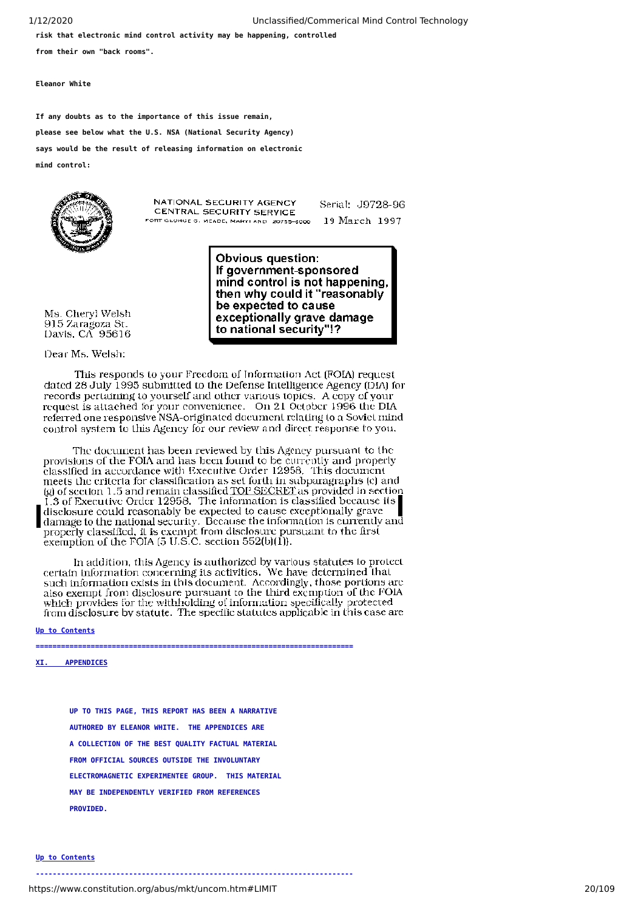**risk that electronic mind control activity may be happening, controlled**

**from their own "back rooms".**

**Eleanor White**

**If any doubts as to the importance of this issue remain, please see below what the U.S. NSA (National Security Agency) says would be the result of releasing information on electronic mind control:**



NATIONAL SECURITY AGENCY CENTRAL SECURITY SERVICE FORT GEORGE G. MEADE, MARYLAND 20755-6000 Serial: J9728-96 19 March 1997

If government-sponsored mind control is not happening. then why could it "reasonably be expected to cause exceptionally grave damage to national security"!?

**Obvious question:** 

Davis, CA 95616 Dear Ms. Welsh:

Ms. Chervl Welsh

915 Zaragoza St.

This responds to your Freedom of Information Act (FOIA) request dated 28 July 1995 submitted to the Defense Intelligence Agency (DIA) for records pertaining to yourself and other various topics. A copy of your request is attached for your convenience. On 21 October 1996 the DIA referred one responsive NSA-originated document relating to a Soviet mind control system to this Agency for our review and direct response to you.

The document has been reviewed by this Agency pursuant to the provisions of the FOIA and has been found to be currently and properly classified in accordance with Executive Order 12958. This document meets the criteria for classification as set forth in subparagraphs (e) and<br>(g) of section 1.5 and remain classified <u>TOP SECRET</u> as provided in section  $\tilde{1}$ .3 of Executive Order 12958. The information is classified because its disclosure could reasonably be expected to cause exceptionally grave damage to the national security. Because the information is currently and properly classified, it is exempt from disclosure pursuant to the first<br>exemption of the FOIA (5 U.S.C. section 552(b)(1)).

In addition, this Agency is authorized by various statutes to protect certain information concerning its activities. We have determined that such information exists in this document. Accordingly, those portions are also exempt from disclosure pursuant to the third exemption of the FOIA which provides for the withholding of information specifically protected from disclosure by statute. The specific statutes applicable in this case are

**===========================================================================**

 **[Up to Contents](#page-2-0)**

<span id="page-19-0"></span>**XI. APPENDICES**

 **UP TO THIS PAGE, THIS REPORT HAS BEEN A NARRATIVE AUTHORED BY ELEANOR WHITE. THE APPENDICES ARE A COLLECTION OF THE BEST QUALITY FACTUAL MATERIAL FROM OFFICIAL SOURCES OUTSIDE THE INVOLUNTARY ELECTROMAGNETIC EXPERIMENTEE GROUP. THIS MATERIAL MAY BE INDEPENDENTLY VERIFIED FROM REFERENCES PROVIDED.**

#### **[Up to Contents](#page-2-0)**

**---------------------------------------------------------------------------**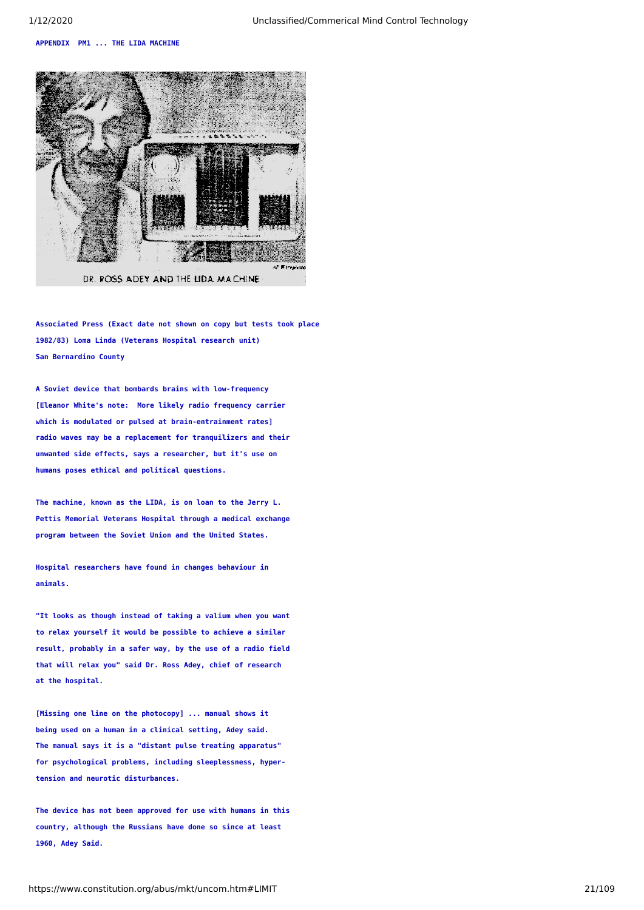#### <span id="page-20-0"></span>**APPENDIX PM1 ... THE LIDA MACHINE**



**Associated Press (Exact date not shown on copy but tests took place 1982/83) Loma Linda (Veterans Hospital research unit) San Bernardino County**

**A Soviet device that bombards brains with low-frequency [Eleanor White's note: More likely radio frequency carrier which is modulated or pulsed at brain-entrainment rates] radio waves may be a replacement for tranquilizers and their unwanted side effects, says a researcher, but it's use on humans poses ethical and political questions.**

**The machine, known as the LIDA, is on loan to the Jerry L. Pettis Memorial Veterans Hospital through a medical exchange program between the Soviet Union and the United States.**

**Hospital researchers have found in changes behaviour in animals.**

**"It looks as though instead of taking a valium when you want to relax yourself it would be possible to achieve a similar result, probably in a safer way, by the use of a radio field that will relax you" said Dr. Ross Adey, chief of research at the hospital.**

**[Missing one line on the photocopy] ... manual shows it being used on a human in a clinical setting, Adey said. The manual says it is a "distant pulse treating apparatus" for psychological problems, including sleeplessness, hypertension and neurotic disturbances.**

**The device has not been approved for use with humans in this country, although the Russians have done so since at least 1960, Adey Said.**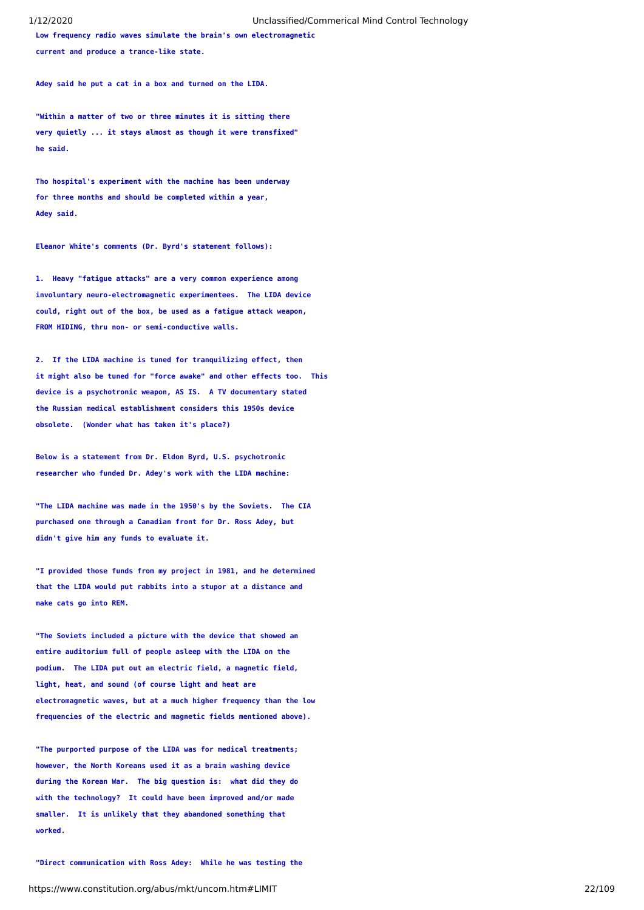**Low frequency radio waves simulate the brain's own electromagnetic current and produce a trance-like state.**

**Adey said he put a cat in a box and turned on the LIDA.**

**"Within a matter of two or three minutes it is sitting there very quietly ... it stays almost as though it were transfixed" he said.**

**Tho hospital's experiment with the machine has been underway for three months and should be completed within a year, Adey said.**

**Eleanor White's comments (Dr. Byrd's statement follows):**

**1. Heavy "fatigue attacks" are a very common experience among involuntary neuro-electromagnetic experimentees. The LIDA device could, right out of the box, be used as a fatigue attack weapon, FROM HIDING, thru non- or semi-conductive walls.**

**2. If the LIDA machine is tuned for tranquilizing effect, then it might also be tuned for "force awake" and other effects too. This device is a psychotronic weapon, AS IS. A TV documentary stated the Russian medical establishment considers this 1950s device obsolete. (Wonder what has taken it's place?)**

**Below is a statement from Dr. Eldon Byrd, U.S. psychotronic researcher who funded Dr. Adey's work with the LIDA machine:**

**"The LIDA machine was made in the 1950's by the Soviets. The CIA purchased one through a Canadian front for Dr. Ross Adey, but didn't give him any funds to evaluate it.**

**"I provided those funds from my project in 1981, and he determined that the LIDA would put rabbits into a stupor at a distance and make cats go into REM.**

**"The Soviets included a picture with the device that showed an entire auditorium full of people asleep with the LIDA on the podium. The LIDA put out an electric field, a magnetic field, light, heat, and sound (of course light and heat are electromagnetic waves, but at a much higher frequency than the low frequencies of the electric and magnetic fields mentioned above).**

**"The purported purpose of the LIDA was for medical treatments; however, the North Koreans used it as a brain washing device during the Korean War. The big question is: what did they do with the technology? It could have been improved and/or made smaller. It is unlikely that they abandoned something that worked.**

**"Direct communication with Ross Adey: While he was testing the**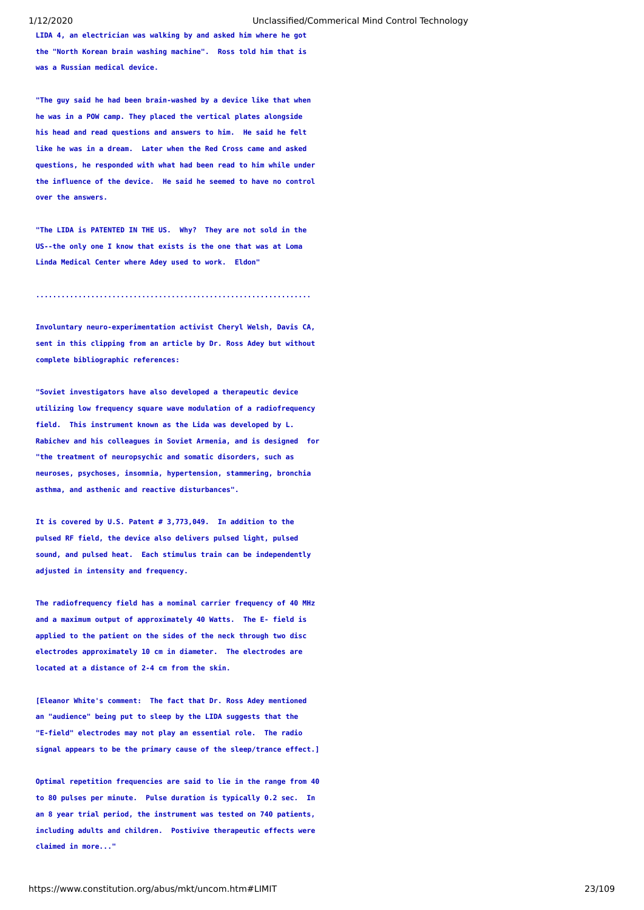**LIDA 4, an electrician was walking by and asked him where he got the "North Korean brain washing machine". Ross told him that is was a Russian medical device.**

**"The guy said he had been brain-washed by a device like that when he was in a POW camp. They placed the vertical plates alongside his head and read questions and answers to him. He said he felt like he was in a dream. Later when the Red Cross came and asked questions, he responded with what had been read to him while under the influence of the device. He said he seemed to have no control over the answers.**

**"The LIDA is PATENTED IN THE US. Why? They are not sold in the US--the only one I know that exists is the one that was at Loma Linda Medical Center where Adey used to work. Eldon"**

**.................................................................**

**Involuntary neuro-experimentation activist Cheryl Welsh, Davis CA, sent in this clipping from an article by Dr. Ross Adey but without complete bibliographic references:**

**"Soviet investigators have also developed a therapeutic device utilizing low frequency square wave modulation of a radiofrequency field. This instrument known as the Lida was developed by L. Rabichev and his colleagues in Soviet Armenia, and is designed for "the treatment of neuropsychic and somatic disorders, such as neuroses, psychoses, insomnia, hypertension, stammering, bronchia asthma, and asthenic and reactive disturbances".**

**It is covered by U.S. Patent # 3,773,049. In addition to the pulsed RF field, the device also delivers pulsed light, pulsed sound, and pulsed heat. Each stimulus train can be independently adjusted in intensity and frequency.**

**The radiofrequency field has a nominal carrier frequency of 40 MHz and a maximum output of approximately 40 Watts. The E- field is applied to the patient on the sides of the neck through two disc electrodes approximately 10 cm in diameter. The electrodes are located at a distance of 2-4 cm from the skin.**

**[Eleanor White's comment: The fact that Dr. Ross Adey mentioned an "audience" being put to sleep by the LIDA suggests that the "E-field" electrodes may not play an essential role. The radio signal appears to be the primary cause of the sleep/trance effect.]**

**Optimal repetition frequencies are said to lie in the range from 40 to 80 pulses per minute. Pulse duration is typically 0.2 sec. In an 8 year trial period, the instrument was tested on 740 patients, including adults and children. Postivive therapeutic effects were claimed in more..."**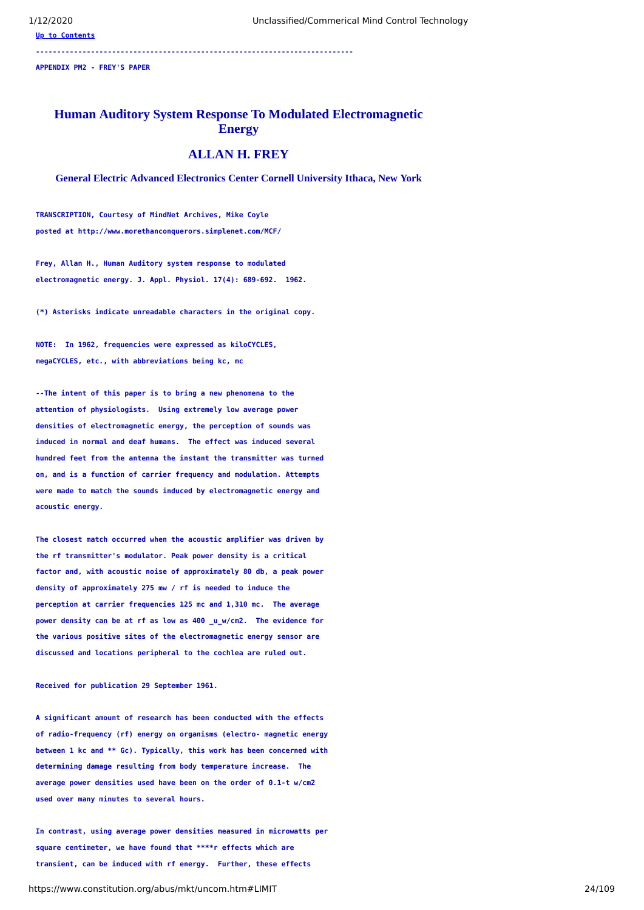**[Up to Contents](#page-2-0)**

**---------------------------------------------------------------------------**

<span id="page-23-0"></span>**APPENDIX PM2 - FREY'S PAPER**

# **Human Auditory System Response To Modulated Electromagnetic Energy**

# **ALLAN H. FREY**

**General Electric Advanced Electronics Center Cornell University Ithaca, New York**

**TRANSCRIPTION, Courtesy of MindNet Archives, Mike Coyle posted at http://www.morethanconquerors.simplenet.com/MCF/**

**Frey, Allan H., Human Auditory system response to modulated electromagnetic energy. J. Appl. Physiol. 17(4): 689-692. 1962.**

**(\*) Asterisks indicate unreadable characters in the original copy.**

**NOTE: In 1962, frequencies were expressed as kiloCYCLES, megaCYCLES, etc., with abbreviations being kc, mc**

**--The intent of this paper is to bring a new phenomena to the attention of physiologists. Using extremely low average power densities of electromagnetic energy, the perception of sounds was induced in normal and deaf humans. The effect was induced several hundred feet from the antenna the instant the transmitter was turned on, and is a function of carrier frequency and modulation. Attempts were made to match the sounds induced by electromagnetic energy and acoustic energy.** 

**The closest match occurred when the acoustic amplifier was driven by the rf transmitter's modulator. Peak power density is a critical factor and, with acoustic noise of approximately 80 db, a peak power density of approximately 275 mw / rf is needed to induce the perception at carrier frequencies 125 mc and 1,310 mc. The average power density can be at rf as low as 400 \_u\_w/cm2. The evidence for the various positive sites of the electromagnetic energy sensor are discussed and locations peripheral to the cochlea are ruled out.**

#### **Received for publication 29 September 1961.**

**A significant amount of research has been conducted with the effects of radio-frequency (rf) energy on organisms (electro- magnetic energy between 1 kc and \*\* Gc). Typically, this work has been concerned with determining damage resulting from body temperature increase. The average power densities used have been on the order of 0.1-t w/cm2 used over many minutes to several hours.**

**In contrast, using average power densities measured in microwatts per square centimeter, we have found that \*\*\*\*r effects which are transient, can be induced with rf energy. Further, these effects**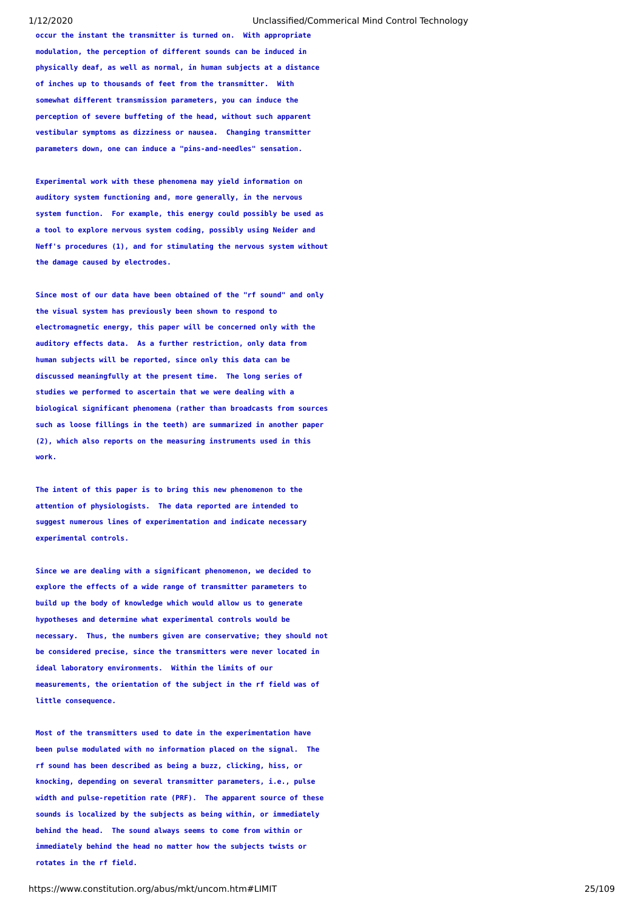**occur the instant the transmitter is turned on. With appropriate modulation, the perception of different sounds can be induced in physically deaf, as well as normal, in human subjects at a distance of inches up to thousands of feet from the transmitter. With somewhat different transmission parameters, you can induce the perception of severe buffeting of the head, without such apparent vestibular symptoms as dizziness or nausea. Changing transmitter parameters down, one can induce a "pins-and-needles" sensation.**

**Experimental work with these phenomena may yield information on auditory system functioning and, more generally, in the nervous system function. For example, this energy could possibly be used as a tool to explore nervous system coding, possibly using Neider and Neff's procedures (1), and for stimulating the nervous system without the damage caused by electrodes.**

**Since most of our data have been obtained of the "rf sound" and only the visual system has previously been shown to respond to electromagnetic energy, this paper will be concerned only with the auditory effects data. As a further restriction, only data from human subjects will be reported, since only this data can be discussed meaningfully at the present time. The long series of studies we performed to ascertain that we were dealing with a biological significant phenomena (rather than broadcasts from sources such as loose fillings in the teeth) are summarized in another paper (2), which also reports on the measuring instruments used in this work.**

**The intent of this paper is to bring this new phenomenon to the attention of physiologists. The data reported are intended to suggest numerous lines of experimentation and indicate necessary experimental controls.**

**Since we are dealing with a significant phenomenon, we decided to explore the effects of a wide range of transmitter parameters to build up the body of knowledge which would allow us to generate hypotheses and determine what experimental controls would be necessary. Thus, the numbers given are conservative; they should not be considered precise, since the transmitters were never located in ideal laboratory environments. Within the limits of our measurements, the orientation of the subject in the rf field was of little consequence.**

**Most of the transmitters used to date in the experimentation have been pulse modulated with no information placed on the signal. The rf sound has been described as being a buzz, clicking, hiss, or knocking, depending on several transmitter parameters, i.e., pulse width and pulse-repetition rate (PRF). The apparent source of these sounds is localized by the subjects as being within, or immediately behind the head. The sound always seems to come from within or immediately behind the head no matter how the subjects twists or rotates in the rf field.**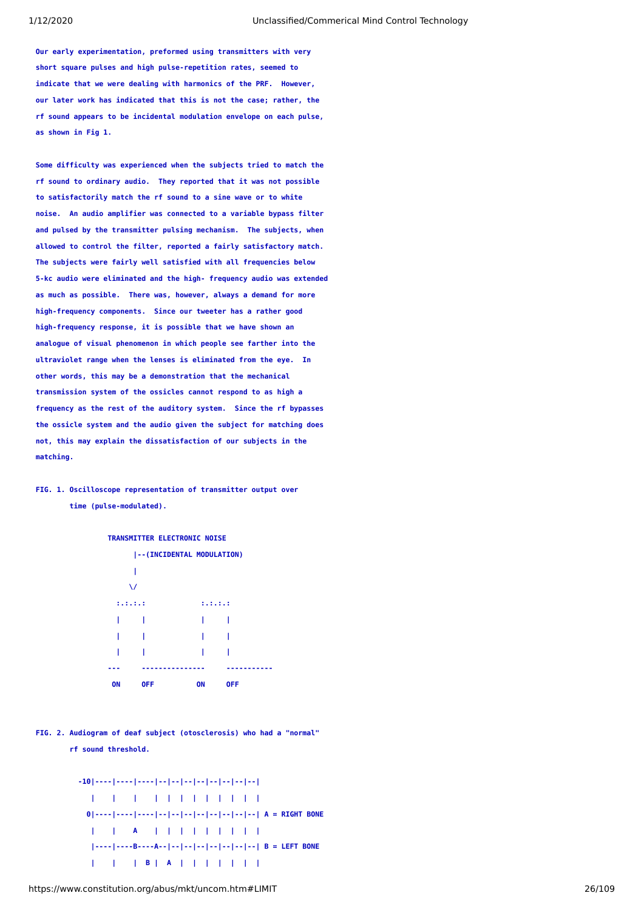**Our early experimentation, preformed using transmitters with very short square pulses and high pulse-repetition rates, seemed to indicate that we were dealing with harmonics of the PRF. However, our later work has indicated that this is not the case; rather, the rf sound appears to be incidental modulation envelope on each pulse, as shown in Fig 1.**

**Some difficulty was experienced when the subjects tried to match the rf sound to ordinary audio. They reported that it was not possible to satisfactorily match the rf sound to a sine wave or to white noise. An audio amplifier was connected to a variable bypass filter and pulsed by the transmitter pulsing mechanism. The subjects, when allowed to control the filter, reported a fairly satisfactory match. The subjects were fairly well satisfied with all frequencies below 5-kc audio were eliminated and the high- frequency audio was extended as much as possible. There was, however, always a demand for more high-frequency components. Since our tweeter has a rather good high-frequency response, it is possible that we have shown an analogue of visual phenomenon in which people see farther into the ultraviolet range when the lenses is eliminated from the eye. In other words, this may be a demonstration that the mechanical transmission system of the ossicles cannot respond to as high a frequency as the rest of the auditory system. Since the rf bypasses the ossicle system and the audio given the subject for matching does not, this may explain the dissatisfaction of our subjects in the matching.**

# **FIG. 1. Oscilloscope representation of transmitter output over time (pulse-modulated).**



### **TRANSMITTER ELECTRONIC NOISE**

**FIG. 2. Audiogram of deaf subject (otosclerosis) who had a "normal"** 

 **rf sound threshold.** 

```
 -10|----|----|----|--|--|--|--|--|--|--|--| 
   | | | | | | | | | | | | 
  0|----|----|----|--|--|--|--|--|--|--|--| A = RIGHT BONE 
      | | A | | | | | | | | | 
   |----|----B----A--|--|--|--|--|--|--|--| B = LEFT BONE 
   | | | B | A | | | | | | |
```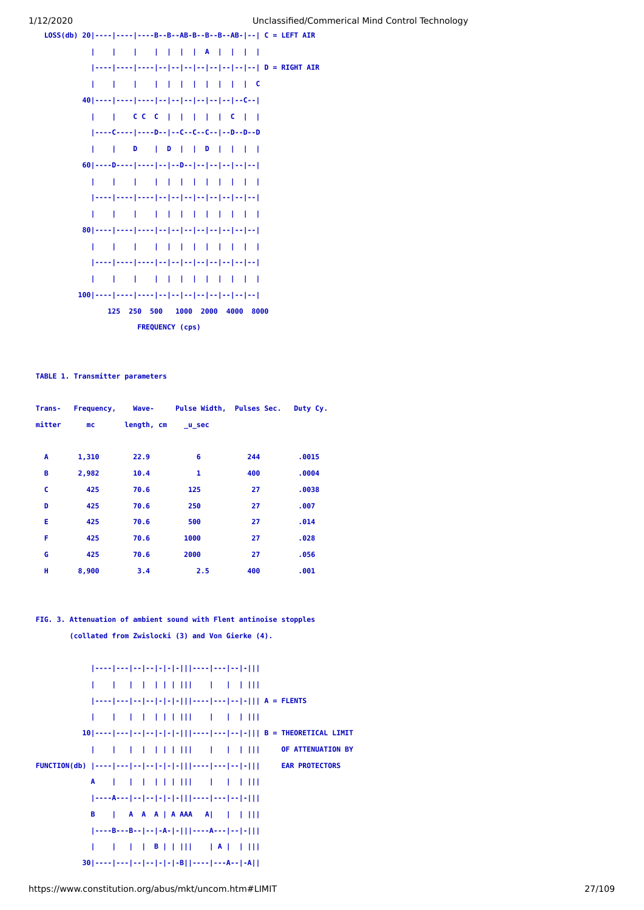



**TABLE 1. Transmitter parameters** 

| Trans- | Frequency, | <b>Wave-</b> | Pulse Width, Pulses Sec. |     | Duty Cy. |
|--------|------------|--------------|--------------------------|-----|----------|
| mitter | mc         | length, cm   | u sec                    |     |          |
|        |            |              |                          |     |          |
| A      | 1,310      | 22.9         | 6                        | 244 | .0015    |
| в      | 2,982      | 10.4         | 1                        | 400 | .0004    |
| c      | 425        | 70.6         | 125                      | 27  | .0038    |
| D      | 425        | 70.6         | 250                      | 27  | .007     |
| E      | 425        | 70.6         | 500                      | 27  | .014     |
| F      | 425        | 70.6         | 1000                     | 27  | .028     |
| G      | 425        | 70.6         | 2000                     | 27  | .056     |
| н      | 8,900      | 3.4          | 2.5                      | 400 | .001     |

# **FIG. 3. Attenuation of ambient sound with Flent antinoise stopples (collated from Zwislocki (3) and Von Gierke (4).**

```
 |----|---|--|--|-|-|-|||----|---|--|-||| 
            | | | | | | | ||| | | | ||| 
            |----|---|--|--|-|-|-|||----|---|--|-||| A = FLENTS 
            | | | | | | | ||| | | | ||| 
           10|----|---|--|--|-|-|-|||----|---|--|-||| B = THEORETICAL LIMIT
            | | | | | | | ||| | | | ||| OF ATTENUATION BY
FUNCTION(db) |----|---|--|--|-|-|-|||----|---|--|-||| EAR PROTECTORS 
             A | | | | | | ||| | | | ||| 
            |----A---|--|--|-|-|-|||----|---|--|-||| 
            B | A A A | A AAA A| | | ||| 
            |----B---B--|--|-A-|-|||----A---|--|-||| 
            | | | | B | | ||| | A | | ||| 
           30|----|---|--|--|-|-|-B||----|---A--|-A||
```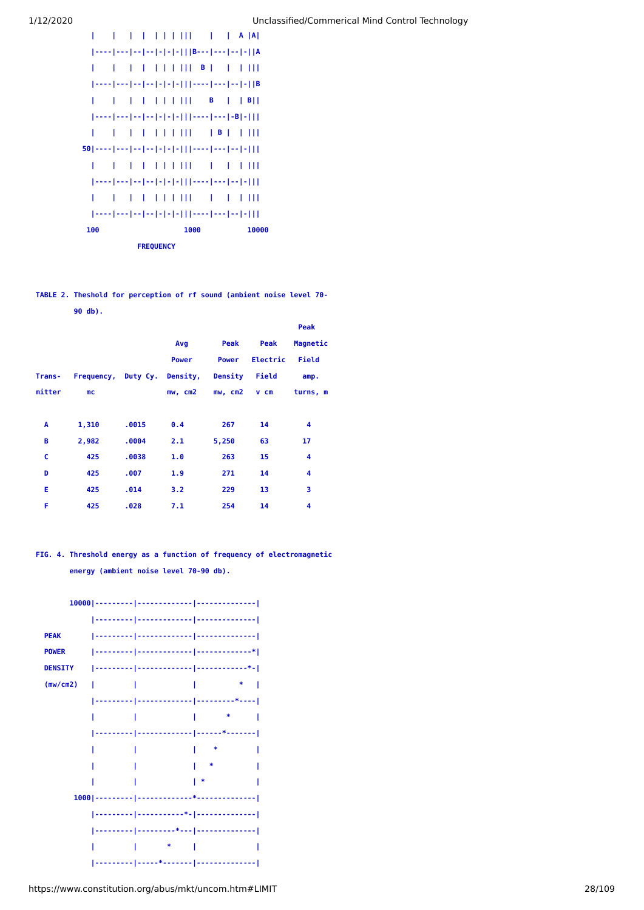

# **TABLE 2. Theshold for perception of rf sound (ambient noise level 70- 90 db).**

|               |                                            |       |              |              |          | Peak                    |
|---------------|--------------------------------------------|-------|--------------|--------------|----------|-------------------------|
|               |                                            |       | Avg          | Peak         | Peak     | Magnetic                |
|               |                                            |       | <b>Power</b> | <b>Power</b> | Electric | Field                   |
| <b>Trans-</b> | Frequency, Duty Cy. Density, Density Field |       |              |              |          | amp.                    |
| mitter        | mc                                         |       | mw, cm2      | mw, cm2      | v cm     | turns, m                |
|               |                                            |       |              |              |          |                         |
| A             | 1,310                                      | .0015 | 0.4          | 267          | 14       | $\overline{\mathbf{4}}$ |
| в             | 2,982                                      | .0004 | 2.1          | 5,250        | 63       | 17                      |
| c             | 425                                        | .0038 | 1.0          | 263          | 15       | $\overline{\mathbf{4}}$ |
| D             | 425                                        | .007  | 1.9          | 271          | 14       | $\overline{\mathbf{4}}$ |
| E             | 425                                        | .014  | 3.2          | 229          | 13       | 3                       |
| F             | 425                                        | .028  | 7.1          | 254          | 14       | $\overline{\mathbf{4}}$ |

# **FIG. 4. Threshold energy as a function of frequency of electromagnetic energy (ambient noise level 70-90 db).**

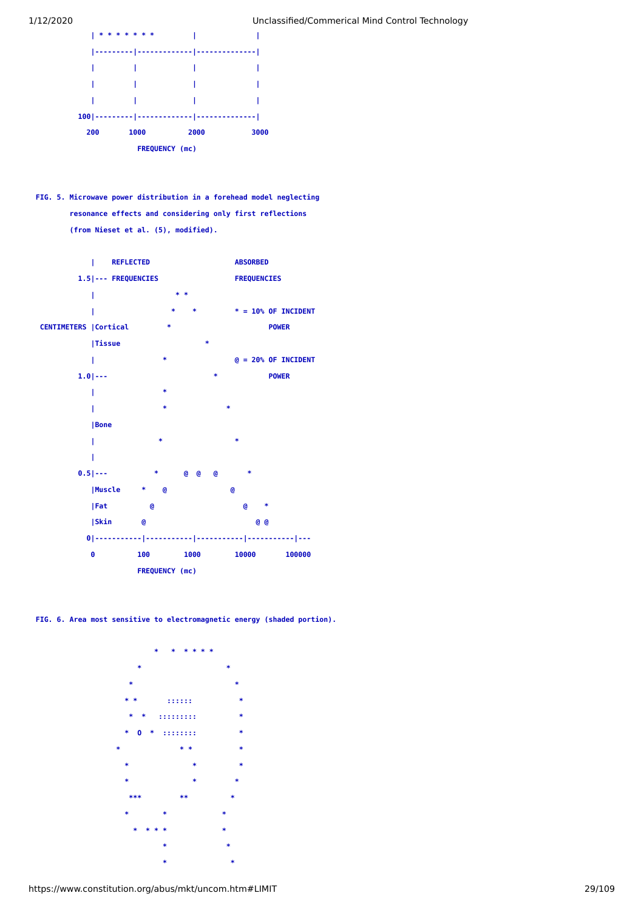

**FIG. 5. Microwave power distribution in a forehead model neglecting resonance effects and considering only first reflections (from Nieset et al. (5), modified).** 



**FIG. 6. Area most sensitive to electromagnetic energy (shaded portion).** 

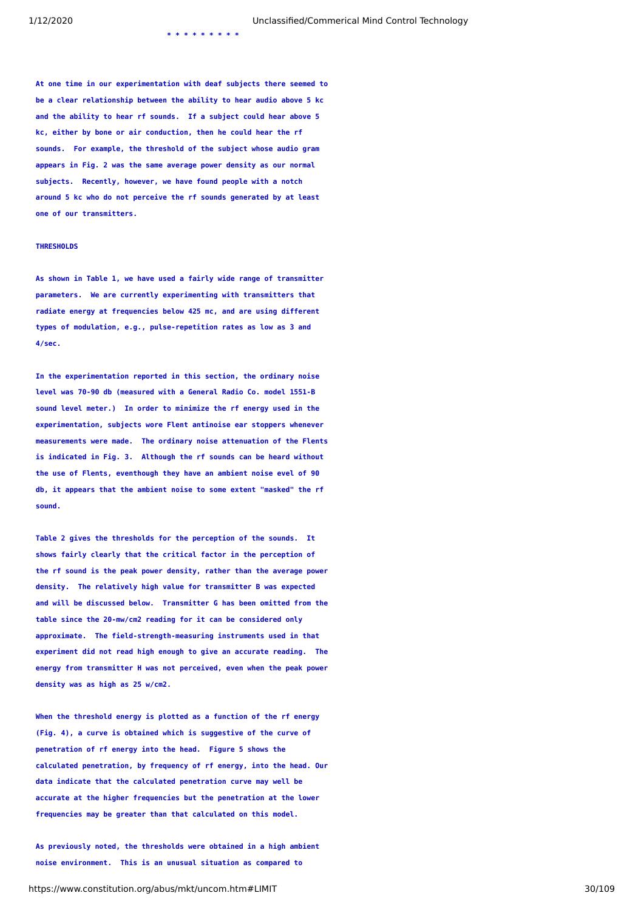**\* \* \* \* \* \* \* \* \*** 

**At one time in our experimentation with deaf subjects there seemed to be a clear relationship between the ability to hear audio above 5 kc and the ability to hear rf sounds. If a subject could hear above 5 kc, either by bone or air conduction, then he could hear the rf sounds. For example, the threshold of the subject whose audio gram appears in Fig. 2 was the same average power density as our normal subjects. Recently, however, we have found people with a notch around 5 kc who do not perceive the rf sounds generated by at least one of our transmitters.**

### **THRESHOLDS**

**As shown in Table 1, we have used a fairly wide range of transmitter parameters. We are currently experimenting with transmitters that radiate energy at frequencies below 425 mc, and are using different types of modulation, e.g., pulse-repetition rates as low as 3 and 4/sec.**

**In the experimentation reported in this section, the ordinary noise level was 70-90 db (measured with a General Radio Co. model 1551-B sound level meter.) In order to minimize the rf energy used in the experimentation, subjects wore Flent antinoise ear stoppers whenever measurements were made. The ordinary noise attenuation of the Flents is indicated in Fig. 3. Although the rf sounds can be heard without the use of Flents, eventhough they have an ambient noise evel of 90 db, it appears that the ambient noise to some extent "masked" the rf sound.**

**Table 2 gives the thresholds for the perception of the sounds. It shows fairly clearly that the critical factor in the perception of the rf sound is the peak power density, rather than the average power density. The relatively high value for transmitter B was expected and will be discussed below. Transmitter G has been omitted from the table since the 20-mw/cm2 reading for it can be considered only approximate. The field-strength-measuring instruments used in that experiment did not read high enough to give an accurate reading. The energy from transmitter H was not perceived, even when the peak power density was as high as 25 w/cm2.**

**When the threshold energy is plotted as a function of the rf energy (Fig. 4), a curve is obtained which is suggestive of the curve of penetration of rf energy into the head. Figure 5 shows the calculated penetration, by frequency of rf energy, into the head. Our data indicate that the calculated penetration curve may well be accurate at the higher frequencies but the penetration at the lower frequencies may be greater than that calculated on this model.**

**As previously noted, the thresholds were obtained in a high ambient noise environment. This is an unusual situation as compared to**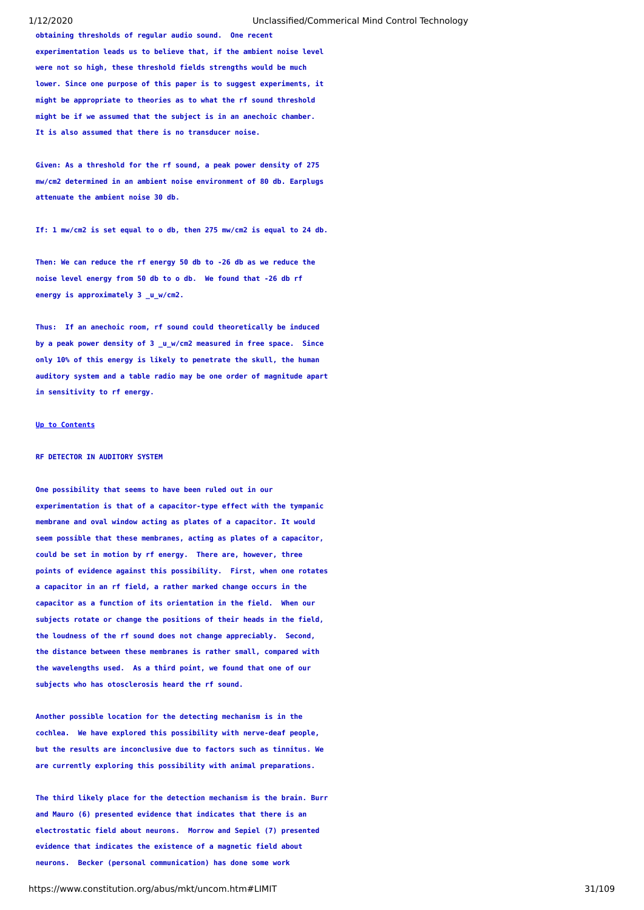**obtaining thresholds of regular audio sound. One recent experimentation leads us to believe that, if the ambient noise level were not so high, these threshold fields strengths would be much lower. Since one purpose of this paper is to suggest experiments, it might be appropriate to theories as to what the rf sound threshold might be if we assumed that the subject is in an anechoic chamber. It is also assumed that there is no transducer noise.**

**Given: As a threshold for the rf sound, a peak power density of 275 mw/cm2 determined in an ambient noise environment of 80 db. Earplugs attenuate the ambient noise 30 db.**

**If: 1 mw/cm2 is set equal to o db, then 275 mw/cm2 is equal to 24 db.**

**Then: We can reduce the rf energy 50 db to -26 db as we reduce the noise level energy from 50 db to o db. We found that -26 db rf energy is approximately 3 \_u\_w/cm2.**

**Thus: If an anechoic room, rf sound could theoretically be induced by a peak power density of 3 \_u\_w/cm2 measured in free space. Since only 10% of this energy is likely to penetrate the skull, the human auditory system and a table radio may be one order of magnitude apart in sensitivity to rf energy.**

#### **[Up to Contents](#page-2-0)**

### **RF DETECTOR IN AUDITORY SYSTEM**

**One possibility that seems to have been ruled out in our experimentation is that of a capacitor-type effect with the tympanic membrane and oval window acting as plates of a capacitor. It would seem possible that these membranes, acting as plates of a capacitor, could be set in motion by rf energy. There are, however, three points of evidence against this possibility. First, when one rotates a capacitor in an rf field, a rather marked change occurs in the capacitor as a function of its orientation in the field. When our subjects rotate or change the positions of their heads in the field, the loudness of the rf sound does not change appreciably. Second, the distance between these membranes is rather small, compared with the wavelengths used. As a third point, we found that one of our subjects who has otosclerosis heard the rf sound.**

**Another possible location for the detecting mechanism is in the cochlea. We have explored this possibility with nerve-deaf people, but the results are inconclusive due to factors such as tinnitus. We are currently exploring this possibility with animal preparations.**

**The third likely place for the detection mechanism is the brain. Burr and Mauro (6) presented evidence that indicates that there is an electrostatic field about neurons. Morrow and Sepiel (7) presented evidence that indicates the existence of a magnetic field about neurons. Becker (personal communication) has done some work**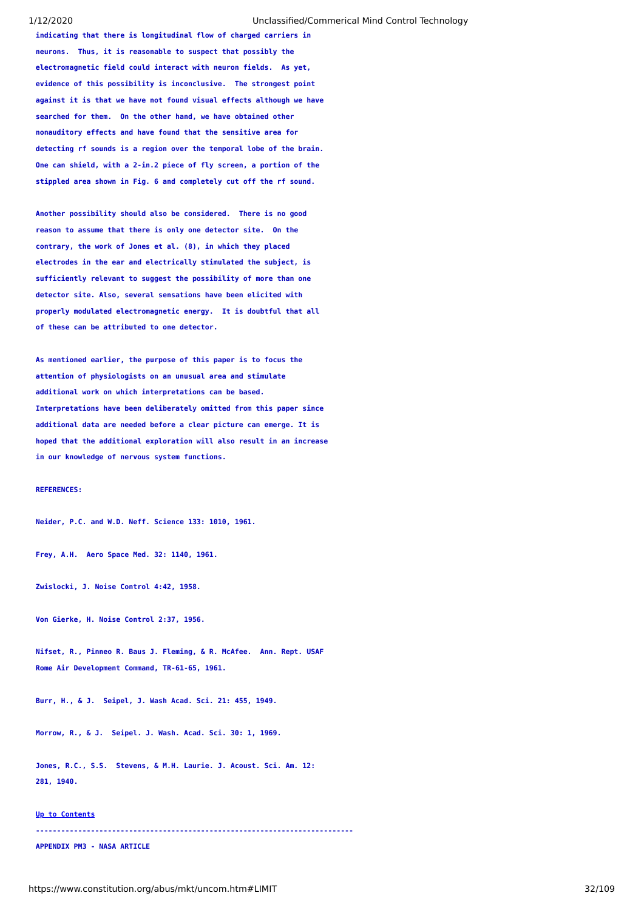**indicating that there is longitudinal flow of charged carriers in neurons. Thus, it is reasonable to suspect that possibly the electromagnetic field could interact with neuron fields. As yet, evidence of this possibility is inconclusive. The strongest point against it is that we have not found visual effects although we have searched for them. On the other hand, we have obtained other nonauditory effects and have found that the sensitive area for detecting rf sounds is a region over the temporal lobe of the brain. One can shield, with a 2-in.2 piece of fly screen, a portion of the stippled area shown in Fig. 6 and completely cut off the rf sound.**

**Another possibility should also be considered. There is no good reason to assume that there is only one detector site. On the contrary, the work of Jones et al. (8), in which they placed electrodes in the ear and electrically stimulated the subject, is sufficiently relevant to suggest the possibility of more than one detector site. Also, several sensations have been elicited with properly modulated electromagnetic energy. It is doubtful that all of these can be attributed to one detector.**

**As mentioned earlier, the purpose of this paper is to focus the attention of physiologists on an unusual area and stimulate additional work on which interpretations can be based. Interpretations have been deliberately omitted from this paper since additional data are needed before a clear picture can emerge. It is hoped that the additional exploration will also result in an increase in our knowledge of nervous system functions.**

#### **REFERENCES:**

**Neider, P.C. and W.D. Neff. Science 133: 1010, 1961.** 

**Frey, A.H. Aero Space Med. 32: 1140, 1961.**

**Zwislocki, J. Noise Control 4:42, 1958.**

**Von Gierke, H. Noise Control 2:37, 1956.**

**Nifset, R., Pinneo R. Baus J. Fleming, & R. McAfee. Ann. Rept. USAF Rome Air Development Command, TR-61-65, 1961.** 

**Burr, H., & J. Seipel, J. Wash Acad. Sci. 21: 455, 1949.**

**Morrow, R., & J. Seipel. J. Wash. Acad. Sci. 30: 1, 1969.**

**Jones, R.C., S.S. Stevens, & M.H. Laurie. J. Acoust. Sci. Am. 12: 281, 1940.**

#### **[Up to Contents](#page-2-0)**

**---------------------------------------------------------------------------**

## <span id="page-31-0"></span>**APPENDIX PM3 - NASA ARTICLE**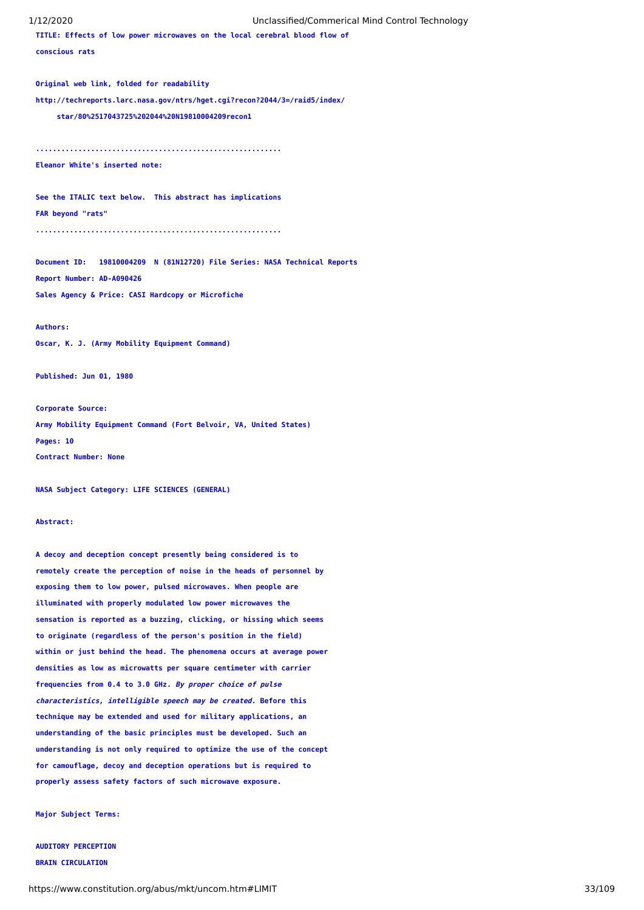**TITLE: Effects of low power microwaves on the local cerebral blood flow of**

**conscious rats**

**Original web link, folded for readability**

**http://techreports.larc.nasa.gov/ntrs/hget.cgi?recon?2044/3=/raid5/index/**

 **star/80%2517043725%202044%20N19810004209recon1**

**..........................................................**

**Eleanor White's inserted note:**

**See the ITALIC text below. This abstract has implications FAR beyond "rats"**

**..........................................................**

**Document ID: 19810004209 N (81N12720) File Series: NASA Technical Reports Report Number: AD-A090426**

**Sales Agency & Price: CASI Hardcopy or Microfiche**

#### **Authors:**

**Oscar, K. J. (Army Mobility Equipment Command)**

**Published: Jun 01, 1980**

**Corporate Source:**

**Army Mobility Equipment Command (Fort Belvoir, VA, United States) Pages: 10 Contract Number: None**

**NASA Subject Category: LIFE SCIENCES (GENERAL)**

### **Abstract:**

**A decoy and deception concept presently being considered is to remotely create the perception of noise in the heads of personnel by exposing them to low power, pulsed microwaves. When people are illuminated with properly modulated low power microwaves the sensation is reported as a buzzing, clicking, or hissing which seems to originate (regardless of the person's position in the field) within or just behind the head. The phenomena occurs at average power densities as low as microwatts per square centimeter with carrier frequencies from 0.4 to 3.0 GHz. By proper choice of pulse characteristics, intelligible speech may be created. Before this technique may be extended and used for military applications, an understanding of the basic principles must be developed. Such an understanding is not only required to optimize the use of the concept for camouflage, decoy and deception operations but is required to properly assess safety factors of such microwave exposure.**

**Major Subject Terms:**

# **AUDITORY PERCEPTION BRAIN CIRCULATION**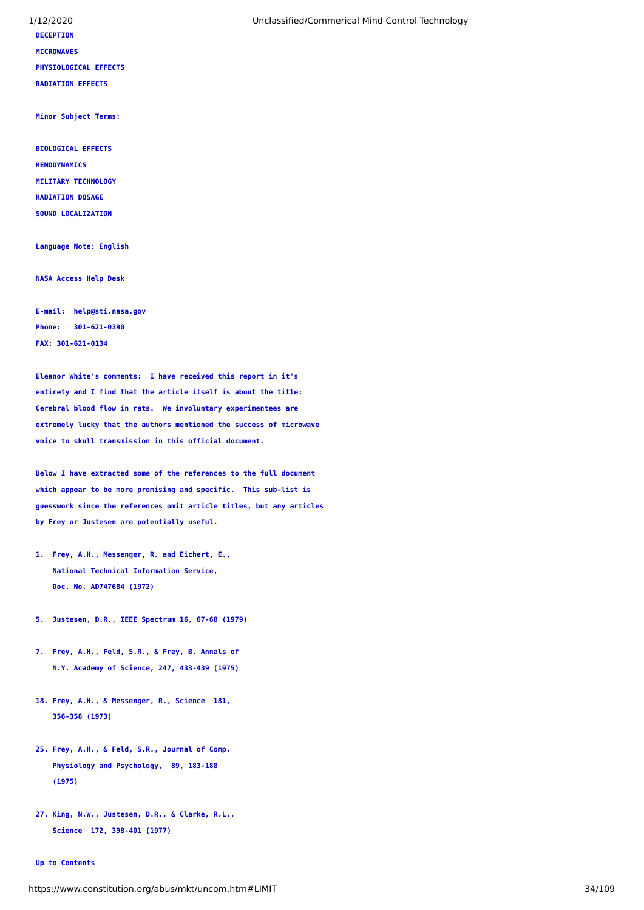# **DECEPTION MICROWAVES**

**PHYSIOLOGICAL EFFECTS**

**RADIATION EFFECTS**

**Minor Subject Terms:**

**BIOLOGICAL EFFECTS HEMODYNAMICS MILITARY TECHNOLOGY RADIATION DOSAGE**

**SOUND LOCALIZATION**

**Language Note: English**

**NASA Access Help Desk**

**E-mail: help@sti.nasa.gov Phone: 301-621-0390 FAX: 301-621-0134**

**Eleanor White's comments: I have received this report in it's entirety and I find that the article itself is about the title: Cerebral blood flow in rats. We involuntary experimentees are extremely lucky that the authors mentioned the success of microwave voice to skull transmission in this official document.**

**Below I have extracted some of the references to the full document which appear to be more promising and specific. This sub-list is guesswork since the references omit article titles, but any articles by Frey or Justesen are potentially useful.**

- **1. Frey, A.H., Messenger, R. and Eichert, E., National Technical Information Service, Doc. No. AD747684 (1972)**
- **5. Justesen, D.R., IEEE Spectrum 16, 67-68 (1979)**
- **7. Frey, A.H., Feld, S.R., & Frey, B. Annals of N.Y. Academy of Science, 247, 433-439 (1975)**
- **18. Frey, A.H., & Messenger, R., Science 181, 356-358 (1973)**
- **25. Frey, A.H., & Feld, S.R., Journal of Comp. Physiology and Psychology, 89, 183-188 (1975)**
- **27. King, N.W., Justesen, D.R., & Clarke, R.L., Science 172, 398-401 (1977)**

### **[Up to Contents](#page-2-0)**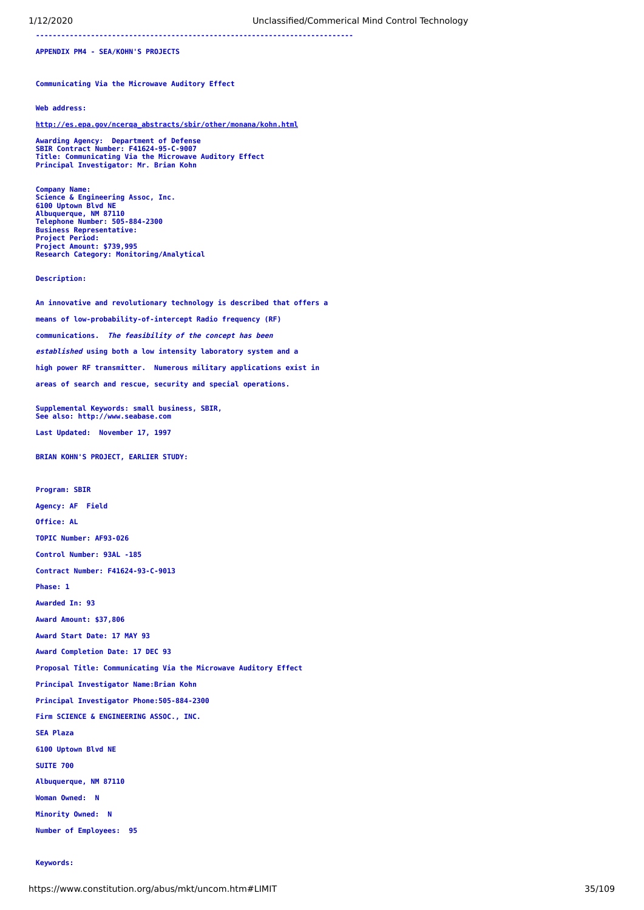**---------------------------------------------------------------------------**

<span id="page-34-0"></span>**APPENDIX PM4 - SEA/KOHN'S PROJECTS**

**Communicating Via the Microwave Auditory Effect**

#### **Web address:**

**[http://es.epa.gov/ncerqa\\_abstracts/sbir/other/monana/kohn.html](http://es.epa.gov/ncerqa_abstracts/sbir/other/monana/kohn.html)**

Awarding Agency: Department of Defense<br>SBIR Contract Number: F41624-95-C-9007<br>Title: Communicating Via the Microwave Auditory Effect<br>Principal Investigator: Mr. Brian Kohn

**Company Name: Science & Engineering Assoc, Inc. 6100 Uptown Blvd NE Albuquerque, NM 87110 Telephone Number: 505-884-2300 Business Representative: Project Period: Project Amount: \$739,995 Research Category: Monitoring/Analytical**

**Description:**

**An innovative and revolutionary technology is described that offers a means of low-probability-of-intercept Radio frequency (RF) communications. The feasibility of the concept has been established using both a low intensity laboratory system and a high power RF transmitter. Numerous military applications exist in areas of search and rescue, security and special operations.**

**Supplemental Keywords: small business, SBIR, See also: http://www.seabase.com Last Updated: November 17, 1997**

**BRIAN KOHN'S PROJECT, EARLIER STUDY:**

**Program: SBIR Agency: AF Field Office: AL TOPIC Number: AF93-026 Control Number: 93AL -185 Contract Number: F41624-93-C-9013 Phase: 1 Awarded In: 93 Award Amount: \$37,806 Award Start Date: 17 MAY 93 Award Completion Date: 17 DEC 93 Proposal Title: Communicating Via the Microwave Auditory Effect Principal Investigator Name:Brian Kohn Principal Investigator Phone:505-884-2300 Firm SCIENCE & ENGINEERING ASSOC., INC. SEA Plaza 6100 Uptown Blvd NE SUITE 700 Albuquerque, NM 87110 Woman Owned: N Minority Owned: N Number of Employees: 95**

### **Keywords:**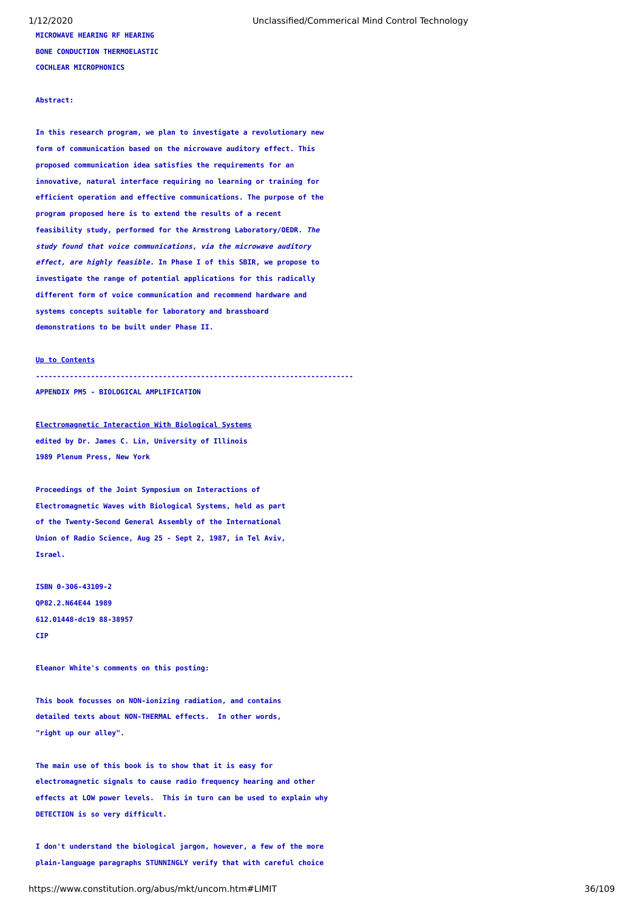# **MICROWAVE HEARING RF HEARING**

1/12/2020 Unclassified/Commerical Mind Control Technology

**BONE CONDUCTION THERMOELASTIC COCHLEAR MICROPHONICS**

### **Abstract:**

**In this research program, we plan to investigate a revolutionary new form of communication based on the microwave auditory effect. This proposed communication idea satisfies the requirements for an innovative, natural interface requiring no learning or training for efficient operation and effective communications. The purpose of the program proposed here is to extend the results of a recent feasibility study, performed for the Armstrong Laboratory/OEDR. The study found that voice communications, via the microwave auditory effect, are highly feasible. In Phase I of this SBIR, we propose to investigate the range of potential applications for this radically different form of voice communication and recommend hardware and systems concepts suitable for laboratory and brassboard demonstrations to be built under Phase II.**

### **[Up to Contents](#page-2-0)**

**---------------------------------------------------------------------------**

<span id="page-35-0"></span>**APPENDIX PM5 - BIOLOGICAL AMPLIFICATION**

**Electromagnetic Interaction With Biological Systems edited by Dr. James C. Lin, University of Illinois 1989 Plenum Press, New York**

**Proceedings of the Joint Symposium on Interactions of Electromagnetic Waves with Biological Systems, held as part of the Twenty-Second General Assembly of the International Union of Radio Science, Aug 25 - Sept 2, 1987, in Tel Aviv, Israel.**

**ISBN 0-306-43109-2 QP82.2.N64E44 1989 612.01448-dc19 88-38957 CIP**

**Eleanor White's comments on this posting:**

**This book focusses on NON-ionizing radiation, and contains detailed texts about NON-THERMAL effects. In other words, "right up our alley".**

**The main use of this book is to show that it is easy for electromagnetic signals to cause radio frequency hearing and other effects at LOW power levels. This in turn can be used to explain why DETECTION is so very difficult.**

**I don't understand the biological jargon, however, a few of the more plain-language paragraphs STUNNINGLY verify that with careful choice**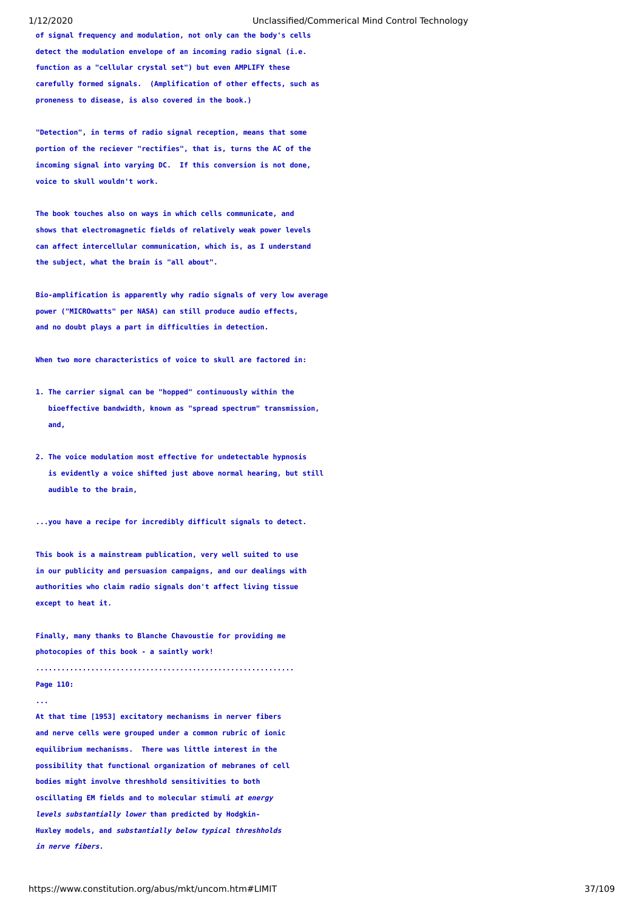**of signal frequency and modulation, not only can the body's cells detect the modulation envelope of an incoming radio signal (i.e. function as a "cellular crystal set") but even AMPLIFY these carefully formed signals. (Amplification of other effects, such as proneness to disease, is also covered in the book.)**

**"Detection", in terms of radio signal reception, means that some portion of the reciever "rectifies", that is, turns the AC of the incoming signal into varying DC. If this conversion is not done, voice to skull wouldn't work.**

**The book touches also on ways in which cells communicate, and shows that electromagnetic fields of relatively weak power levels can affect intercellular communication, which is, as I understand the subject, what the brain is "all about".**

**Bio-amplification is apparently why radio signals of very low average power ("MICROwatts" per NASA) can still produce audio effects, and no doubt plays a part in difficulties in detection.**

**When two more characteristics of voice to skull are factored in:**

- **1. The carrier signal can be "hopped" continuously within the bioeffective bandwidth, known as "spread spectrum" transmission, and,**
- **2. The voice modulation most effective for undetectable hypnosis is evidently a voice shifted just above normal hearing, but still audible to the brain,**
- **...you have a recipe for incredibly difficult signals to detect.**

**This book is a mainstream publication, very well suited to use in our publicity and persuasion campaigns, and our dealings with authorities who claim radio signals don't affect living tissue except to heat it.**

**Finally, many thanks to Blanche Chavoustie for providing me photocopies of this book - a saintly work!**

**.............................................................**

# **Page 110: ...**

**At that time [1953] excitatory mechanisms in nerver fibers and nerve cells were grouped under a common rubric of ionic equilibrium mechanisms. There was little interest in the possibility that functional organization of mebranes of cell bodies might involve threshhold sensitivities to both oscillating EM fields and to molecular stimuli at energy levels substantially lower than predicted by Hodgkin-Huxley models, and substantially below typical threshholds in nerve fibers.**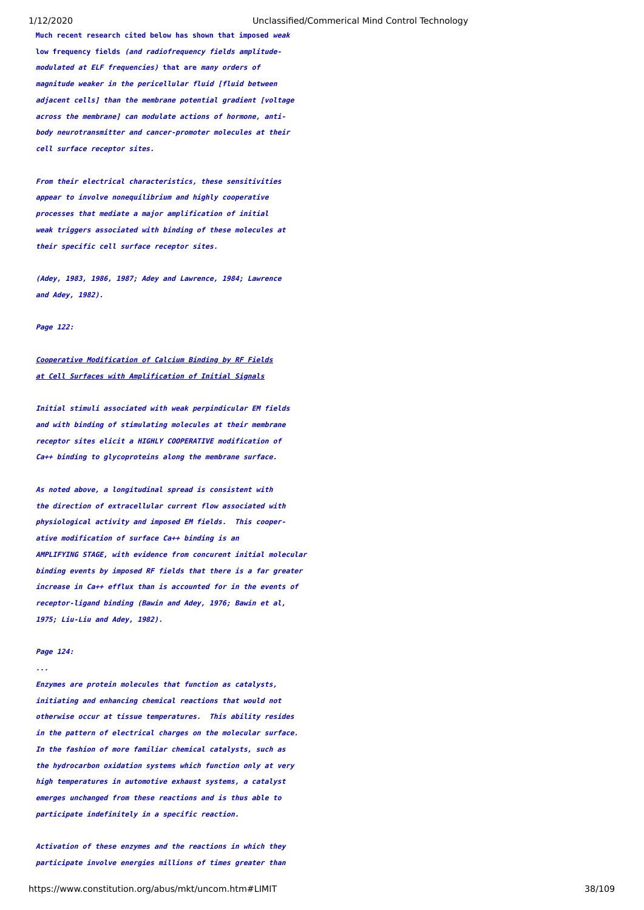**Much recent research cited below has shown that imposed weak low frequency fields (and radiofrequency fields amplitudemodulated at ELF frequencies) that are many orders of magnitude weaker in the pericellular fluid [fluid between adjacent cells] than the membrane potential gradient [voltage across the membrane] can modulate actions of hormone, antibody neurotransmitter and cancer-promoter molecules at their cell surface receptor sites.**

**From their electrical characteristics, these sensitivities appear to involve nonequilibrium and highly cooperative processes that mediate a major amplification of initial weak triggers associated with binding of these molecules at their specific cell surface receptor sites.**

**(Adey, 1983, 1986, 1987; Adey and Lawrence, 1984; Lawrence and Adey, 1982).**

# **Page 122:**

# **Cooperative Modification of Calcium Binding by RF Fields at Cell Surfaces with Amplification of Initial Signals**

**Initial stimuli associated with weak perpindicular EM fields and with binding of stimulating molecules at their membrane receptor sites elicit a HIGHLY COOPERATIVE modification of Ca++ binding to glycoproteins along the membrane surface.**

**As noted above, a longitudinal spread is consistent with the direction of extracellular current flow associated with physiological activity and imposed EM fields. This cooperative modification of surface Ca++ binding is an AMPLIFYING STAGE, with evidence from concurent initial molecular binding events by imposed RF fields that there is a far greater increase in Ca++ efflux than is accounted for in the events of receptor-ligand binding (Bawin and Adey, 1976; Bawin et al, 1975; Liu-Liu and Adey, 1982).**

# **Page 124:**

**...**

**Enzymes are protein molecules that function as catalysts, initiating and enhancing chemical reactions that would not otherwise occur at tissue temperatures. This ability resides in the pattern of electrical charges on the molecular surface. In the fashion of more familiar chemical catalysts, such as the hydrocarbon oxidation systems which function only at very high temperatures in automotive exhaust systems, a catalyst emerges unchanged from these reactions and is thus able to participate indefinitely in a specific reaction.**

**Activation of these enzymes and the reactions in which they participate involve energies millions of times greater than**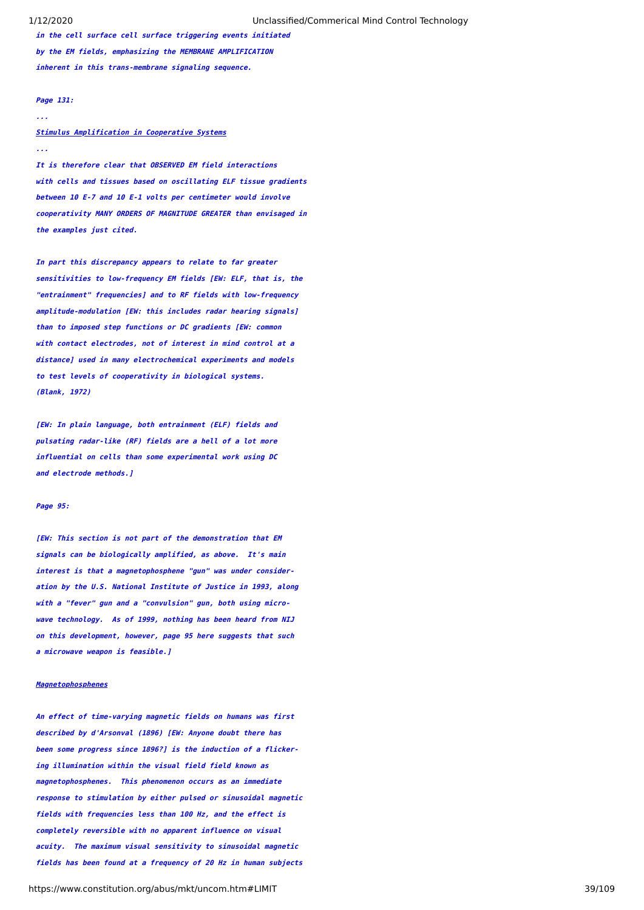**in the cell surface cell surface triggering events initiated by the EM fields, emphasizing the MEMBRANE AMPLIFICATION inherent in this trans-membrane signaling sequence.**

### **Page 131:**

### **...**

**...**

# **Stimulus Amplification in Cooperative Systems**

**It is therefore clear that OBSERVED EM field interactions with cells and tissues based on oscillating ELF tissue gradients between 10 E-7 and 10 E-1 volts per centimeter would involve cooperativity MANY ORDERS OF MAGNITUDE GREATER than envisaged in the examples just cited.**

**In part this discrepancy appears to relate to far greater sensitivities to low-frequency EM fields [EW: ELF, that is, the "entrainment" frequencies] and to RF fields with low-frequency amplitude-modulation [EW: this includes radar hearing signals] than to imposed step functions or DC gradients [EW: common with contact electrodes, not of interest in mind control at a distance] used in many electrochemical experiments and models to test levels of cooperativity in biological systems. (Blank, 1972)**

**[EW: In plain language, both entrainment (ELF) fields and pulsating radar-like (RF) fields are a hell of a lot more influential on cells than some experimental work using DC and electrode methods.]**

### **Page 95:**

**[EW: This section is not part of the demonstration that EM signals can be biologically amplified, as above. It's main interest is that a magnetophosphene "gun" was under consideration by the U.S. National Institute of Justice in 1993, along with a "fever" gun and a "convulsion" gun, both using microwave technology. As of 1999, nothing has been heard from NIJ on this development, however, page 95 here suggests that such a microwave weapon is feasible.]**

### **Magnetophosphenes**

**An effect of time-varying magnetic fields on humans was first described by d'Arsonval (1896) [EW: Anyone doubt there has been some progress since 1896?] is the induction of a flickering illumination within the visual field field known as magnetophosphenes. This phenomenon occurs as an immediate response to stimulation by either pulsed or sinusoidal magnetic fields with frequencies less than 100 Hz, and the effect is completely reversible with no apparent influence on visual acuity. The maximum visual sensitivity to sinusoidal magnetic fields has been found at a frequency of 20 Hz in human subjects**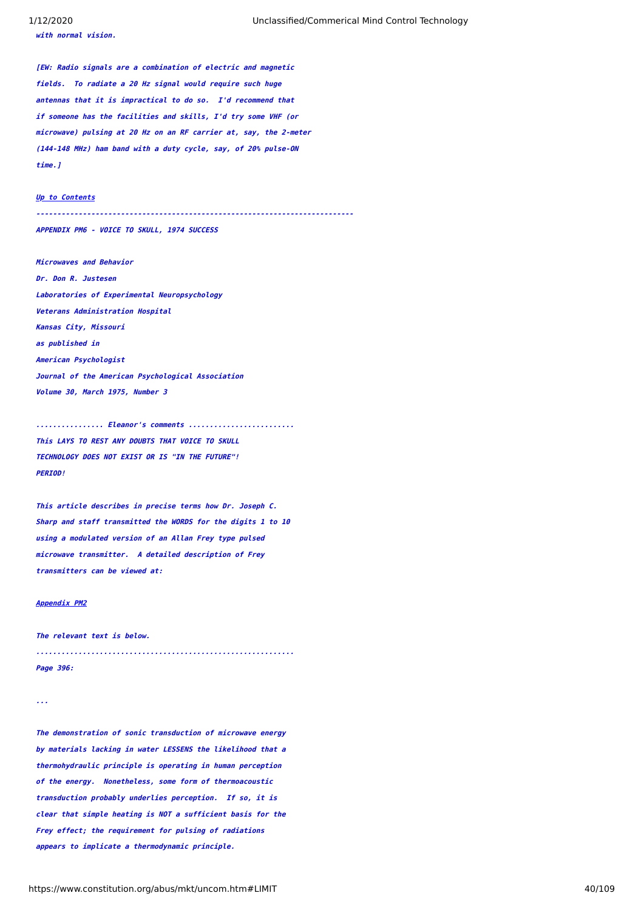**with normal vision.**

**[EW: Radio signals are a combination of electric and magnetic fields. To radiate a 20 Hz signal would require such huge antennas that it is impractical to do so. I'd recommend that if someone has the facilities and skills, I'd try some VHF (or microwave) pulsing at 20 Hz on an RF carrier at, say, the 2-meter (144-148 MHz) ham band with a duty cycle, say, of 20% pulse-ON time.]**

# **[Up to Contents](#page-2-0)**

**---------------------------------------------------------------------------**

<span id="page-39-0"></span>**APPENDIX PM6 - VOICE TO SKULL, 1974 SUCCESS**

**Microwaves and Behavior Dr. Don R. Justesen Laboratories of Experimental Neuropsychology Veterans Administration Hospital Kansas City, Missouri as published in American Psychologist Journal of the American Psychological Association Volume 30, March 1975, Number 3**

**................ Eleanor's comments ......................... This LAYS TO REST ANY DOUBTS THAT VOICE TO SKULL TECHNOLOGY DOES NOT EXIST OR IS "IN THE FUTURE"! PERIOD!**

**This article describes in precise terms how Dr. Joseph C. Sharp and staff transmitted the WORDS for the digits 1 to 10 using a modulated version of an Allan Frey type pulsed microwave transmitter. A detailed description of Frey transmitters can be viewed at:**

# **[Appendix PM2](#page-23-0)**

**The relevant text is below. ............................................................. Page 396:**

**...**

**The demonstration of sonic transduction of microwave energy by materials lacking in water LESSENS the likelihood that a thermohydraulic principle is operating in human perception of the energy. Nonetheless, some form of thermoacoustic transduction probably underlies perception. If so, it is clear that simple heating is NOT a sufficient basis for the Frey effect; the requirement for pulsing of radiations appears to implicate a thermodynamic principle.**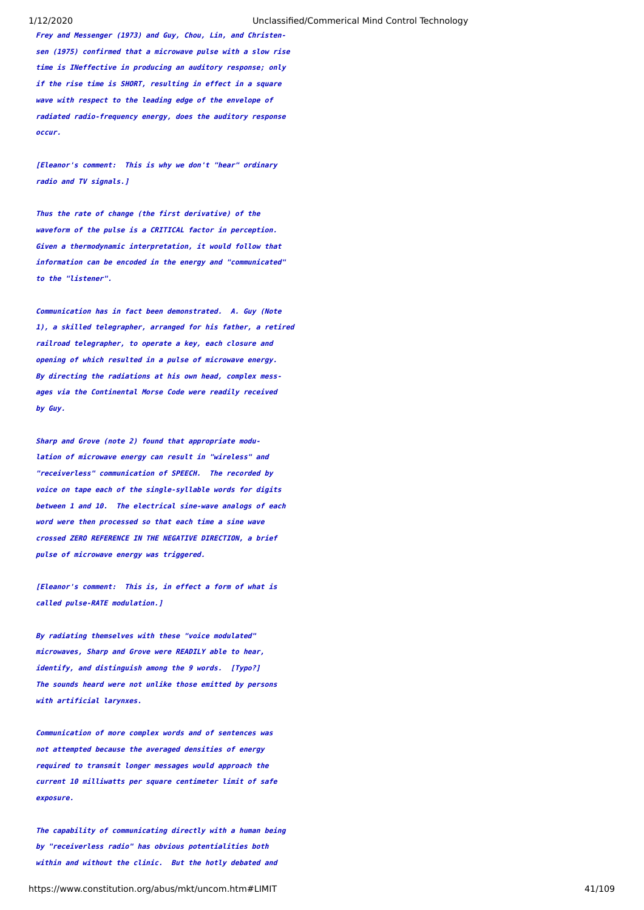**Frey and Messenger (1973) and Guy, Chou, Lin, and Christensen (1975) confirmed that a microwave pulse with a slow rise time is INeffective in producing an auditory response; only if the rise time is SHORT, resulting in effect in a square wave with respect to the leading edge of the envelope of radiated radio-frequency energy, does the auditory response occur.**

**[Eleanor's comment: This is why we don't "hear" ordinary radio and TV signals.]**

**Thus the rate of change (the first derivative) of the waveform of the pulse is a CRITICAL factor in perception. Given a thermodynamic interpretation, it would follow that information can be encoded in the energy and "communicated" to the "listener".**

**Communication has in fact been demonstrated. A. Guy (Note 1), a skilled telegrapher, arranged for his father, a retired railroad telegrapher, to operate a key, each closure and opening of which resulted in a pulse of microwave energy. By directing the radiations at his own head, complex messages via the Continental Morse Code were readily received by Guy.**

**Sharp and Grove (note 2) found that appropriate modulation of microwave energy can result in "wireless" and "receiverless" communication of SPEECH. The recorded by voice on tape each of the single-syllable words for digits between 1 and 10. The electrical sine-wave analogs of each word were then processed so that each time a sine wave crossed ZERO REFERENCE IN THE NEGATIVE DIRECTION, a brief pulse of microwave energy was triggered.**

**[Eleanor's comment: This is, in effect a form of what is called pulse-RATE modulation.]**

**By radiating themselves with these "voice modulated" microwaves, Sharp and Grove were READILY able to hear, identify, and distinguish among the 9 words. [Typo?] The sounds heard were not unlike those emitted by persons with artificial larynxes.**

**Communication of more complex words and of sentences was not attempted because the averaged densities of energy required to transmit longer messages would approach the current 10 milliwatts per square centimeter limit of safe exposure.**

**The capability of communicating directly with a human being by "receiverless radio" has obvious potentialities both within and without the clinic. But the hotly debated and**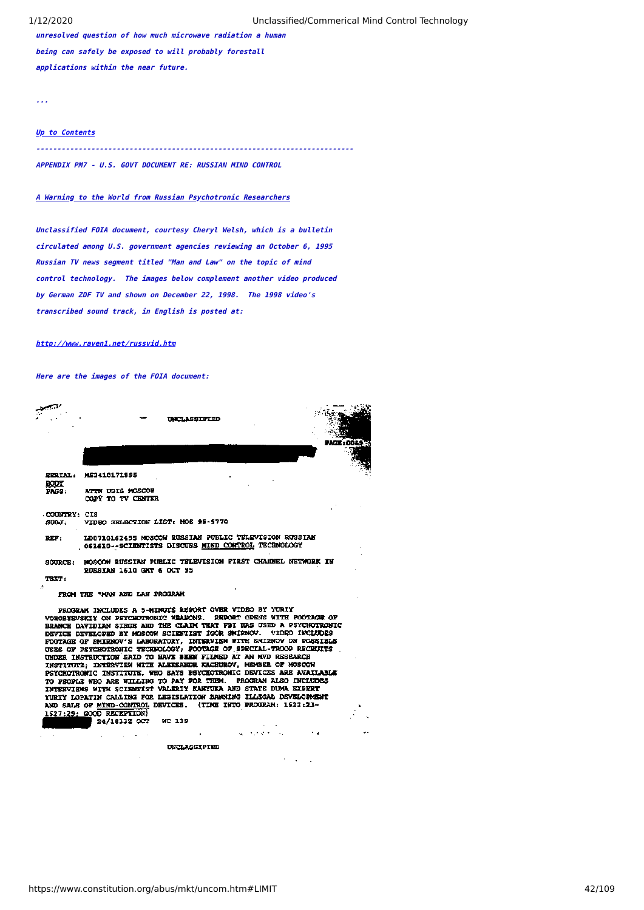**unresolved question of how much microwave radiation a human being can safely be exposed to will probably forestall applications within the near future.**

**...**

# **[Up to Contents](#page-2-0)**

**---------------------------------------------------------------------------**

**APPENDIX PM7 - U.S. GOVT DOCUMENT RE: RUSSIAN MIND CONTROL**

# **A Warning to the World from Russian Psychotronic Researchers**

**Unclassified FOIA document, courtesy Cheryl Welsh, which is a bulletin circulated among U.S. government agencies reviewing an October 6, 1995 Russian TV news segment titled "Man and Law" on the topic of mind control technology. The images below complement another video produced by German ZDF TV and shown on December 22, 1998. The 1998 video's transcribed sound track, in English is posted at:**

# **[http://www.raven1.net/russvid.htm](https://www.constitution.org/abus/mkt/russvid.htm)**

**Here are the images of the FOIA document:**

|                       | <b><i>TACLASSIFIED</i></b>                                                                                  |  |
|-----------------------|-------------------------------------------------------------------------------------------------------------|--|
|                       |                                                                                                             |  |
| <b>BODY</b>           | SERIAL: MS2410171895                                                                                        |  |
| <b>PASS:</b>          | ATIN USIS MOSCOW<br>COPY TO TV CENTER                                                                       |  |
| COUNTRY: CIS<br>SULT. | VIDEO SKLECTION LIST: MOS 95-5770                                                                           |  |
| REF:                  | LD0710162495 MOSCOW RUSSIAN PUBLIC TELEVISION RUSSIAN<br>OG1610--SCIENTISTS DISCUBS MIND CONTROL TECHNOLOGY |  |
| SOURCE:               | MOSCON RUSSIAN PUBLIC TELEVISION FIRST CHANNEL NETWORK IN<br><b>DURSIAN 1610 GMT 6 OCT 95</b>               |  |
| <b>TRXT:</b>          |                                                                                                             |  |
| ÷                     | FROM THE "MAN AND LAW PROGRAM                                                                               |  |

PROGRAM INCLUDES A 5-MINUTE REPORT OVER VIDEO BY YURIY VOROBYSVSKIY ON PSYCHOTRONIC WEARONS. PRPORT OPENS WITH FOOTAGE OF BRANCH DAVIDIAN STRGE AND THE CLAIM THAT FBI HAS USED A PSYCHOTRONIC BRANCE DAVIDIAN SIEGE AND THE GLENTIST IGOR SHIRNOV. VIDEO INCLUDES<br>DEVICE DEVELOPED BY MOSCOW SCIENTIST IGOR SHIRNOV. VIDEO INCLUDES<br>FOOTAGE OF SNIEMOV'S LABORATORY, INTERVIEN WITH SHIRNOV ON POSSIBLE<br>USES OF PSYCHOTRONIC UBDER INSTRUCTION SAID TO BAVE SEEM FILMING AT AN WAS SERVED TRISTING PROCHECALLY AND STATISTIC PROCESS ARE AVAILABLE TO PROPLE WHO ARE WILLING TO PAY FOR THEM. PROGRAM ALSO INCLUDES INTERVIEWS WITH SCIENTIST VALERIY KNAVG YURIY LOPATIN CALLING FOR LEGISLATION BANNING ILLEGAL DEVELOPMENT AND SALE OF MIND-CONTROL DEVICES.<br>1527:29: GOOD RECEPTION) (TIME INTO PROGRAM: 1622:23-

24/1833Z OCT **MC 119** 

> $\overline{a}$ UNCLASSIFIED

 $\mathcal{L}^{\mathcal{L}}$  , where  $\mathcal{L}^{\mathcal{L}}$  and  $\mathcal{L}^{\mathcal{L}}$ 

 $\sim 10$ 

 $\epsilon = 1/\sqrt{2}$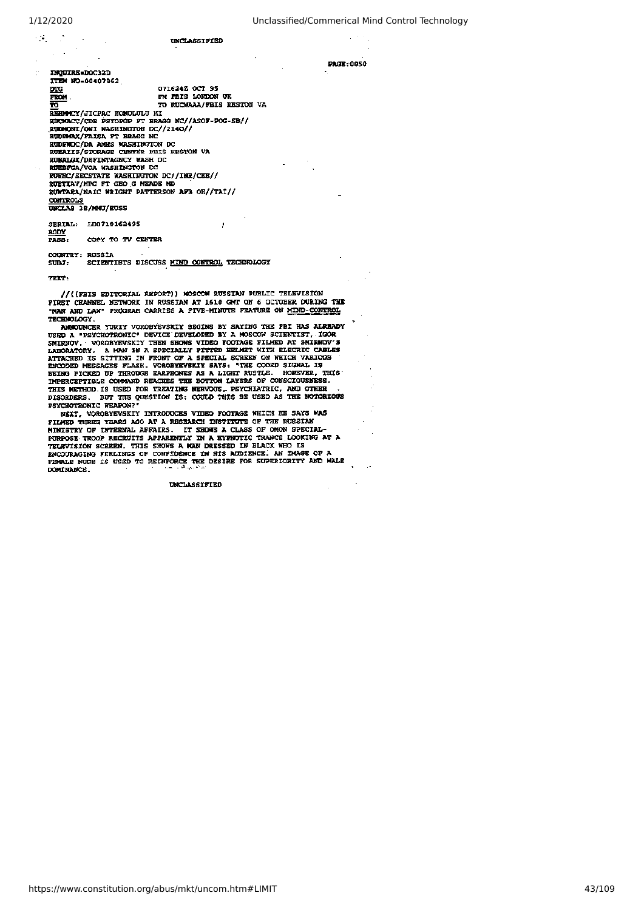$\sim 12$ 

 $\mathbb{R}^n$ 

PAGE: 0050

| ٠             | <b>UNCLASSIFIED</b> |
|---------------|---------------------|
|               |                     |
| -------- ---- |                     |

TTEM MO-00407862 071624Z OCT 95 **DTG** FM FBIS LONDON UK FROM TO RUCHAAA/FBIS RESTON VA ᠊ᠷ REHMMCY/JICPAC HONOLULU HI EURERCY COR PSYCHOLE FT BRAGG NC//ASOF-POG-SB//<br>RURMACC/COR PSYCHOLE FT BRAGG NC//ASOF-POG-SB// EUDPHAX/FAISA FT BRAGG NC RUDPHAX/FAISA FT BRAGG NC EUBRALIS/STORAGE CENTER FRIS RESTON VA RUERIC/SECSTATE NASHINGTON DC//INR/CEE//<br>RUERIC/SECSTATE NASHINGTON DC//INR/CEE//<br>RUNTARA/NAIC WRIGHT PATTERSON AFB OR//TAI// CONTROLS<br>UNCLAS 3B/MNU/RUSS SERIAL: LD0710162495 J

 $\frac{\text{BODY}}{\text{PAS3}}$ COPY TO TV CENTER

COUNTRY: RUSSIA SCIENTISTS DISCUSS MIND CONTROL TECHNOLOGY  $SUBJ:$ 

 $TRT$ 

//((FBIS EDITORIAL REPORT)) MOSCOW RUSSIAN PUBLIC TELEVISION PIRST CHANNEL NETWORK IN RUSSIAN AT 1610 GMT ON 6 OCTOBER DURING THE "NAK AND LAW" PROGRAM CARRIES A PIVE-MINUTE FEATURE ON MIND-CONTROL TECHNOLOGY.

TECHNOLOGY. ANNOUNCE YURIY VOROBYEVSKIY BEGINS BY SAYING THE FBI HAS ALREADY USED A "PSYCHOTRONIC" DEVICE DEVELOPED BY A MOSCOW SCIENTIST, IGOR SHIRKOV, VOROBYEVSKIY THEN SHOWS VIDEO POOTAGE FILMED AT SHIRKOV'S LABORATORY. PSYCHOTRONIC WEAPON?

NEXT, VOROBYEVSKIY INTRODUCES VIDEO FOOTAGE WHICH HE SAYS WAS WEXT, VOROBYEVSKIY INTRODUCES VIDEO FOOTAGE WHICH HE SAYS WAS<br>FILMED THREE YEARS AGO AT A RESEARCH INSTITUTE OF THE RUSSIAN<br>MINISTRY OF INTERNAL AFFAIRS. IT SHOWS A CLASS OF OMON SPECIAL-<br>PURPOSE TROOP RECEUITS APPARENTLY DOMINANCE.

UNCLASSIFIED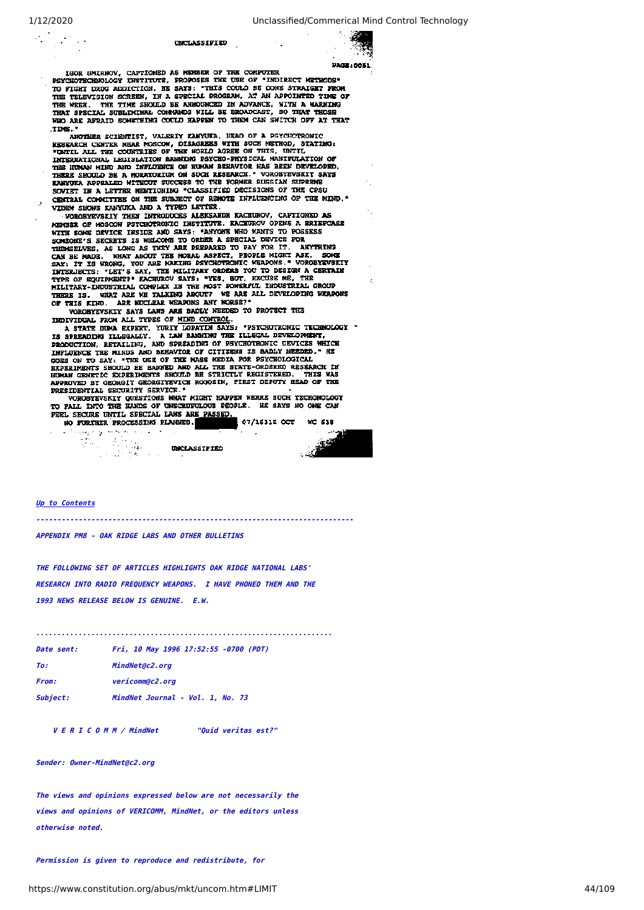$\sim$ 

### UNCLASSIFIED



**PAGE: 0051** 

 $\ddot{\cdot}$ 

IGOR SMIRNOV, CAPTIONED AS MEMBER OF THE COMPOTER<br>PSYCHOTECHNOLOGY INSTITUTE, PROPOSES THE USE OF "INDIRECT METHODS"<br>TO FIGHT DRUG ADDICTION. HE SAYS: "THIS COULD BE DONE STRAIGHT FROM THE TELEVISION SCREEN, IN A SPECIAL PROGRAM, AT AN APPOINTED TIME OF THE TELEVISION SCREEN, IN A SPECIAL PROGRAM, AT AN APPOINTED TIME OF THE THE SHOULD BE ANNOUNCED IN ADVANCE, WITH A WARNING THAT THOSE WHO ARE AFRAID SOMETHING COULD HAPPEN TO THEM CAN SWITCH OFF AT THAT TIME."

TIME."<br>ANYTHER SCIENTIST, VALERIY KANYUKA, HEAD OF A PSYCHOTRONIC<br>RESERRCH CENTER NEAR MOSCOW, DISAGREES WITH SUCH METHOD, STATING:<br>"UNTIL ALL THE COUNTRIES OF THE WORLD AGREE ON THIS, UNTIL<br>INTERNATIONAL LEGISLATION BANNI THE HUMAN MIND AND INFLUENCE ON HUMAN BEHAVIOR HAS BEEN DEVELOPED, THERE SHOULD BE A MORATORIUM ON SUCH RESEARCH." VOROBYEVSKIT SAYS KANYURA APPEALED WITHOUT SUCCESS TO THE FORMER RUSSIAN SUPERME SOVIET IN A LETTER MENTIONING "CLASSIFIED DECISIONS OF THE CPSU CENTRAL CONNITTEE ON THE SUBJECT OF REMOTE INFLUENCING OF THE MIND." VIDEW SHOWS KANYUKA AND A TYPED LETTER.

VOROBYEVSKIY THEM INTRODUCES ALEKSANDR KACHUROV, CAPTIONED AS VOROBYEVSKIY THEN INTRODUCES ALEKSANDR KACHUROV, CAFIONED AS<br>MENDER OF MOSCON PSYCHOTRONIC INSTITUTE. KACHUROV OPENS A BRIEFCASE<br>WITH SOME DEVICE INSIDE AND SAYS: "ANYONE WHO WANTS TO POSSESS<br>SOMEONE'S SECRETS IS WELCOME T

OF THIS KIND. AKE NUCLEAR WEADONS ARE MORSEY<br>VORGEYEVSKIY SAYS LAWS ARE BADLY NEEDED TO PROTECT THE<br>INDIVIDUAL FROM ALL TYPES OF <u>MIND CONTROL.</u>

A STATE DUNA EXPERT, YURIY LOPATIN SAYS: "PSYCHOTRONIC TECHNOLOGY " A STAR DOWN EAPSAL, A LAM BARRING THE ILLEGAL DEVELOPMENT,<br>IS SPREADING ILLEGALLY. A LAM BARRING THE ILLEGAL DEVELOPMENT,<br>PRODUCTION, RETAILING, AND SPREADING OF PSYCHOTRONIC DEVICES WHICH INFIJENCE THE MINDS AND BEHAVIOR OF CITIZENS IS BADLY NEEDED." HE THE USE OF THE WAS MEDIA FOR PSYCHOLOGICAL<br>EXPERIMENTS SHOULD BE BANNED AND ALL THE STATE-ORDERED RESEARCH IN<br>HUMAN GENETIC EXPERIMENTS SHOULD BE STRICTLY REGISTERED. THIS WAS APPROVED BY GEORGIY GEORGIYEVICH ROGOZIN, FIRST DEPUTY HEAD OF THE PRESIDENTIAL SECURITY SERVICE."<br>VOROBYEVSKIY QUESTIONS WHAT MIGHT HAPPEN WERRE SUCH TECHONOLOGY

TO FALL INTO THE HANDS OF UNSCRUPULOUS PEOPLE. HE SAYS NO ONE CAN PEEL SECURE UNTIL SPECIAL LAWS ARE PASSED.

NO FURTHER PROCESSING PLANMED. 07/16312 0CT **MC 638** 

فبالتوارد والمرجع ومراجع ويتوار UNCLASSIFIED

 $\sim 10$ 

**Article** rØ

### **[Up to Contents](#page-2-0)**

in.<br>Vite

**---------------------------------------------------------------------------**

**APPENDIX PM8 - OAK RIDGE LABS AND OTHER BULLETINS**

**THE FOLLOWING SET OF ARTICLES HIGHLIGHTS OAK RIDGE NATIONAL LABS' RESEARCH INTO RADIO FREQUENCY WEAPONS. I HAVE PHONED THEM AND THE 1993 NEWS RELEASE BELOW IS GENUINE. E.W.**

**......................................................................**

| Date sent:   | Fri, 10 May 1996 17:52:55 -0700 (PDT) |
|--------------|---------------------------------------|
| To:          | MindNet@c2.org                        |
| <b>From:</b> | vericomm@c2.org                       |
| Subject:     | MindNet Journal - Vol. 1. No. 73      |

 **V E R I C O M M / MindNet "Quid veritas est?"**

### **Sender: Owner-MindNet@c2.org**

**The views and opinions expressed below are not necessarily the views and opinions of VERICOMM, MindNet, or the editors unless otherwise noted.**

**Permission is given to reproduce and redistribute, for**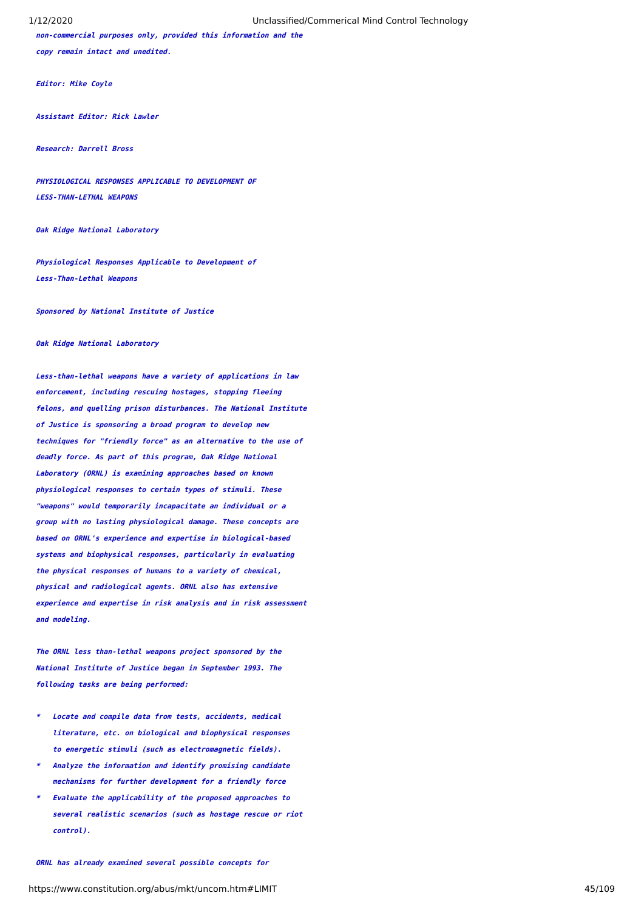**non-commercial purposes only, provided this information and the copy remain intact and unedited.**

**Editor: Mike Coyle** 

**Assistant Editor: Rick Lawler**

**Research: Darrell Bross**

**PHYSIOLOGICAL RESPONSES APPLICABLE TO DEVELOPMENT OF LESS-THAN-LETHAL WEAPONS**

**Oak Ridge National Laboratory**

**Physiological Responses Applicable to Development of Less-Than-Lethal Weapons**

**Sponsored by National Institute of Justice**

**Oak Ridge National Laboratory**

**Less-than-lethal weapons have a variety of applications in law enforcement, including rescuing hostages, stopping fleeing felons, and quelling prison disturbances. The National Institute of Justice is sponsoring a broad program to develop new techniques for "friendly force" as an alternative to the use of deadly force. As part of this program, Oak Ridge National Laboratory (ORNL) is examining approaches based on known physiological responses to certain types of stimuli. These "weapons" would temporarily incapacitate an individual or a group with no lasting physiological damage. These concepts are based on ORNL's experience and expertise in biological-based systems and biophysical responses, particularly in evaluating the physical responses of humans to a variety of chemical, physical and radiological agents. ORNL also has extensive experience and expertise in risk analysis and in risk assessment and modeling.**

**The ORNL less than-lethal weapons project sponsored by the National Institute of Justice began in September 1993. The following tasks are being performed:**

- **\* Locate and compile data from tests, accidents, medical literature, etc. on biological and biophysical responses to energetic stimuli (such as electromagnetic fields).**
- **\* Analyze the information and identify promising candidate mechanisms for further development for a friendly force**
- **\* Evaluate the applicability of the proposed approaches to several realistic scenarios (such as hostage rescue or riot control).**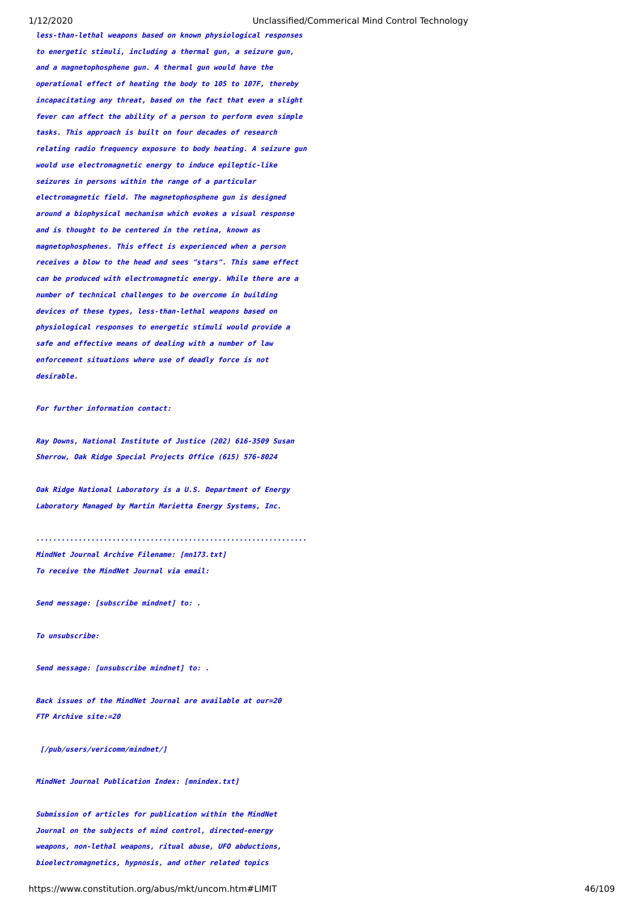**less-than-lethal weapons based on known physiological responses to energetic stimuli, including a thermal gun, a seizure gun, and a magnetophosphene gun. A thermal gun would have the operational effect of heating the body to 105 to 107F, thereby incapacitating any threat, based on the fact that even a slight fever can affect the ability of a person to perform even simple tasks. This approach is built on four decades of research relating radio frequency exposure to body heating. A seizure gun would use electromagnetic energy to induce epileptic-like seizures in persons within the range of a particular electromagnetic field. The magnetophosphene gun is designed around a biophysical mechanism which evokes a visual response and is thought to be centered in the retina, known as magnetophosphenes. This effect is experienced when a person receives a blow to the head and sees "stars". This same effect can be produced with electromagnetic energy. While there are a number of technical challenges to be overcome in building devices of these types, less-than-lethal weapons based on physiological responses to energetic stimuli would provide a safe and effective means of dealing with a number of law enforcement situations where use of deadly force is not desirable.**

# **For further information contact:**

**Ray Downs, National Institute of Justice (202) 616-3509 Susan Sherrow, Oak Ridge Special Projects Office (615) 576-8024**

**Oak Ridge National Laboratory is a U.S. Department of Energy Laboratory Managed by Martin Marietta Energy Systems, Inc.**

**................................................................ MindNet Journal Archive Filename: [mn173.txt] To receive the MindNet Journal via email:**

**Send message: [subscribe mindnet] to: .**

**To unsubscribe:**

**Send message: [unsubscribe mindnet] to: .**

**Back issues of the MindNet Journal are available at our=20 FTP Archive site:=20**

 **[/pub/users/vericomm/mindnet/]**

**MindNet Journal Publication Index: [mnindex.txt]**

**Submission of articles for publication within the MindNet Journal on the subjects of mind control, directed-energy weapons, non-lethal weapons, ritual abuse, UFO abductions, bioelectromagnetics, hypnosis, and other related topics**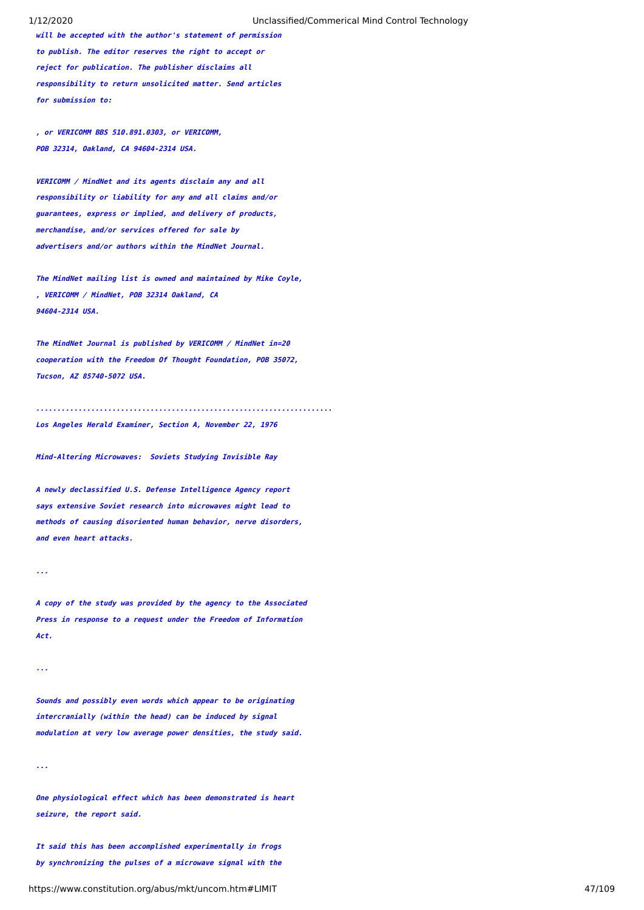**will be accepted with the author's statement of permission to publish. The editor reserves the right to accept or reject for publication. The publisher disclaims all responsibility to return unsolicited matter. Send articles for submission to:**

**, or VERICOMM BBS 510.891.0303, or VERICOMM, POB 32314, Oakland, CA 94604-2314 USA.**

**VERICOMM / MindNet and its agents disclaim any and all responsibility or liability for any and all claims and/or guarantees, express or implied, and delivery of products, merchandise, and/or services offered for sale by advertisers and/or authors within the MindNet Journal.**

**The MindNet mailing list is owned and maintained by Mike Coyle, , VERICOMM / MindNet, POB 32314 Oakland, CA 94604-2314 USA.**

**The MindNet Journal is published by VERICOMM / MindNet in=20 cooperation with the Freedom Of Thought Foundation, POB 35072, Tucson, AZ 85740-5072 USA.**

**...................................................................... Los Angeles Herald Examiner, Section A, November 22, 1976**

**Mind-Altering Microwaves: Soviets Studying Invisible Ray**

**A newly declassified U.S. Defense Intelligence Agency report says extensive Soviet research into microwaves might lead to methods of causing disoriented human behavior, nerve disorders, and even heart attacks.**

**...**

**A copy of the study was provided by the agency to the Associated Press in response to a request under the Freedom of Information Act.**

**...**

**Sounds and possibly even words which appear to be originating intercranially (within the head) can be induced by signal modulation at very low average power densities, the study said.**

**...**

**One physiological effect which has been demonstrated is heart seizure, the report said.**

**It said this has been accomplished experimentally in frogs by synchronizing the pulses of a microwave signal with the**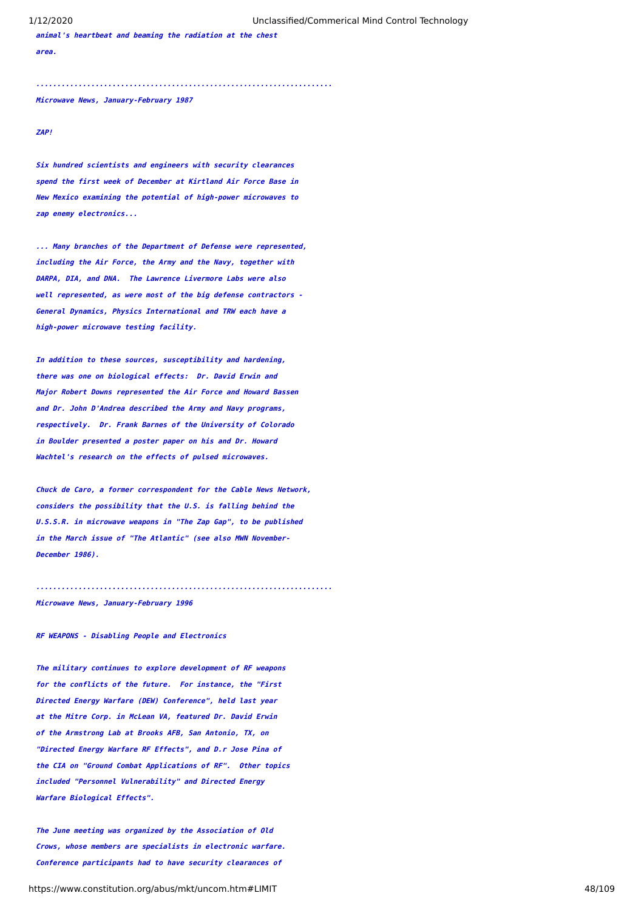**animal's heartbeat and beaming the radiation at the chest area.**

**......................................................................**

**Microwave News, January-February 1987**

**ZAP!**

**Six hundred scientists and engineers with security clearances spend the first week of December at Kirtland Air Force Base in New Mexico examining the potential of high-power microwaves to zap enemy electronics...**

**... Many branches of the Department of Defense were represented, including the Air Force, the Army and the Navy, together with DARPA, DIA, and DNA. The Lawrence Livermore Labs were also well represented, as were most of the big defense contractors - General Dynamics, Physics International and TRW each have a high-power microwave testing facility.**

**In addition to these sources, susceptibility and hardening, there was one on biological effects: Dr. David Erwin and Major Robert Downs represented the Air Force and Howard Bassen and Dr. John D'Andrea described the Army and Navy programs, respectively. Dr. Frank Barnes of the University of Colorado in Boulder presented a poster paper on his and Dr. Howard Wachtel's research on the effects of pulsed microwaves.**

**Chuck de Caro, a former correspondent for the Cable News Network, considers the possibility that the U.S. is falling behind the U.S.S.R. in microwave weapons in "The Zap Gap", to be published in the March issue of "The Atlantic" (see also MWN November-December 1986).**

**......................................................................**

# **Microwave News, January-February 1996**

### **RF WEAPONS - Disabling People and Electronics**

**The military continues to explore development of RF weapons for the conflicts of the future. For instance, the "First Directed Energy Warfare (DEW) Conference", held last year at the Mitre Corp. in McLean VA, featured Dr. David Erwin of the Armstrong Lab at Brooks AFB, San Antonio, TX, on "Directed Energy Warfare RF Effects", and D.r Jose Pina of the CIA on "Ground Combat Applications of RF". Other topics included "Personnel Vulnerability" and Directed Energy Warfare Biological Effects".**

**The June meeting was organized by the Association of Old Crows, whose members are specialists in electronic warfare. Conference participants had to have security clearances of**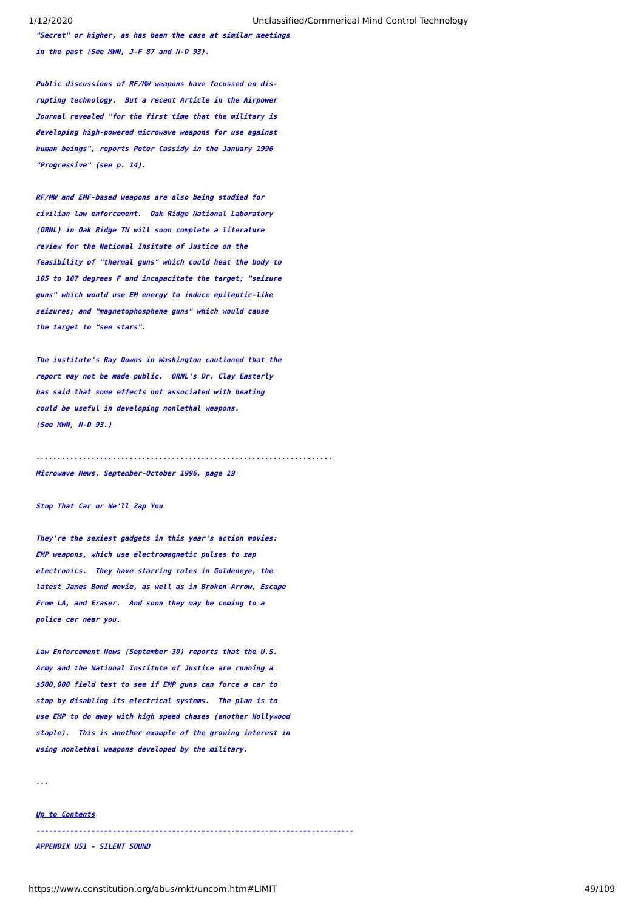**"Secret" or higher, as has been the case at similar meetings in the past (See MWN, J-F 87 and N-D 93).**

**Public discussions of RF/MW weapons have focussed on disrupting technology. But a recent Article in the Airpower Journal revealed "for the first time that the military is developing high-powered microwave weapons for use against human beings", reports Peter Cassidy in the January 1996 "Progressive" (see p. 14).**

**RF/MW and EMF-based weapons are also being studied for civilian law enforcement. Oak Ridge National Laboratory (ORNL) in Oak Ridge TN will soon complete a literature review for the National Insitute of Justice on the feasibility of "thermal guns" which could heat the body to 105 to 107 degrees F and incapacitate the target; "seizure guns" which would use EM energy to induce epileptic-like seizures; and "magnetophosphene guns" which would cause the target to "see stars".**

**The institute's Ray Downs in Washington cautioned that the report may not be made public. ORNL's Dr. Clay Easterly has said that some effects not associated with heating could be useful in developing nonlethal weapons. (See MWN, N-D 93.)**

**...................................................................... Microwave News, September-October 1996, page 19**

**Stop That Car or We'll Zap You**

**They're the sexiest gadgets in this year's action movies: EMP weapons, which use electromagnetic pulses to zap electronics. They have starring roles in Goldeneye, the latest James Bond movie, as well as in Broken Arrow, Escape From LA, and Eraser. And soon they may be coming to a police car near you.**

**Law Enforcement News (September 30) reports that the U.S. Army and the National Institute of Justice are running a \$500,000 field test to see if EMP guns can force a car to stop by disabling its electrical systems. The plan is to use EMP to do away with high speed chases (another Hollywood staple). This is another example of the growing interest in using nonlethal weapons developed by the military.**

**...**

### **[Up to Contents](#page-2-0)**

**---------------------------------------------------------------------------**

<span id="page-48-0"></span>**APPENDIX US1 - SILENT SOUND**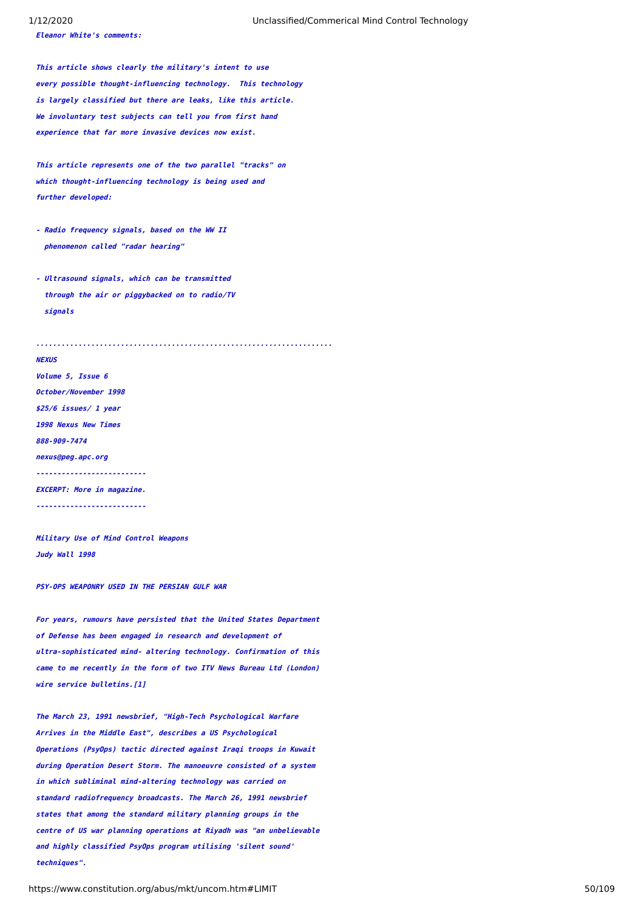**Eleanor White's comments:**

**This article shows clearly the military's intent to use every possible thought-influencing technology. This technology is largely classified but there are leaks, like this article. We involuntary test subjects can tell you from first hand experience that far more invasive devices now exist.**

**This article represents one of the two parallel "tracks" on which thought-influencing technology is being used and further developed:**

- **Radio frequency signals, based on the WW II phenomenon called "radar hearing"**
- **Ultrasound signals, which can be transmitted through the air or piggybacked on to radio/TV signals**

**......................................................................**

# **NEXUS**

**Volume 5, Issue 6 October/November 1998 \$25/6 issues/ 1 year 1998 Nexus New Times 888-909-7474 nexus@peg.apc.org --------------------------EXCERPT: More in magazine. --------------------------**

**Military Use of Mind Control Weapons Judy Wall 1998**

**PSY-OPS WEAPONRY USED IN THE PERSIAN GULF WAR**

**For years, rumours have persisted that the United States Department of Defense has been engaged in research and development of ultra-sophisticated mind- altering technology. Confirmation of this came to me recently in the form of two ITV News Bureau Ltd (London) wire service bulletins.[1]**

**The March 23, 1991 newsbrief, "High-Tech Psychological Warfare Arrives in the Middle East", describes a US Psychological Operations (PsyOps) tactic directed against Iraqi troops in Kuwait during Operation Desert Storm. The manoeuvre consisted of a system in which subliminal mind-altering technology was carried on standard radiofrequency broadcasts. The March 26, 1991 newsbrief states that among the standard military planning groups in the centre of US war planning operations at Riyadh was "an unbelievable and highly classified PsyOps program utilising 'silent sound' techniques".**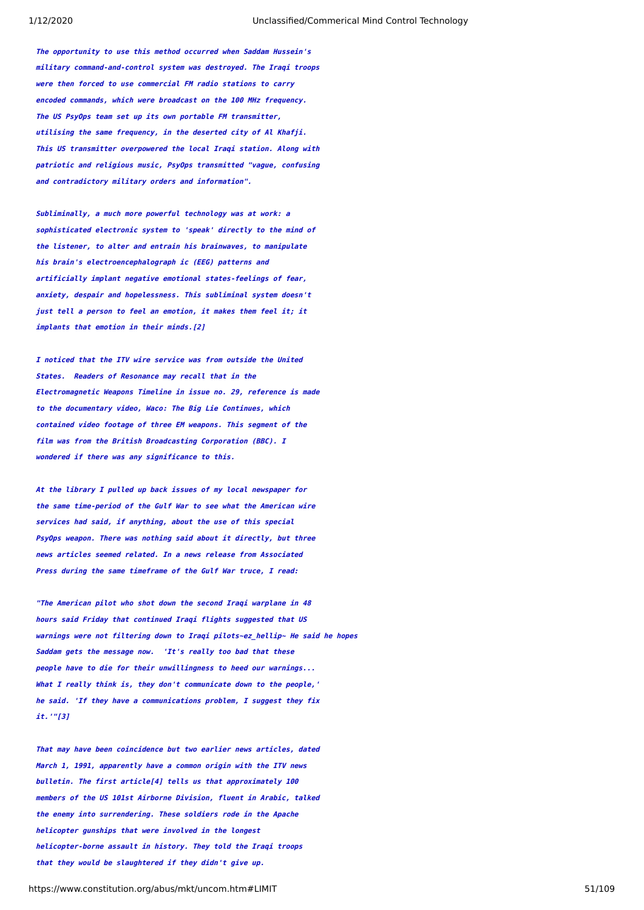**The opportunity to use this method occurred when Saddam Hussein's military command-and-control system was destroyed. The Iraqi troops were then forced to use commercial FM radio stations to carry encoded commands, which were broadcast on the 100 MHz frequency. The US PsyOps team set up its own portable FM transmitter, utilising the same frequency, in the deserted city of Al Khafji. This US transmitter overpowered the local Iraqi station. Along with patriotic and religious music, PsyOps transmitted "vague, confusing and contradictory military orders and information".**

**Subliminally, a much more powerful technology was at work: a sophisticated electronic system to 'speak' directly to the mind of the listener, to alter and entrain his brainwaves, to manipulate his brain's electroencephalograph ic (EEG) patterns and artificially implant negative emotional states-feelings of fear, anxiety, despair and hopelessness. This subliminal system doesn't just tell a person to feel an emotion, it makes them feel it; it implants that emotion in their minds.[2]**

**I noticed that the ITV wire service was from outside the United States. Readers of Resonance may recall that in the Electromagnetic Weapons Timeline in issue no. 29, reference is made to the documentary video, Waco: The Big Lie Continues, which contained video footage of three EM weapons. This segment of the film was from the British Broadcasting Corporation (BBC). I wondered if there was any significance to this.**

**At the library I pulled up back issues of my local newspaper for the same time-period of the Gulf War to see what the American wire services had said, if anything, about the use of this special PsyOps weapon. There was nothing said about it directly, but three news articles seemed related. In a news release from Associated Press during the same timeframe of the Gulf War truce, I read:**

**"The American pilot who shot down the second Iraqi warplane in 48 hours said Friday that continued Iraqi flights suggested that US warnings were not filtering down to Iraqi pilots~ez\_hellip~ He said he hopes Saddam gets the message now. 'It's really too bad that these people have to die for their unwillingness to heed our warnings... What I really think is, they don't communicate down to the people,' he said. 'If they have a communications problem, I suggest they fix it.'"[3]**

**That may have been coincidence but two earlier news articles, dated March 1, 1991, apparently have a common origin with the ITV news bulletin. The first article[4] tells us that approximately 100 members of the US 101st Airborne Division, fluent in Arabic, talked the enemy into surrendering. These soldiers rode in the Apache helicopter gunships that were involved in the longest helicopter-borne assault in history. They told the Iraqi troops that they would be slaughtered if they didn't give up.**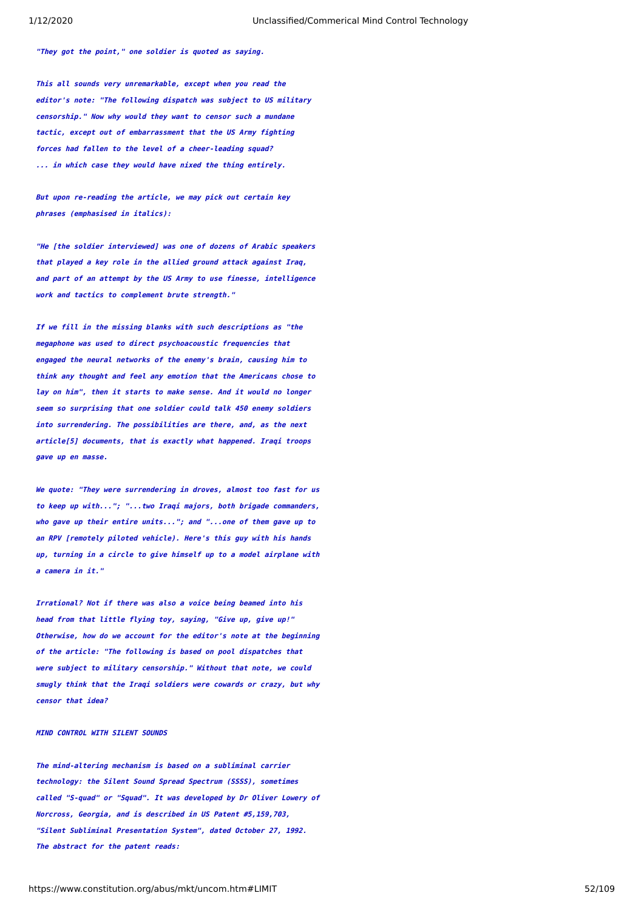**"They got the point," one soldier is quoted as saying.**

**This all sounds very unremarkable, except when you read the editor's note: "The following dispatch was subject to US military censorship." Now why would they want to censor such a mundane tactic, except out of embarrassment that the US Army fighting forces had fallen to the level of a cheer-leading squad? ... in which case they would have nixed the thing entirely.**

**But upon re-reading the article, we may pick out certain key phrases (emphasised in italics):**

**"He [the soldier interviewed] was one of dozens of Arabic speakers that played a key role in the allied ground attack against Iraq, and part of an attempt by the US Army to use finesse, intelligence work and tactics to complement brute strength."**

**If we fill in the missing blanks with such descriptions as "the megaphone was used to direct psychoacoustic frequencies that engaged the neural networks of the enemy's brain, causing him to think any thought and feel any emotion that the Americans chose to lay on him", then it starts to make sense. And it would no longer seem so surprising that one soldier could talk 450 enemy soldiers into surrendering. The possibilities are there, and, as the next article[5] documents, that is exactly what happened. Iraqi troops gave up en masse.**

**We quote: "They were surrendering in droves, almost too fast for us to keep up with..."; "...two Iraqi majors, both brigade commanders, who gave up their entire units..."; and "...one of them gave up to an RPV [remotely piloted vehicle). Here's this guy with his hands up, turning in a circle to give himself up to a model airplane with a camera in it."**

**Irrational? Not if there was also a voice being beamed into his head from that little flying toy, saying, "Give up, give up!" Otherwise, how do we account for the editor's note at the beginning of the article: "The following is based on pool dispatches that were subject to military censorship." Without that note, we could smugly think that the Iraqi soldiers were cowards or crazy, but why censor that idea?**

### **MIND CONTROL WITH SILENT SOUNDS**

**The mind-altering mechanism is based on a subliminal carrier technology: the Silent Sound Spread Spectrum (SSSS), sometimes called "S-quad" or "Squad". It was developed by Dr Oliver Lowery of Norcross, Georgia, and is described in US Patent #5,159,703, "Silent Subliminal Presentation System", dated October 27, 1992. The abstract for the patent reads:**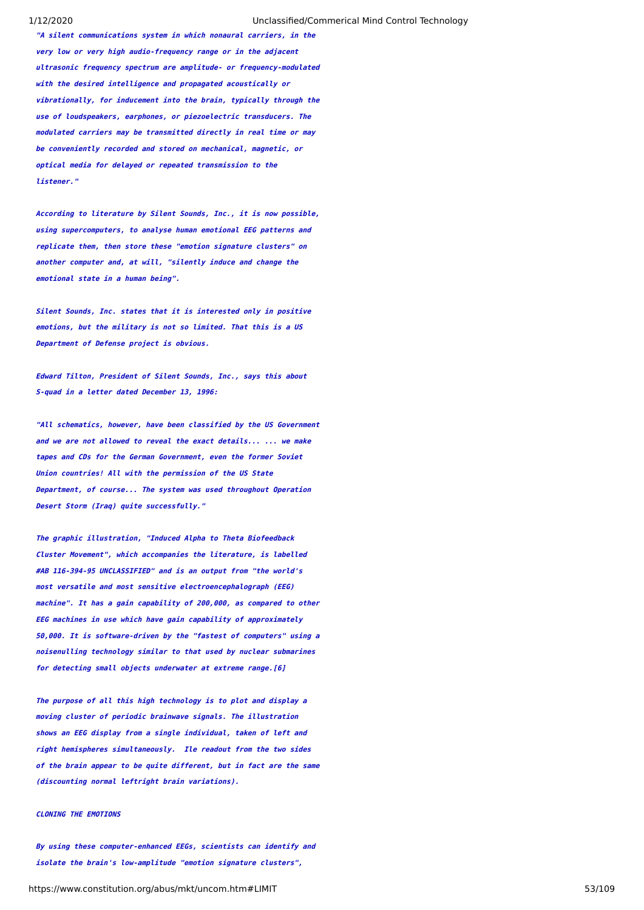**"A silent communications system in which nonaural carriers, in the very low or very high audio-frequency range or in the adjacent ultrasonic frequency spectrum are amplitude- or frequency-modulated with the desired intelligence and propagated acoustically or vibrationally, for inducement into the brain, typically through the use of loudspeakers, earphones, or piezoelectric transducers. The modulated carriers may be transmitted directly in real time or may be conveniently recorded and stored on mechanical, magnetic, or optical media for delayed or repeated transmission to the listener."**

**According to literature by Silent Sounds, Inc., it is now possible, using supercomputers, to analyse human emotional EEG patterns and replicate them, then store these "emotion signature clusters" on another computer and, at will, "silently induce and change the emotional state in a human being".**

**Silent Sounds, Inc. states that it is interested only in positive emotions, but the military is not so limited. That this is a US Department of Defense project is obvious.**

**Edward Tilton, President of Silent Sounds, Inc., says this about S-quad in a letter dated December 13, 1996:**

**"All schematics, however, have been classified by the US Government and we are not allowed to reveal the exact details... ... we make tapes and CDs for the German Government, even the former Soviet Union countries! All with the permission of the US State Department, of course... The system was used throughout Operation Desert Storm (Iraq) quite successfully."**

**The graphic illustration, "Induced Alpha to Theta Biofeedback Cluster Movement", which accompanies the literature, is labelled #AB 116-394-95 UNCLASSIFIED" and is an output from "the world's most versatile and most sensitive electroencephalograph (EEG) machine". It has a gain capability of 200,000, as compared to other EEG machines in use which have gain capability of approximately 50,000. It is software-driven by the "fastest of computers" using a noisenulling technology similar to that used by nuclear submarines for detecting small objects underwater at extreme range.[6]**

**The purpose of all this high technology is to plot and display a moving cluster of periodic brainwave signals. The illustration shows an EEG display from a single individual, taken of left and right hemispheres simultaneously. Ile readout from the two sides of the brain appear to be quite different, but in fact are the same (discounting normal leftright brain variations).**

# **CLONING THE EMOTIONS**

**By using these computer-enhanced EEGs, scientists can identify and isolate the brain's low-amplitude "emotion signature clusters",**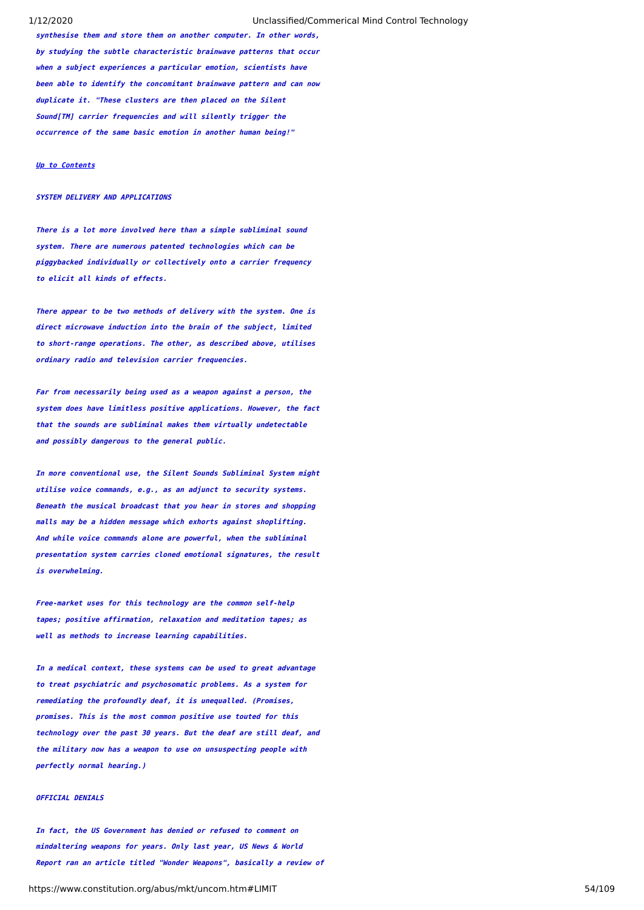**synthesise them and store them on another computer. In other words, by studying the subtle characteristic brainwave patterns that occur when a subject experiences a particular emotion, scientists have been able to identify the concomitant brainwave pattern and can now duplicate it. "These clusters are then placed on the Silent Sound[TM] carrier frequencies and will silently trigger the occurrence of the same basic emotion in another human being!"**

# **[Up to Contents](#page-2-0)**

# **SYSTEM DELIVERY AND APPLICATIONS**

**There is a lot more involved here than a simple subliminal sound system. There are numerous patented technologies which can be piggybacked individually or collectively onto a carrier frequency to elicit all kinds of effects.**

**There appear to be two methods of delivery with the system. One is direct microwave induction into the brain of the subject, limited to short-range operations. The other, as described above, utilises ordinary radio and television carrier frequencies.**

**Far from necessarily being used as a weapon against a person, the system does have limitless positive applications. However, the fact that the sounds are subliminal makes them virtually undetectable and possibly dangerous to the general public.**

**In more conventional use, the Silent Sounds Subliminal System might utilise voice commands, e.g., as an adjunct to security systems. Beneath the musical broadcast that you hear in stores and shopping malls may be a hidden message which exhorts against shoplifting. And while voice commands alone are powerful, when the subliminal presentation system carries cloned emotional signatures, the result is overwhelming.**

**Free-market uses for this technology are the common self-help tapes; positive affirmation, relaxation and meditation tapes; as well as methods to increase learning capabilities.**

**In a medical context, these systems can be used to great advantage to treat psychiatric and psychosomatic problems. As a system for remediating the profoundly deaf, it is unequalled. (Promises, promises. This is the most common positive use touted for this technology over the past 30 years. But the deaf are still deaf, and the military now has a weapon to use on unsuspecting people with perfectly normal hearing.)**

# **OFFICIAL DENIALS**

**In fact, the US Government has denied or refused to comment on mindaltering weapons for years. Only last year, US News & World Report ran an article titled "Wonder Weapons", basically a review of**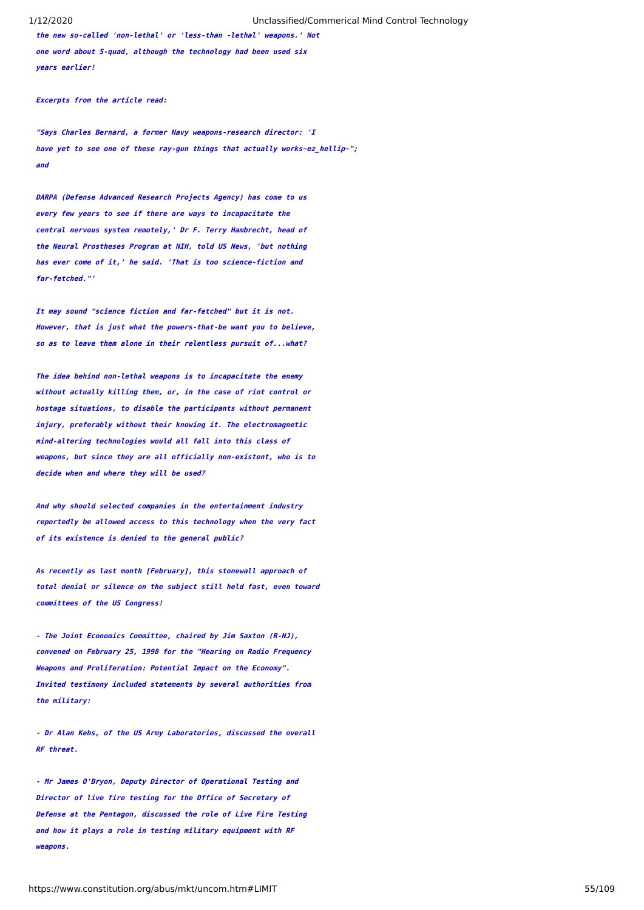**the new so-called 'non-lethal' or 'less-than -lethal' weapons.' Not one word about S-quad, although the technology had been used six years earlier!**

**Excerpts from the article read:**

**"Says Charles Bernard, a former Navy weapons-research director: 'I have yet to see one of these ray-gun things that actually works~ez\_hellip~"; and**

**DARPA (Defense Advanced Research Projects Agency) has come to us every few years to see if there are ways to incapacitate the central nervous system remotely,' Dr F. Terry Hambrecht, head of the Neural Prostheses Program at NIH, told US News, 'but nothing has ever come of it,' he said. 'That is too science-fiction and far-fetched."'**

**It may sound "science fiction and far-fetched" but it is not. However, that is just what the powers-that-be want you to believe, so as to leave them alone in their relentless pursuit of...what?**

**The idea behind non-lethal weapons is to incapacitate the enemy without actually killing them, or, in the case of riot control or hostage situations, to disable the participants without permanent injury, preferably without their knowing it. The electromagnetic mind-altering technologies would all fall into this class of weapons, but since they are all officially non-existent, who is to decide when and where they will be used?**

**And why should selected companies in the entertainment industry reportedly be allowed access to this technology when the very fact of its existence is denied to the general public?**

**As recently as last month [February], this stonewall approach of total denial or silence on the subject still held fast, even toward committees of the US Congress!**

**- The Joint Economics Committee, chaired by Jim Saxton (R-NJ), convened on February 25, 1998 for the "Hearing on Radio Frequency Weapons and Proliferation: Potential Impact on the Economy". Invited testimony included statements by several authorities from the military:**

**- Dr Alan Kehs, of the US Army Laboratories, discussed the overall RF threat.**

**- Mr James O'Bryon, Deputy Director of Operational Testing and Director of live fire testing for the Office of Secretary of Defense at the Pentagon, discussed the role of Live Fire Testing and how it plays a role in testing military equipment with RF weapons.**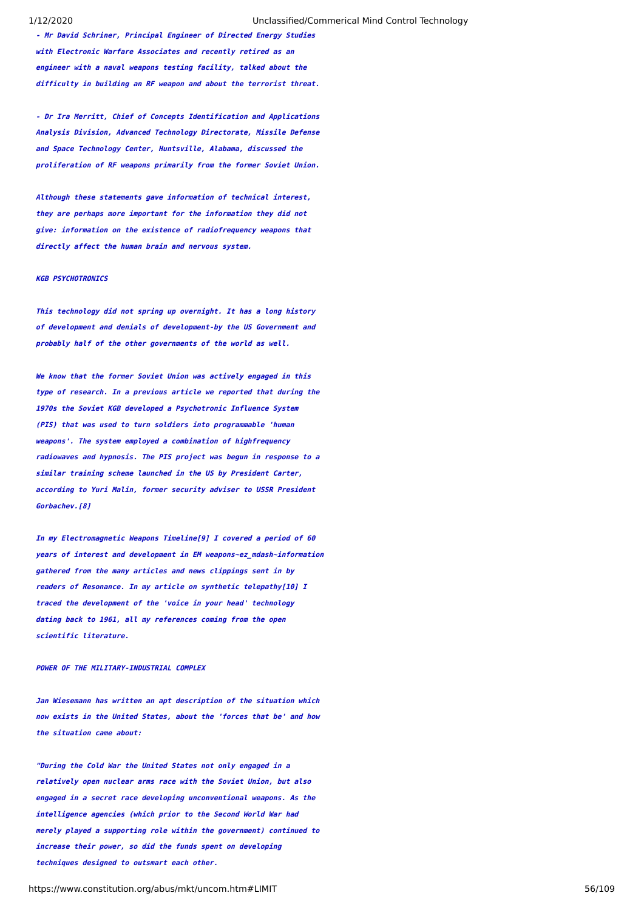**- Mr David Schriner, Principal Engineer of Directed Energy Studies with Electronic Warfare Associates and recently retired as an engineer with a naval weapons testing facility, talked about the difficulty in building an RF weapon and about the terrorist threat.**

**- Dr Ira Merritt, Chief of Concepts Identification and Applications Analysis Division, Advanced Technology Directorate, Missile Defense and Space Technology Center, Huntsville, Alabama, discussed the proliferation of RF weapons primarily from the former Soviet Union.**

**Although these statements gave information of technical interest, they are perhaps more important for the information they did not give: information on the existence of radiofrequency weapons that directly affect the human brain and nervous system.**

### **KGB PSYCHOTRONICS**

**This technology did not spring up overnight. It has a long history of development and denials of development-by the US Government and probably half of the other governments of the world as well.**

**We know that the former Soviet Union was actively engaged in this type of research. In a previous article we reported that during the 1970s the Soviet KGB developed a Psychotronic Influence System (PIS) that was used to turn soldiers into programmable 'human weapons'. The system employed a combination of highfrequency radiowaves and hypnosis. The PIS project was begun in response to a similar training scheme launched in the US by President Carter, according to Yuri Malin, former security adviser to USSR President Gorbachev.[8]**

**In my Electromagnetic Weapons Timeline[9] I covered a period of 60 years of interest and development in EM weapons~ez\_mdash~information gathered from the many articles and news clippings sent in by readers of Resonance. In my article on synthetic telepathy[10] I traced the development of the 'voice in your head' technology dating back to 1961, all my references coming from the open scientific literature.**

# **POWER OF THE MILITARY-INDUSTRIAL COMPLEX**

**Jan Wiesemann has written an apt description of the situation which now exists in the United States, about the 'forces that be' and how the situation came about:**

**"During the Cold War the United States not only engaged in a relatively open nuclear arms race with the Soviet Union, but also engaged in a secret race developing unconventional weapons. As the intelligence agencies (which prior to the Second World War had merely played a supporting role within the government) continued to increase their power, so did the funds spent on developing techniques designed to outsmart each other.**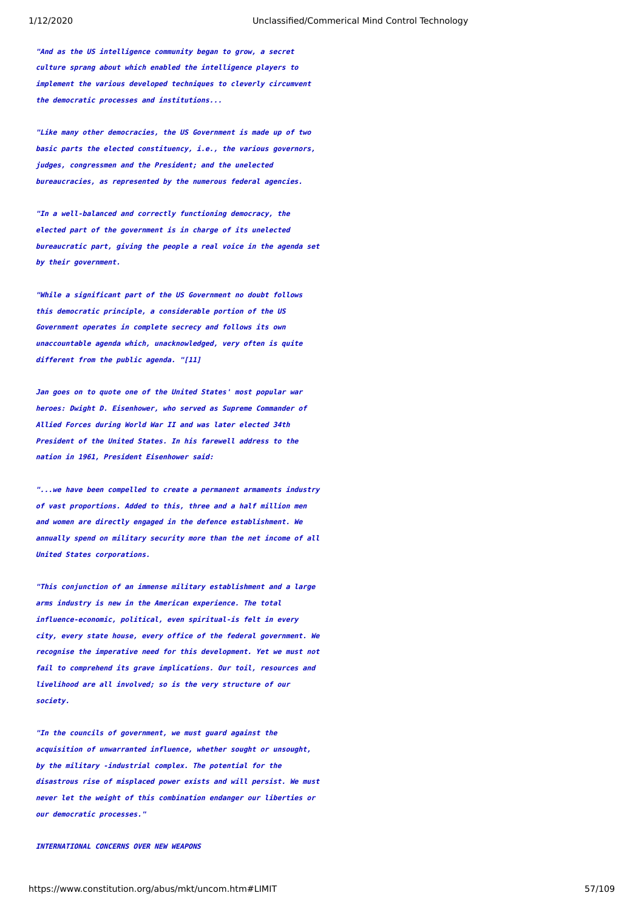**"And as the US intelligence community began to grow, a secret culture sprang about which enabled the intelligence players to implement the various developed techniques to cleverly circumvent the democratic processes and institutions...**

**"Like many other democracies, the US Government is made up of two basic parts the elected constituency, i.e., the various governors, judges, congressmen and the President; and the unelected bureaucracies, as represented by the numerous federal agencies.**

**"In a well-balanced and correctly functioning democracy, the elected part of the government is in charge of its unelected bureaucratic part, giving the people a real voice in the agenda set by their government.**

**"While a significant part of the US Government no doubt follows this democratic principle, a considerable portion of the US Government operates in complete secrecy and follows its own unaccountable agenda which, unacknowledged, very often is quite different from the public agenda. "[11]**

**Jan goes on to quote one of the United States' most popular war heroes: Dwight D. Eisenhower, who served as Supreme Commander of Allied Forces during World War II and was later elected 34th President of the United States. In his farewell address to the nation in 1961, President Eisenhower said:**

**"...we have been compelled to create a permanent armaments industry of vast proportions. Added to this, three and a half million men and women are directly engaged in the defence establishment. We annually spend on military security more than the net income of all United States corporations.**

**"This conjunction of an immense military establishment and a large arms industry is new in the American experience. The total influence-economic, political, even spiritual-is felt in every city, every state house, every office of the federal government. We recognise the imperative need for this development. Yet we must not fail to comprehend its grave implications. Our toil, resources and livelihood are all involved; so is the very structure of our society.**

**"In the councils of government, we must guard against the acquisition of unwarranted influence, whether sought or unsought, by the military -industrial complex. The potential for the disastrous rise of misplaced power exists and will persist. We must never let the weight of this combination endanger our liberties or our democratic processes."**

# **INTERNATIONAL CONCERNS OVER NEW WEAPONS**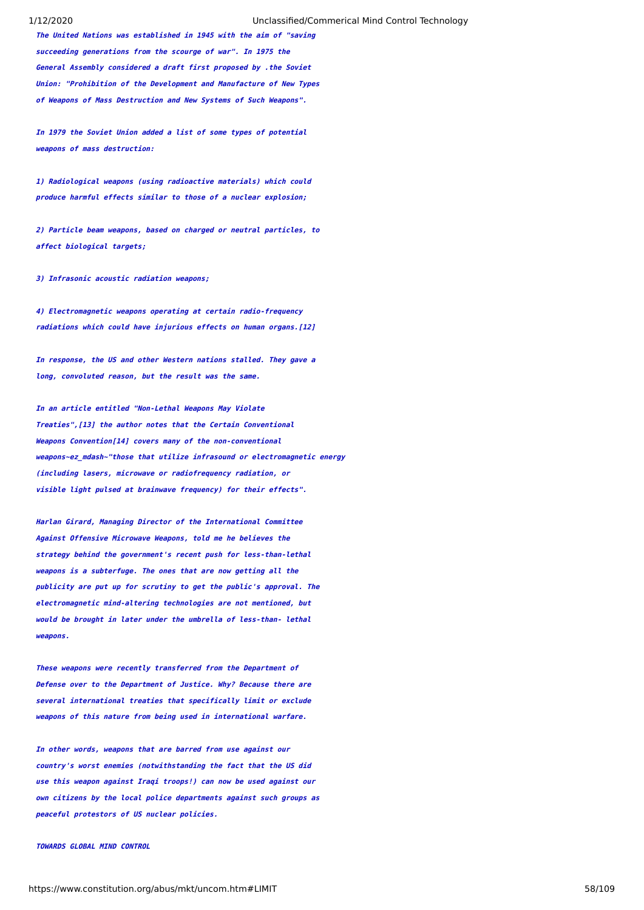**The United Nations was established in 1945 with the aim of "saving succeeding generations from the scourge of war". In 1975 the General Assembly considered a draft first proposed by .the Soviet Union: "Prohibition of the Development and Manufacture of New Types of Weapons of Mass Destruction and New Systems of Such Weapons".**

**In 1979 the Soviet Union added a list of some types of potential weapons of mass destruction:**

**1) Radiological weapons (using radioactive materials) which could produce harmful effects similar to those of a nuclear explosion;**

**2) Particle beam weapons, based on charged or neutral particles, to affect biological targets;**

**3) Infrasonic acoustic radiation weapons;**

**4) Electromagnetic weapons operating at certain radio-frequency radiations which could have injurious effects on human organs.[12]**

**In response, the US and other Western nations stalled. They gave a long, convoluted reason, but the result was the same.**

**In an article entitled "Non-Lethal Weapons May Violate Treaties",[13] the author notes that the Certain Conventional Weapons Convention[14] covers many of the non-conventional weapons~ez\_mdash~"those that utilize infrasound or electromagnetic energy (including lasers, microwave or radiofrequency radiation, or visible light pulsed at brainwave frequency) for their effects".**

**Harlan Girard, Managing Director of the International Committee Against Offensive Microwave Weapons, told me he believes the strategy behind the government's recent push for less-than-lethal weapons is a subterfuge. The ones that are now getting all the publicity are put up for scrutiny to get the public's approval. The electromagnetic mind-altering technologies are not mentioned, but would be brought in later under the umbrella of less-than- lethal weapons.**

**These weapons were recently transferred from the Department of Defense over to the Department of Justice. Why? Because there are several international treaties that specifically limit or exclude weapons of this nature from being used in international warfare.**

**In other words, weapons that are barred from use against our country's worst enemies (notwithstanding the fact that the US did use this weapon against Iraqi troops!) can now be used against our own citizens by the local police departments against such groups as peaceful protestors of US nuclear policies.**

**TOWARDS GLOBAL MIND CONTROL**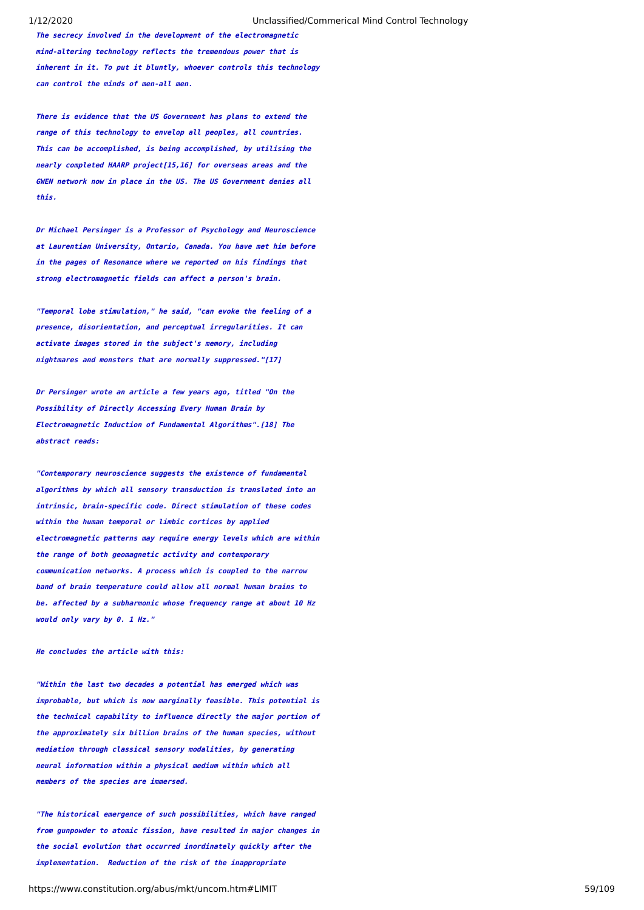**The secrecy involved in the development of the electromagnetic mind-altering technology reflects the tremendous power that is inherent in it. To put it bluntly, whoever controls this technology can control the minds of men-all men.**

**There is evidence that the US Government has plans to extend the range of this technology to envelop all peoples, all countries. This can be accomplished, is being accomplished, by utilising the nearly completed HAARP project[15,16] for overseas areas and the GWEN network now in place in the US. The US Government denies all this.**

**Dr Michael Persinger is a Professor of Psychology and Neuroscience at Laurentian University, Ontario, Canada. You have met him before in the pages of Resonance where we reported on his findings that strong electromagnetic fields can affect a person's brain.**

**"Temporal lobe stimulation," he said, "can evoke the feeling of a presence, disorientation, and perceptual irregularities. It can activate images stored in the subject's memory, including nightmares and monsters that are normally suppressed."[17]**

**Dr Persinger wrote an article a few years ago, titled "On the Possibility of Directly Accessing Every Human Brain by Electromagnetic Induction of Fundamental Algorithms".[18] The abstract reads:**

**"Contemporary neuroscience suggests the existence of fundamental algorithms by which all sensory transduction is translated into an intrinsic, brain-specific code. Direct stimulation of these codes within the human temporal or limbic cortices by applied electromagnetic patterns may require energy levels which are within the range of both geomagnetic activity and contemporary communication networks. A process which is coupled to the narrow band of brain temperature could allow all normal human brains to be. affected by a subharmonic whose frequency range at about 10 Hz would only vary by 0. 1 Hz."**

**He concludes the article with this:**

**"Within the last two decades a potential has emerged which was improbable, but which is now marginally feasible. This potential is the technical capability to influence directly the major portion of the approximately six billion brains of the human species, without mediation through classical sensory modalities, by generating neural information within a physical medium within which all members of the species are immersed.**

**"The historical emergence of such possibilities, which have ranged from gunpowder to atomic fission, have resulted in major changes in the social evolution that occurred inordinately quickly after the implementation. Reduction of the risk of the inappropriate**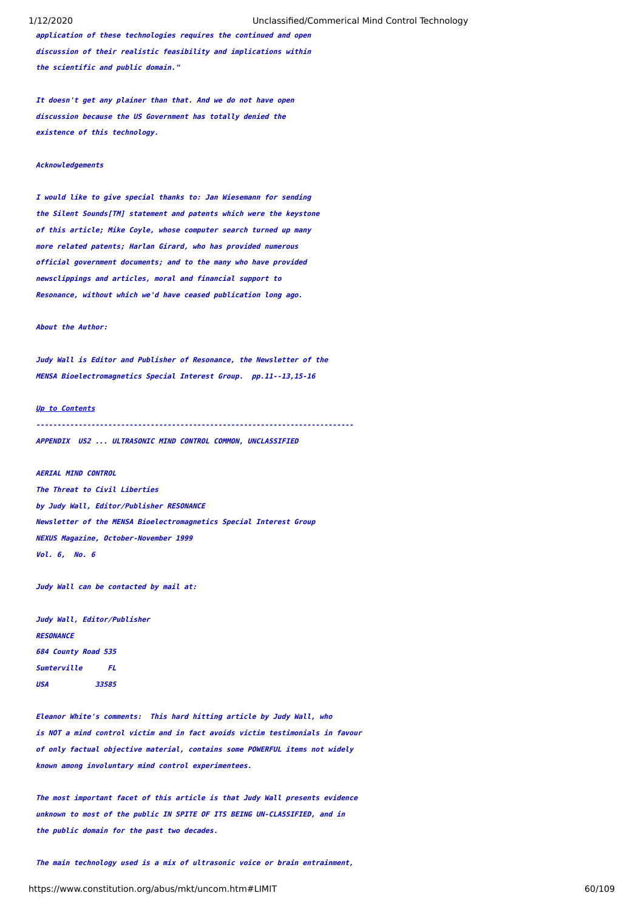**application of these technologies requires the continued and open discussion of their realistic feasibility and implications within the scientific and public domain."**

**It doesn't get any plainer than that. And we do not have open discussion because the US Government has totally denied the existence of this technology.**

# **Acknowledgements**

**I would like to give special thanks to: Jan Wiesemann for sending the Silent Sounds[TM] statement and patents which were the keystone of this article; Mike Coyle, whose computer search turned up many more related patents; Harlan Girard, who has provided numerous official government documents; and to the many who have provided newsclippings and articles, moral and financial support to Resonance, without which we'd have ceased publication long ago.**

# **About the Author:**

**Judy Wall is Editor and Publisher of Resonance, the Newsletter of the MENSA Bioelectromagnetics Special Interest Group. pp.11--13,15-16**

### **[Up to Contents](#page-2-0)**

**---------------------------------------------------------------------------APPENDIX US2 ... ULTRASONIC MIND CONTROL COMMON, UNCLASSIFIED**

**AERIAL MIND CONTROL The Threat to Civil Liberties by Judy Wall, Editor/Publisher RESONANCE Newsletter of the MENSA Bioelectromagnetics Special Interest Group NEXUS Magazine, October-November 1999 Vol. 6, No. 6**

**Judy Wall can be contacted by mail at:**

**Judy Wall, Editor/Publisher RESONANCE 684 County Road 535 Sumterville FL USA 33585**

**Eleanor White's comments: This hard hitting article by Judy Wall, who is NOT a mind control victim and in fact avoids victim testimonials in favour of only factual objective material, contains some POWERFUL items not widely known among involuntary mind control experimentees.** 

**The most important facet of this article is that Judy Wall presents evidence unknown to most of the public IN SPITE OF ITS BEING UN-CLASSIFIED, and in the public domain for the past two decades.**

**The main technology used is a mix of ultrasonic voice or brain entrainment,**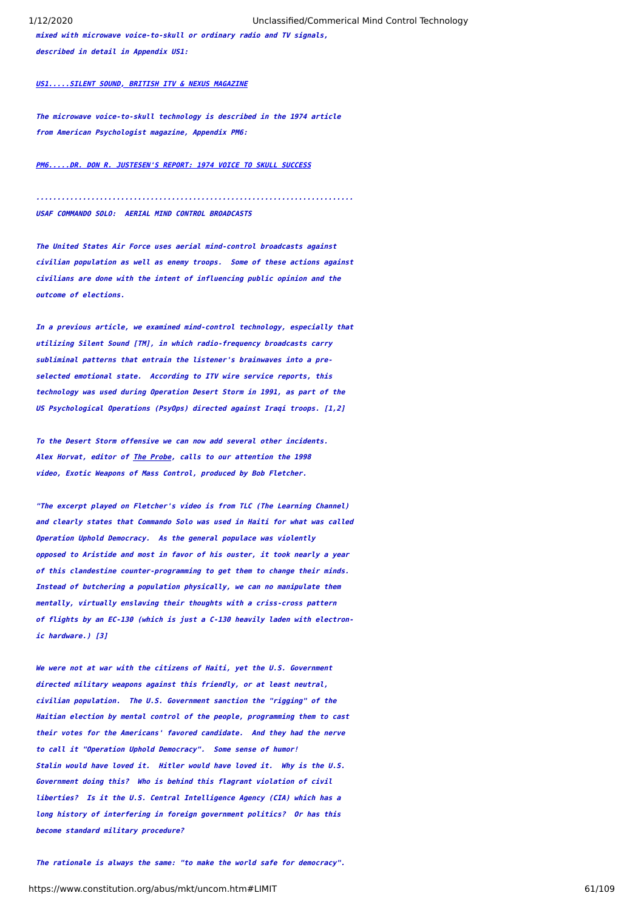**mixed with microwave voice-to-skull or ordinary radio and TV signals, described in detail in Appendix US1:**

# **[US1.....SILENT SOUND, BRITISH ITV & NEXUS MAGAZINE](#page-48-0)**

**The microwave voice-to-skull technology is described in the 1974 article from American Psychologist magazine, Appendix PM6:**

**[PM6.....DR. DON R. JUSTESEN'S REPORT: 1974 VOICE TO SKULL SUCCESS](#page-39-0)**

**........................................................................... USAF COMMANDO SOLO: AERIAL MIND CONTROL BROADCASTS**

**The United States Air Force uses aerial mind-control broadcasts against civilian population as well as enemy troops. Some of these actions against civilians are done with the intent of influencing public opinion and the outcome of elections.**

**In a previous article, we examined mind-control technology, especially that utilizing Silent Sound [TM], in which radio-frequency broadcasts carry subliminal patterns that entrain the listener's brainwaves into a preselected emotional state. According to ITV wire service reports, this technology was used during Operation Desert Storm in 1991, as part of the US Psychological Operations (PsyOps) directed against Iraqi troops. [1,2]**

**To the Desert Storm offensive we can now add several other incidents. Alex Horvat, editor of The Probe, calls to our attention the 1998 video, Exotic Weapons of Mass Control, produced by Bob Fletcher.**

**"The excerpt played on Fletcher's video is from TLC (The Learning Channel) and clearly states that Commando Solo was used in Haiti for what was called Operation Uphold Democracy. As the general populace was violently opposed to Aristide and most in favor of his ouster, it took nearly a year of this clandestine counter-programming to get them to change their minds. Instead of butchering a population physically, we can no manipulate them mentally, virtually enslaving their thoughts with a criss-cross pattern of flights by an EC-130 (which is just a C-130 heavily laden with electronic hardware.) [3]**

**We were not at war with the citizens of Haiti, yet the U.S. Government directed military weapons against this friendly, or at least neutral, civilian population. The U.S. Government sanction the "rigging" of the Haitian election by mental control of the people, programming them to cast their votes for the Americans' favored candidate. And they had the nerve to call it "Operation Uphold Democracy". Some sense of humor! Stalin would have loved it. Hitler would have loved it. Why is the U.S. Government doing this? Who is behind this flagrant violation of civil liberties? Is it the U.S. Central Intelligence Agency (CIA) which has a long history of interfering in foreign government politics? Or has this become standard military procedure?**

**The rationale is always the same: "to make the world safe for democracy".**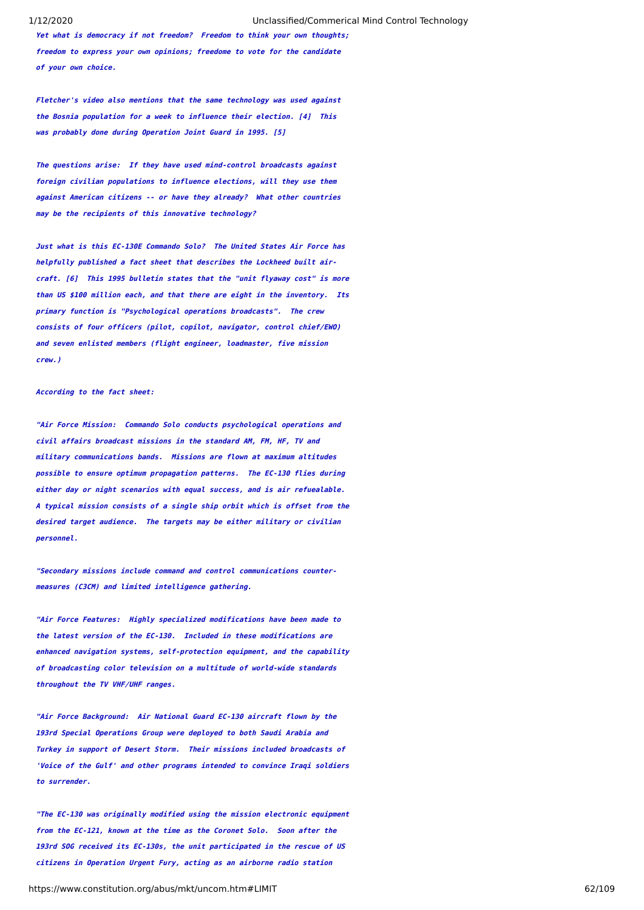**Yet what is democracy if not freedom? Freedom to think your own thoughts; freedom to express your own opinions; freedome to vote for the candidate of your own choice.**

**Fletcher's video also mentions that the same technology was used against the Bosnia population for a week to influence their election. [4] This was probably done during Operation Joint Guard in 1995. [5]**

**The questions arise: If they have used mind-control broadcasts against foreign civilian populations to influence elections, will they use them against American citizens -- or have they already? What other countries may be the recipients of this innovative technology?**

**Just what is this EC-130E Commando Solo? The United States Air Force has helpfully published a fact sheet that describes the Lockheed built aircraft. [6] This 1995 bulletin states that the "unit flyaway cost" is more than US \$100 million each, and that there are eight in the inventory. Its primary function is "Psychological operations broadcasts". The crew consists of four officers (pilot, copilot, navigator, control chief/EWO) and seven enlisted members (flight engineer, loadmaster, five mission crew.)**

### **According to the fact sheet:**

**"Air Force Mission: Commando Solo conducts psychological operations and civil affairs broadcast missions in the standard AM, FM, HF, TV and military communications bands. Missions are flown at maximum altitudes possible to ensure optimum propagation patterns. The EC-130 flies during either day or night scenarios with equal success, and is air refuealable. A typical mission consists of a single ship orbit which is offset from the desired target audience. The targets may be either military or civilian personnel.**

**"Secondary missions include command and control communications countermeasures (C3CM) and limited intelligence gathering.**

**"Air Force Features: Highly specialized modifications have been made to the latest version of the EC-130. Included in these modifications are enhanced navigation systems, self-protection equipment, and the capability of broadcasting color television on a multitude of world-wide standards throughout the TV VHF/UHF ranges.**

**"Air Force Background: Air National Guard EC-130 aircraft flown by the 193rd Special Operations Group were deployed to both Saudi Arabia and Turkey in support of Desert Storm. Their missions included broadcasts of 'Voice of the Gulf' and other programs intended to convince Iraqi soldiers to surrender.**

**"The EC-130 was originally modified using the mission electronic equipment from the EC-121, known at the time as the Coronet Solo. Soon after the 193rd SOG received its EC-130s, the unit participated in the rescue of US citizens in Operation Urgent Fury, acting as an airborne radio station**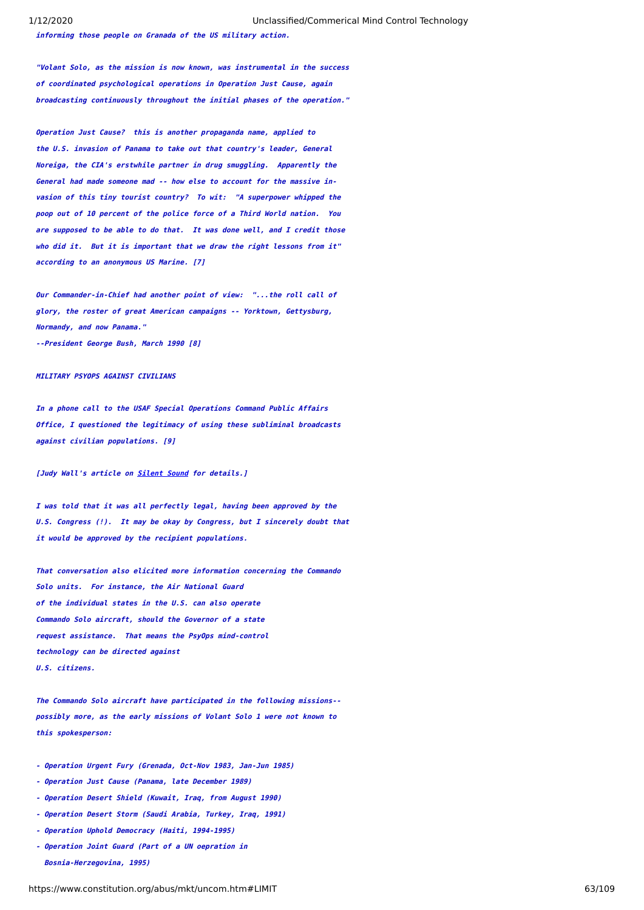**informing those people on Granada of the US military action.**

**"Volant Solo, as the mission is now known, was instrumental in the success of coordinated psychological operations in Operation Just Cause, again broadcasting continuously throughout the initial phases of the operation."**

**Operation Just Cause? this is another propaganda name, applied to the U.S. invasion of Panama to take out that country's leader, General Noreiga, the CIA's erstwhile partner in drug smuggling. Apparently the General had made someone mad -- how else to account for the massive invasion of this tiny tourist country? To wit: "A superpower whipped the poop out of 10 percent of the police force of a Third World nation. You are supposed to be able to do that. It was done well, and I credit those who did it. But it is important that we draw the right lessons from it" according to an anonymous US Marine. [7]**

**Our Commander-in-Chief had another point of view: "...the roll call of glory, the roster of great American campaigns -- Yorktown, Gettysburg, Normandy, and now Panama." --President George Bush, March 1990 [8]**

### **MTI TTARY PSYOPS AGATNST CTVTI TANS**

**In a phone call to the USAF Special Operations Command Public Affairs Office, I questioned the legitimacy of using these subliminal broadcasts against civilian populations. [9]**

### **[Judy Wall's article on [Silent Sound](https://www.constitution.org/abus/mkt/silsoun2.htm) for details.]**

**I was told that it was all perfectly legal, having been approved by the U.S. Congress (!). It may be okay by Congress, but I sincerely doubt that it would be approved by the recipient populations.**

**That conversation also elicited more information concerning the Commando Solo units. For instance, the Air National Guard of the individual states in the U.S. can also operate Commando Solo aircraft, should the Governor of a state request assistance. That means the PsyOps mind-control technology can be directed against U.S. citizens.**

**The Commando Solo aircraft have participated in the following missions- possibly more, as the early missions of Volant Solo 1 were not known to this spokesperson:**

- **Operation Urgent Fury (Grenada, Oct-Nov 1983, Jan-Jun 1985)**
- **Operation Just Cause (Panama, late December 1989)**
- **Operation Desert Shield (Kuwait, Iraq, from August 1990)**
- **Operation Desert Storm (Saudi Arabia, Turkey, Iraq, 1991)**
- **Operation Uphold Democracy (Haiti, 1994-1995)**
- **Operation Joint Guard (Part of a UN oepration in Bosnia-Herzegovina, 1995)**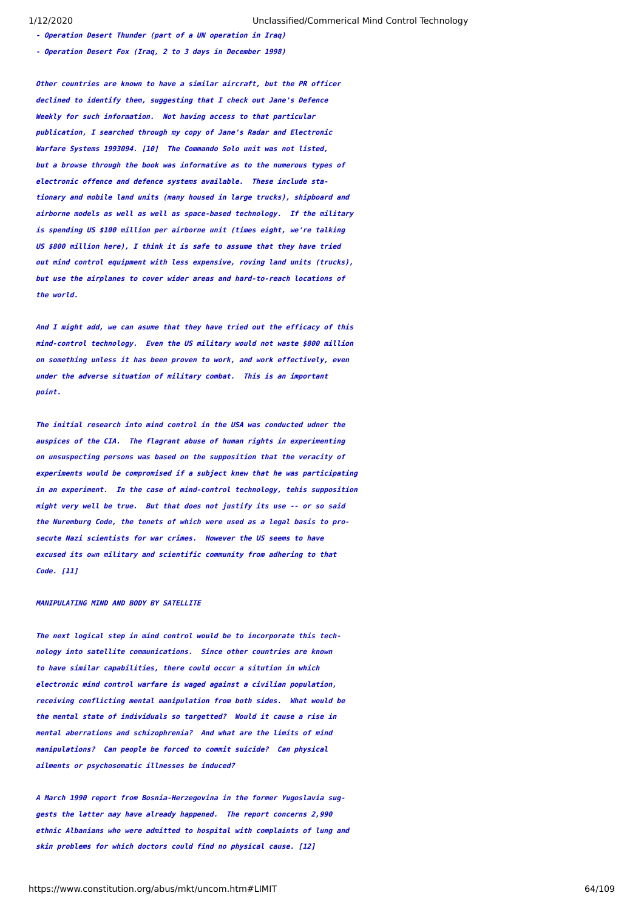**- Operation Desert Thunder (part of a UN operation in Iraq) - Operation Desert Fox (Iraq, 2 to 3 days in December 1998)**

**Other countries are known to have a similar aircraft, but the PR officer declined to identify them, suggesting that I check out Jane's Defence Weekly for such information. Not having access to that particular publication, I searched through my copy of Jane's Radar and Electronic Warfare Systems 1993094. [10] The Commando Solo unit was not listed, but a browse through the book was informative as to the numerous types of electronic offence and defence systems available. These include stationary and mobile land units (many housed in large trucks), shipboard and airborne models as well as well as space-based technology. If the military is spending US \$100 million per airborne unit (times eight, we're talking US \$800 million here), I think it is safe to assume that they have tried out mind control equipment with less expensive, roving land units (trucks), but use the airplanes to cover wider areas and hard-to-reach locations of the world.**

**And I might add, we can asume that they have tried out the efficacy of this mind-control technology. Even the US military would not waste \$800 million on something unless it has been proven to work, and work effectively, even under the adverse situation of military combat. This is an important point.**

**The initial research into mind control in the USA was conducted udner the auspices of the CIA. The flagrant abuse of human rights in experimenting on unsuspecting persons was based on the supposition that the veracity of experiments would be compromised if a subject knew that he was participating in an experiment. In the case of mind-control technology, tehis supposition might very well be true. But that does not justify its use -- or so said the Nuremburg Code, the tenets of which were used as a legal basis to prosecute Nazi scientists for war crimes. However the US seems to have excused its own military and scientific community from adhering to that Code. [11]**

### **MANIPULATING MIND AND BODY BY SATELLITE**

**The next logical step in mind control would be to incorporate this technology into satellite communications. Since other countries are known to have similar capabilities, there could occur a sitution in which electronic mind control warfare is waged against a civilian population, receiving conflicting mental manipulation from both sides. What would be the mental state of individuals so targetted? Would it cause a rise in mental aberrations and schizophrenia? And what are the limits of mind manipulations? Can people be forced to commit suicide? Can physical ailments or psychosomatic illnesses be induced?**

**A March 1990 report from Bosnia-Herzegovina in the former Yugoslavia suggests the latter may have already happened. The report concerns 2,990 ethnic Albanians who were admitted to hospital with complaints of lung and skin problems for which doctors could find no physical cause. [12]**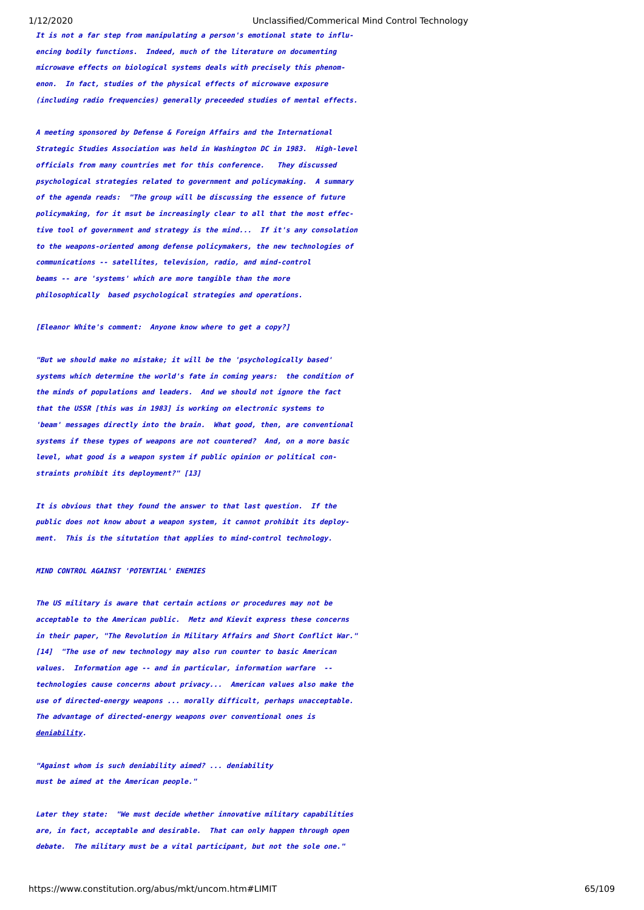**It is not a far step from manipulating a person's emotional state to influencing bodily functions. Indeed, much of the literature on documenting microwave effects on biological systems deals with precisely this phenomenon. In fact, studies of the physical effects of microwave exposure (including radio frequencies) generally preceeded studies of mental effects.**

**A meeting sponsored by Defense & Foreign Affairs and the International Strategic Studies Association was held in Washington DC in 1983. High-level officials from many countries met for this conference. They discussed psychological strategies related to government and policymaking. A summary of the agenda reads: "The group will be discussing the essence of future policymaking, for it msut be increasingly clear to all that the most effective tool of government and strategy is the mind... If it's any consolation to the weapons-oriented among defense policymakers, the new technologies of communications -- satellites, television, radio, and mind-control beams -- are 'systems' which are more tangible than the more philosophically based psychological strategies and operations.**

### **[Eleanor White's comment: Anyone know where to get a copy?]**

**"But we should make no mistake; it will be the 'psychologically based' systems which determine the world's fate in coming years: the condition of the minds of populations and leaders. And we should not ignore the fact that the USSR [this was in 1983] is working on electronic systems to 'beam' messages directly into the brain. What good, then, are conventional systems if these types of weapons are not countered? And, on a more basic level, what good is a weapon system if public opinion or political constraints prohibit its deployment?" [13]**

**It is obvious that they found the answer to that last question. If the public does not know about a weapon system, it cannot prohibit its deployment. This is the situtation that applies to mind-control technology.**

### **MIND CONTROL AGAINST 'POTENTIAL' ENEMIES**

**The US military is aware that certain actions or procedures may not be acceptable to the American public. Metz and Kievit express these concerns in their paper, "The Revolution in Military Affairs and Short Conflict War." [14] "The use of new technology may also run counter to basic American values. Information age -- and in particular, information warfare - technologies cause concerns about privacy... American values also make the use of directed-energy weapons ... morally difficult, perhaps unacceptable. The advantage of directed-energy weapons over conventional ones is deniability.**

**"Against whom is such deniability aimed? ... deniability must be aimed at the American people."**

**Later they state: "We must decide whether innovative military capabilities are, in fact, acceptable and desirable. That can only happen through open debate. The military must be a vital participant, but not the sole one."**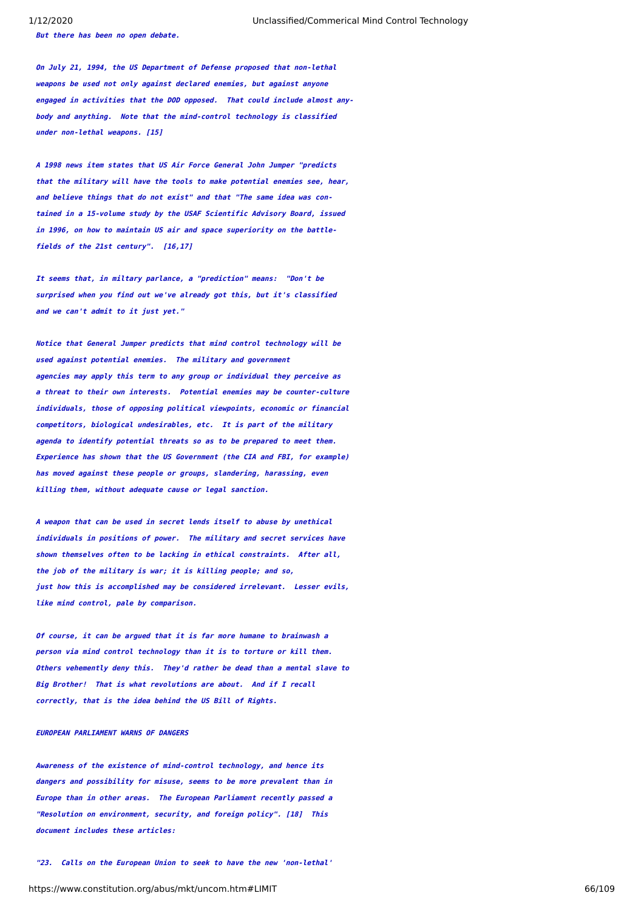**But there has been no open debate.**

**On July 21, 1994, the US Department of Defense proposed that non-lethal weapons be used not only against declared enemies, but against anyone engaged in activities that the DOD opposed. That could include almost anybody and anything. Note that the mind-control technology is classified under non-lethal weapons. [15]**

**A 1998 news item states that US Air Force General John Jumper "predicts that the military will have the tools to make potential enemies see, hear, and believe things that do not exist" and that "The same idea was contained in a 15-volume study by the USAF Scientific Advisory Board, issued in 1996, on how to maintain US air and space superiority on the battlefields of the 21st century". [16,17]**

**It seems that, in miltary parlance, a "prediction" means: "Don't be surprised when you find out we've already got this, but it's classified and we can't admit to it just yet."**

**Notice that General Jumper predicts that mind control technology will be used against potential enemies. The military and government agencies may apply this term to any group or individual they perceive as a threat to their own interests. Potential enemies may be counter-culture individuals, those of opposing political viewpoints, economic or financial competitors, biological undesirables, etc. It is part of the military agenda to identify potential threats so as to be prepared to meet them. Experience has shown that the US Government (the CIA and FBI, for example) has moved against these people or groups, slandering, harassing, even killing them, without adequate cause or legal sanction.**

**A weapon that can be used in secret lends itself to abuse by unethical individuals in positions of power. The military and secret services have shown themselves often to be lacking in ethical constraints. After all, the job of the military is war; it is killing people; and so, just how this is accomplished may be considered irrelevant. Lesser evils, like mind control, pale by comparison.**

**Of course, it can be argued that it is far more humane to brainwash a person via mind control technology than it is to torture or kill them. Others vehemently deny this. They'd rather be dead than a mental slave to Big Brother! That is what revolutions are about. And if I recall correctly, that is the idea behind the US Bill of Rights.**

### **EUROPEAN PARLIAMENT WARNS OF DANGERS**

**Awareness of the existence of mind-control technology, and hence its dangers and possibility for misuse, seems to be more prevalent than in Europe than in other areas. The European Parliament recently passed a "Resolution on environment, security, and foreign policy". [18] This document includes these articles:**

**"23. Calls on the European Union to seek to have the new 'non-lethal'**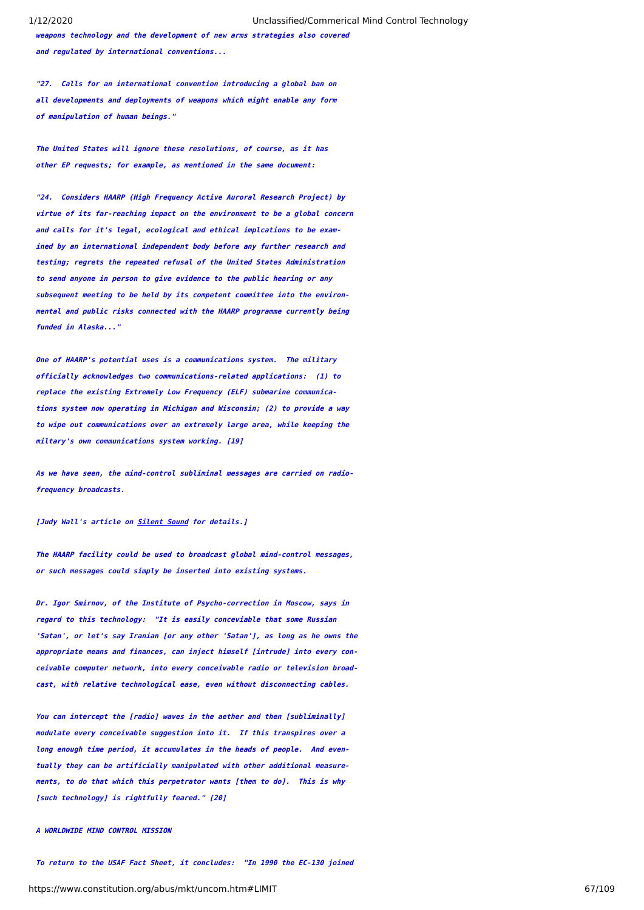**weapons technology and the development of new arms strategies also covered and regulated by international conventions...**

**"27. Calls for an international convention introducing a global ban on all developments and deployments of weapons which might enable any form of manipulation of human beings."**

**The United States will ignore these resolutions, of course, as it has other EP requests; for example, as mentioned in the same document:**

**"24. Considers HAARP (High Frequency Active Auroral Research Project) by virtue of its far-reaching impact on the environment to be a global concern and calls for it's legal, ecological and ethical implcations to be examined by an international independent body before any further research and testing; regrets the repeated refusal of the United States Administration to send anyone in person to give evidence to the public hearing or any subsequent meeting to be held by its competent committee into the environmental and public risks connected with the HAARP programme currently being funded in Alaska..."**

**One of HAARP's potential uses is a communications system. The military officially acknowledges two communications-related applications: (1) to replace the existing Extremely Low Frequency (ELF) submarine communications system now operating in Michigan and Wisconsin; (2) to provide a way to wipe out communications over an extremely large area, while keeping the miltary's own communications system working. [19]**

**As we have seen, the mind-control subliminal messages are carried on radiofrequency broadcasts.**

**[Judy Wall's article on [Silent Sound](https://www.constitution.org/abus/mkt/silsoun2.htm) for details.]**

**The HAARP facility could be used to broadcast global mind-control messages, or such messages could simply be inserted into existing systems.**

**Dr. Igor Smirnov, of the Institute of Psycho-correction in Moscow, says in regard to this technology: "It is easily conceviable that some Russian 'Satan', or let's say Iranian [or any other 'Satan'], as long as he owns the appropriate means and finances, can inject himself [intrude] into every conceivable computer network, into every conceivable radio or television broadcast, with relative technological ease, even without disconnecting cables.**

**You can intercept the [radio] waves in the aether and then [subliminally] modulate every conceivable suggestion into it. If this transpires over a long enough time period, it accumulates in the heads of people. And eventually they can be artificially manipulated with other additional measurements, to do that which this perpetrator wants [them to do]. This is why [such technology] is rightfully feared." [20]**

### **A WORLDWIDE MIND CONTROL MISSION**

**To return to the USAF Fact Sheet, it concludes: "In 1990 the EC-130 joined**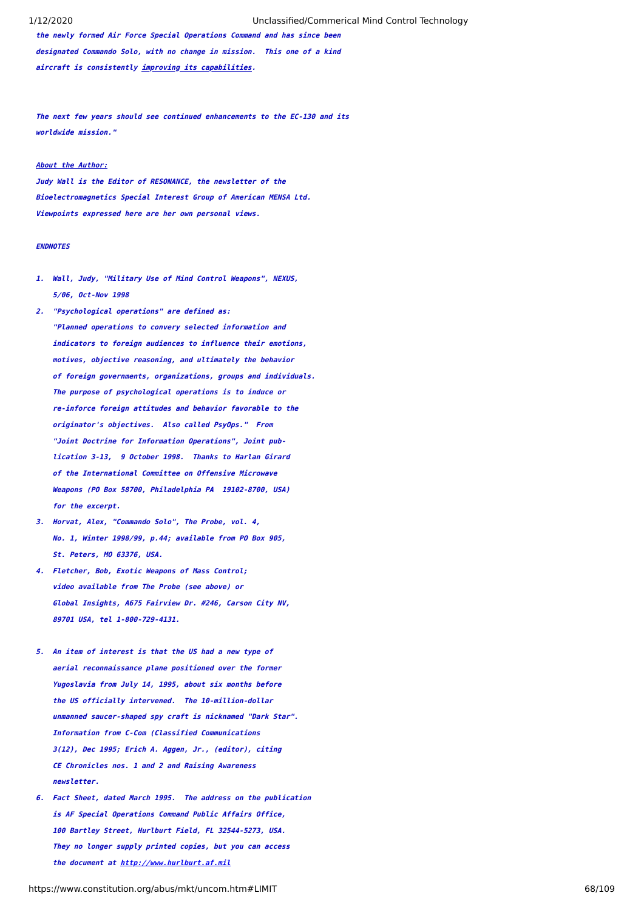**the newly formed Air Force Special Operations Command and has since been designated Commando Solo, with no change in mission. This one of a kind aircraft is consistently improving its capabilities.**

**The next few years should see continued enhancements to the EC-130 and its worldwide mission."**

# **About the Author:**

**Judy Wall is the Editor of RESONANCE, the newsletter of the Bioelectromagnetics Special Interest Group of American MENSA Ltd. Viewpoints expressed here are her own personal views.**

# **ENDNOTES**

- **1. Wall, Judy, "Military Use of Mind Control Weapons", NEXUS, 5/06, Oct-Nov 1998**
- **2. "Psychological operations" are defined as: "Planned operations to convery selected information and indicators to foreign audiences to influence their emotions, motives, objective reasoning, and ultimately the behavior of foreign governments, organizations, groups and individuals. The purpose of psychological operations is to induce or re-inforce foreign attitudes and behavior favorable to the originator's objectives. Also called PsyOps." From "Joint Doctrine for Information Operations", Joint pub lication 3-13, 9 October 1998. Thanks to Harlan Girard of the International Committee on Offensive Microwave Weapons (PO Box 58700, Philadelphia PA 19102-8700, USA) for the excerpt.**
- **3. Horvat, Alex, "Commando Solo", The Probe, vol. 4, No. 1, Winter 1998/99, p.44; available from PO Box 905, St. Peters, MO 63376, USA.**
- **4. Fletcher, Bob, Exotic Weapons of Mass Control; video available from The Probe (see above) or Global Insights, A675 Fairview Dr. #246, Carson City NV, 89701 USA, tel 1-800-729-4131.**
- **5. An item of interest is that the US had a new type of aerial reconnaissance plane positioned over the former Yugoslavia from July 14, 1995, about six months before the US officially intervened. The 10-million-dollar unmanned saucer-shaped spy craft is nicknamed "Dark Star". Information from C-Com (Classified Communications 3(12), Dec 1995; Erich A. Aggen, Jr., (editor), citing CE Chronicles nos. 1 and 2 and Raising Awareness newsletter.**
- **6. Fact Sheet, dated March 1995. The address on the publication is AF Special Operations Command Public Affairs Office, 100 Bartley Street, Hurlburt Field, FL 32544-5273, USA. They no longer supply printed copies, but you can access the document at [http://www.hurlburt.af.mil](http://www.hurlburt.af.mil/)**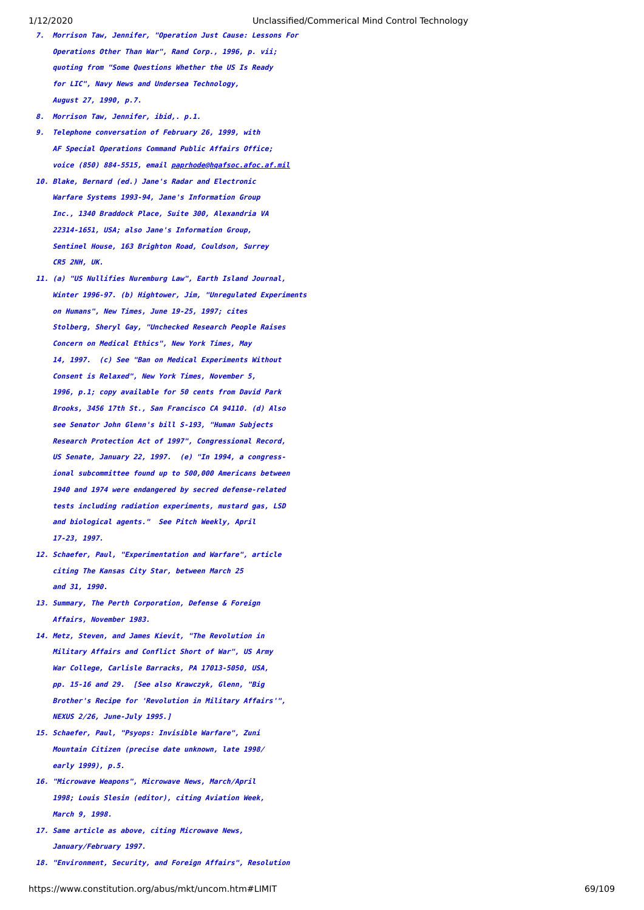- **7. Morrison Taw, Jennifer, "Operation Just Cause: Lessons For Operations Other Than War", Rand Corp., 1996, p. vii; quoting from "Some Questions Whether the US Is Ready for LIC", Navy News and Undersea Technology, August 27, 1990, p.7.**
- **8. Morrison Taw, Jennifer, ibid,. p.1.**
- **9. Telephone conversation of February 26, 1999, with AF Special Operations Command Public Affairs Office; voice (850) 884-5515, email [paprhode@hqafsoc.afoc.af.mil](mailto:paprhode@hqafsoc.afoc.af.mil)**
- **10. Blake, Bernard (ed.) Jane's Radar and Electronic Warfare Systems 1993-94, Jane's Information Group Inc., 1340 Braddock Place, Suite 300, Alexandria VA 22314-1651, USA; also Jane's Information Group, Sentinel House, 163 Brighton Road, Couldson, Surrey CR5 2NH, UK.**
- **11. (a) "US Nullifies Nuremburg Law", Earth Island Journal, Winter 1996-97. (b) Hightower, Jim, "Unregulated Experiments on Humans", New Times, June 19-25, 1997; cites Stolberg, Sheryl Gay, "Unchecked Research People Raises Concern on Medical Ethics", New York Times, May 14, 1997. (c) See "Ban on Medical Experiments Without Consent is Relaxed", New York Times, November 5, 1996, p.1; copy available for 50 cents from David Park Brooks, 3456 17th St., San Francisco CA 94110. (d) Also see Senator John Glenn's bill S-193, "Human Subjects Research Protection Act of 1997", Congressional Record, US Senate, January 22, 1997. (e) "In 1994, a congress ional subcommittee found up to 500,000 Americans between 1940 and 1974 were endangered by secred defense-related tests including radiation experiments, mustard gas, LSD and biological agents." See Pitch Weekly, April 17-23, 1997.**
- **12. Schaefer, Paul, "Experimentation and Warfare", article citing The Kansas City Star, between March 25 and 31, 1990.**
- **13. Summary, The Perth Corporation, Defense & Foreign Affairs, November 1983.**
- **14. Metz, Steven, and James Kievit, "The Revolution in Military Affairs and Conflict Short of War", US Army War College, Carlisle Barracks, PA 17013-5050, USA, pp. 15-16 and 29. [See also Krawczyk, Glenn, "Big Brother's Recipe for 'Revolution in Military Affairs'", NEXUS 2/26, June-July 1995.]**
- **15. Schaefer, Paul, "Psyops: Invisible Warfare", Zuni Mountain Citizen (precise date unknown, late 1998/ early 1999), p.5.**
- **16. "Microwave Weapons", Microwave News, March/April 1998; Louis Slesin (editor), citing Aviation Week, March 9, 1998.**
- **17. Same article as above, citing Microwave News, January/February 1997.**
- **18. "Environment, Security, and Foreign Affairs", Resolution**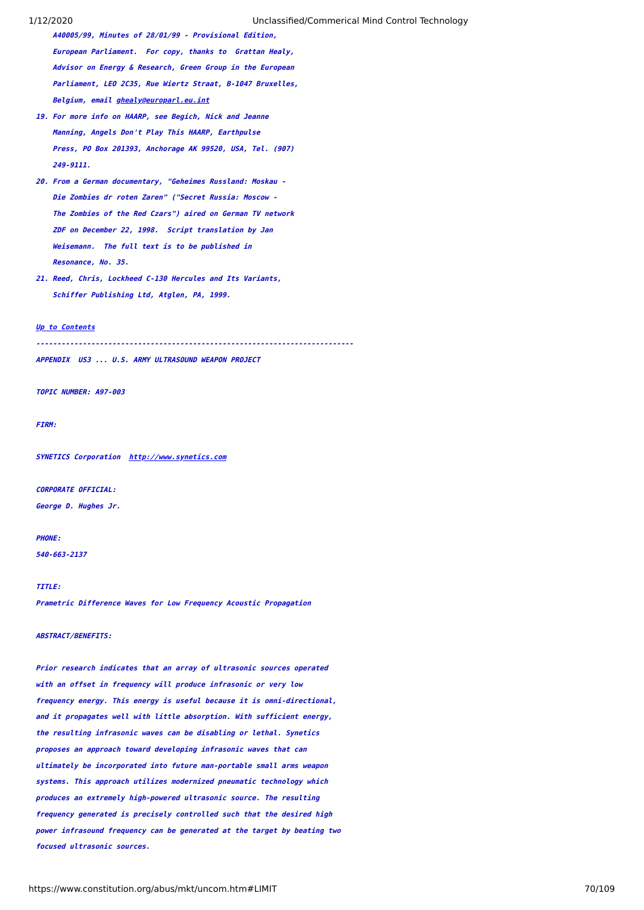- **A40005/99, Minutes of 28/01/99 Provisional Edition, European Parliament. For copy, thanks to Grattan Healy, Advisor on Energy & Research, Green Group in the European Parliament, LEO 2C35, Rue Wiertz Straat, B-1047 Bruxelles, Belgium, email [ghealy@europarl.eu.int](mailto:ghealy@europarl.eu.int)**
- **19. For more info on HAARP, see Begich, Nick and Jeanne Manning, Angels Don't Play This HAARP, Earthpulse Press, PO Box 201393, Anchorage AK 99520, USA, Tel. (907) 249-9111.**
- **20. From a German documentary, "Geheimes Russland: Moskau - Die Zombies dr roten Zaren" ("Secret Russia: Moscow - The Zombies of the Red Czars") aired on German TV network ZDF on December 22, 1998. Script translation by Jan Weisemann. The full text is to be published in Resonance, No. 35.**
- **21. Reed, Chris, Lockheed C-130 Hercules and Its Variants, Schiffer Publishing Ltd, Atglen, PA, 1999.**

# **[Up to Contents](#page-2-0)**

**---------------------------------------------------------------------------**

**APPENDIX US3 ... U.S. ARMY ULTRASOUND WEAPON PROJECT**

**TOPIC NUMBER: A97-003**

**FIRM:**

**SYNETICS Corporation [http://www.synetics.com](http://www.synetics.com/)**

**CORPORATE OFFICIAL:**

**George D. Hughes Jr.**

**PHONE:**

**540-663-2137**

### **TITLE:**

**Prametric Difference Waves for Low Frequency Acoustic Propagation**

### **ABSTRACT/BENEFITS:**

**Prior research indicates that an array of ultrasonic sources operated with an offset in frequency will produce infrasonic or very low frequency energy. This energy is useful because it is omni-directional, and it propagates well with little absorption. With sufficient energy, the resulting infrasonic waves can be disabling or lethal. Synetics proposes an approach toward developing infrasonic waves that can ultimately be incorporated into future man-portable small arms weapon systems. This approach utilizes modernized pneumatic technology which produces an extremely high-powered ultrasonic source. The resulting frequency generated is precisely controlled such that the desired high power infrasound frequency can be generated at the target by beating two focused ultrasonic sources.**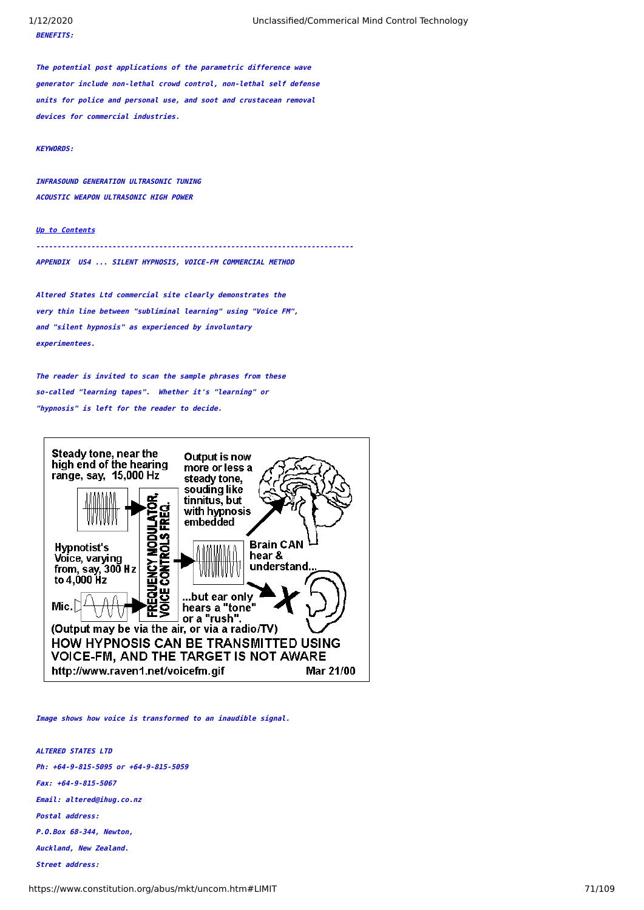**The potential post applications of the parametric difference wave generator include non-lethal crowd control, non-lethal self defense units for police and personal use, and soot and crustacean removal devices for commercial industries.**

# **KEYWORDS:**

**INFRASOUND GENERATION ULTRASONIC TUNING ACOUSTIC WEAPON ULTRASONIC HIGH POWER**

# **[Up to Contents](#page-2-0)**

**---------------------------------------------------------------------------APPENDIX US4 ... SILENT HYPNOSIS, VOICE-FM COMMERCIAL METHOD**

**Altered States Ltd commercial site clearly demonstrates the very thin line between "subliminal learning" using "Voice FM", and "silent hypnosis" as experienced by involuntary experimentees.**

**The reader is invited to scan the sample phrases from these so-called "learning tapes". Whether it's "learning" or "hypnosis" is left for the reader to decide.**



**Image shows how voice is transformed to an inaudible signal.**

**ALTERED STATES LTD Ph: +64-9-815-5095 or +64-9-815-5059 Fax: +64-9-815-5067 Email: altered@ihug.co.nz Postal address: P.O.Box 68-344, Newton, Auckland, New Zealand. Street address:**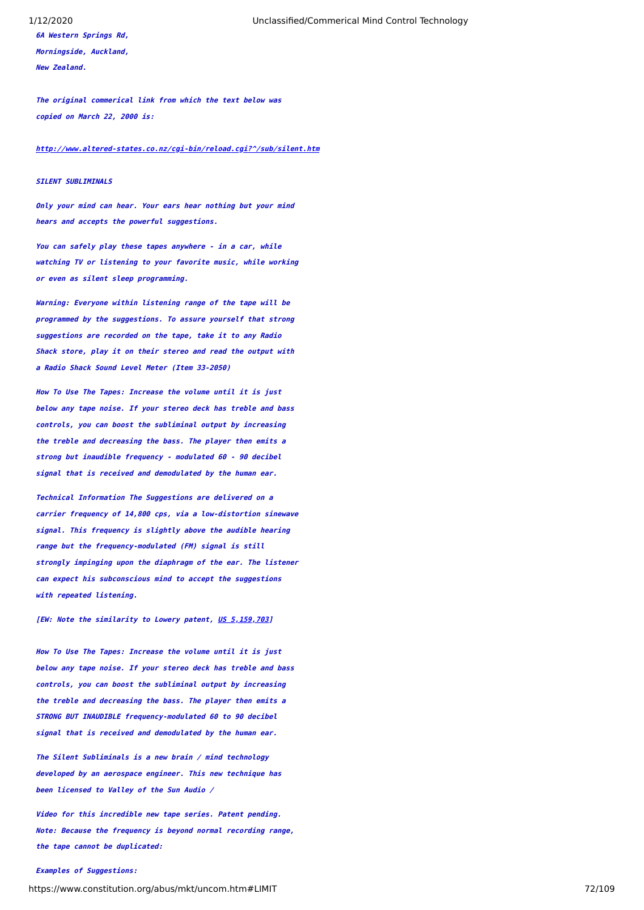**6A Western Springs Rd, Morningside, Auckland, New Zealand.**

1/12/2020 Unclassified/Commerical Mind Control Technology

**The original commerical link from which the text below was copied on March 22, 2000 is:**

**[http://www.altered-states.co.nz/cgi-bin/reload.cgi?^/sub/silent.htm](http://www.altered-states.co.nz/cgi-bin/reload.cgi?%5E/sub/silent.htm)**

### **STI FNT SUBLIMINALS**

**Only your mind can hear. Your ears hear nothing but your mind hears and accepts the powerful suggestions.**

**You can safely play these tapes anywhere - in a car, while watching TV or listening to your favorite music, while working or even as silent sleep programming.**

**Warning: Everyone within listening range of the tape will be programmed by the suggestions. To assure yourself that strong suggestions are recorded on the tape, take it to any Radio Shack store, play it on their stereo and read the output with a Radio Shack Sound Level Meter (Item 33-2050)**

**How To Use The Tapes: Increase the volume until it is just below any tape noise. If your stereo deck has treble and bass controls, you can boost the subliminal output by increasing the treble and decreasing the bass. The player then emits a strong but inaudible frequency - modulated 60 - 90 decibel signal that is received and demodulated by the human ear.**

**Technical Information The Suggestions are delivered on a carrier frequency of 14,800 cps, via a low-distortion sinewave signal. This frequency is slightly above the audible hearing range but the frequency-modulated (FM) signal is still strongly impinging upon the diaphragm of the ear. The listener can expect his subconscious mind to accept the suggestions with repeated listening.**

**[EW: Note the similarity to Lowery patent, [US 5,159,703](https://www.constitution.org/abus/mkt/5159703.htm)]**

**How To Use The Tapes: Increase the volume until it is just below any tape noise. If your stereo deck has treble and bass controls, you can boost the subliminal output by increasing the treble and decreasing the bass. The player then emits a STRONG BUT INAUDIBLE frequency-modulated 60 to 90 decibel signal that is received and demodulated by the human ear.**

**The Silent Subliminals is a new brain / mind technology developed by an aerospace engineer. This new technique has been licensed to Valley of the Sun Audio /**

**Video for this incredible new tape series. Patent pending. Note: Because the frequency is beyond normal recording range, the tape cannot be duplicated:**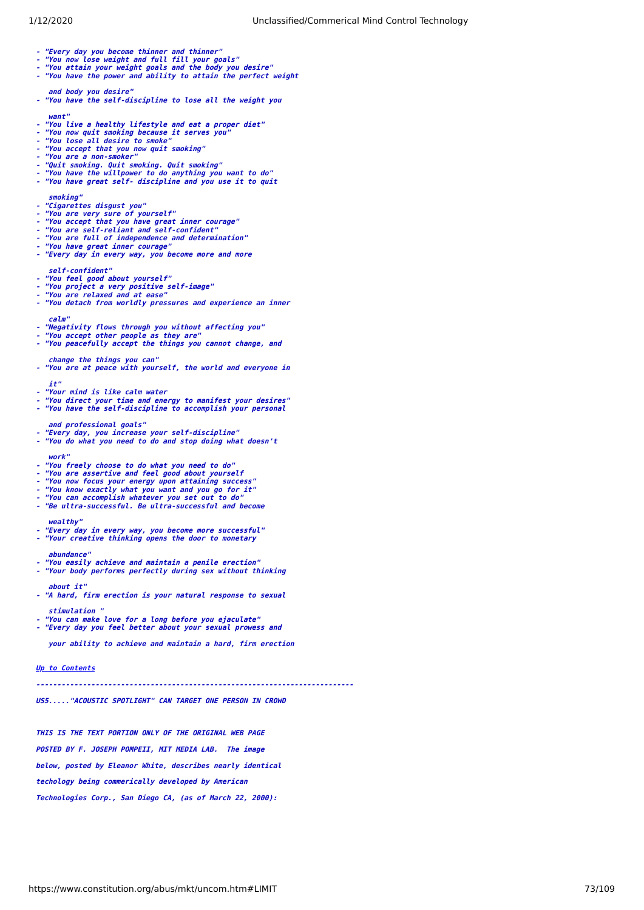1/12/2020 Unclassified/Commerical Mind Control Technology

- **"Every day you become thinner and thinner"**
- 
- 
- **"You now lose weight and full fill your goals" "You attain your weight goals and the body you desire" "You have the power and ability to attain the perfect weight**
- 
- **and body you desire" "You have the self-discipline to lose all the weight you**
- 
- **want" - "You live a healthy lifestyle and eat a proper diet"**
- 

**- "Quit smoking. Quit smoking. Quit smoking" - "You have the willpower to do anything you want to do" - "You have great self- discipline and you use it to quit**

- 
- 
- 
- 

**- "You now quit smoking because it serves you" - "You lose all desire to smoke" - "You accept that you now quit smoking"**

**- "You are very sure of yourself" - "You accept that you have great inner courage" - "You are self-reliant and self-confident"**

**- "You are full of independence and determination" - "You have great inner courage" - "Every day in every way, you become more and more**

**- "You detach from worldly pressures and experience an inner**

**- "Negativity flows through you without affecting you" - "You accept other people as they are" - "You peacefully accept the things you cannot change, and**

 **change the things you can" - "You are at peace with yourself, the world and everyone in**

**- "You direct your time and energy to manifest your desires" - "You have the self-discipline to accomplish your personal**

**- "Every day, you increase your self-discipline" - "You do what you need to do and stop doing what doesn't**

- "You now focus your energy upon attaining success"<br>- "You know exactly what you want and you go for it"<br>- "You can accomplish whatever you set out to do"<br>- "Be ultra-successful. Be ultra-successful and become

**- "Every day in every way, you become more successful" - "Your creative thinking opens the door to monetary**

**- "You easily achieve and maintain a penile erection" - "Your body performs perfectly during sex without thinking**

**- "A hard, firm erection is your natural response to sexual**

**- "You can make love for a long before you ejaculate" - "Every day you feel better about your sexual prowess and your ability to achieve and maintain a hard, firm erection**

**US5....."ACOUSTIC SPOTLIGHT" CAN TARGET ONE PERSON IN CROWD**

**THIS IS THE TEXT PORTION ONLY OF THE ORIGINAL WEB PAGE POSTED BY F. JOSEPH POMPEII, MIT MEDIA LAB. The image below, posted by Eleanor White, describes nearly identical**

**techology being commerically developed by American Technologies Corp., San Diego CA, (as of March 22, 2000):**

**- "You freely choose to do what you need to do" - "You are assertive and feel good about yourself**

- 
- 
- 
- 
- 
- 
- 
- 
- 

 **smoking"**

 **calm"**

 **it"**

 **work"**

 **wealthy"**

 **abundance"**

 **about it"**

**[Up to Contents](#page-2-0)**

 **stimulation "**

**- "You are a non-smoker"**

**- "Cigarettes disgust you"**

 **self-confident"**

**- "You feel good about yourself"**

**- "Your mind is like calm water**

 **and professional goals"**

**- "You project a very positive self-image" - "You are relaxed and at ease"**

- 
- 
- 
- 
- 
- 
-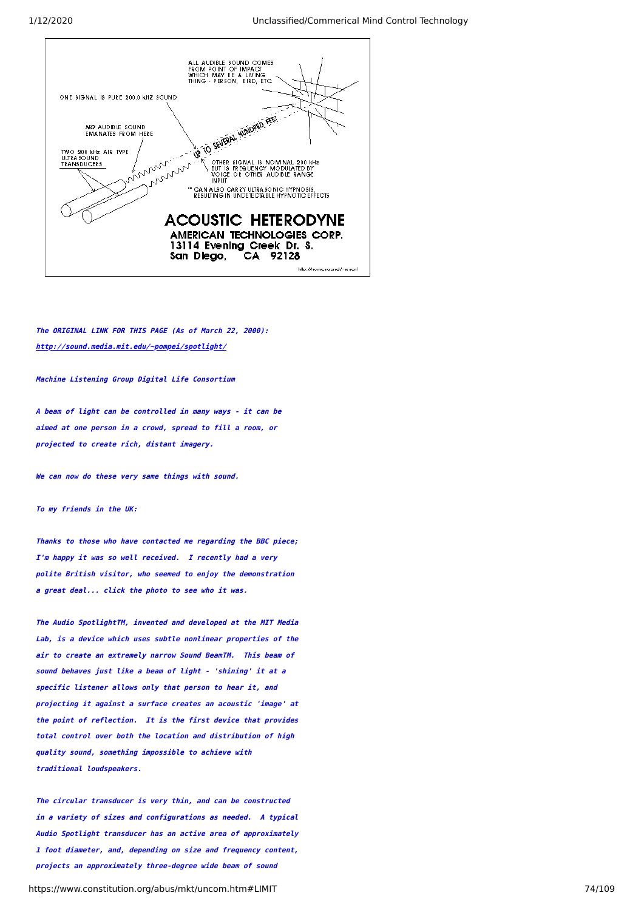

**The ORIGINAL LINK FOR THIS PAGE (As of March 22, 2000): <http://sound.media.mit.edu/~pompei/spotlight/>**

**Machine Listening Group Digital Life Consortium**

**A beam of light can be controlled in many ways - it can be aimed at one person in a crowd, spread to fill a room, or projected to create rich, distant imagery.**

**We can now do these very same things with sound.**

**To my friends in the UK:**

**Thanks to those who have contacted me regarding the BBC piece; I'm happy it was so well received. I recently had a very polite British visitor, who seemed to enjoy the demonstration a great deal... click the photo to see who it was.**

**The Audio SpotlightTM, invented and developed at the MIT Media Lab, is a device which uses subtle nonlinear properties of the air to create an extremely narrow Sound BeamTM. This beam of sound behaves just like a beam of light - 'shining' it at a specific listener allows only that person to hear it, and projecting it against a surface creates an acoustic 'image' at the point of reflection. It is the first device that provides total control over both the location and distribution of high quality sound, something impossible to achieve with traditional loudspeakers.**

**The circular transducer is very thin, and can be constructed in a variety of sizes and configurations as needed. A typical Audio Spotlight transducer has an active area of approximately 1 foot diameter, and, depending on size and frequency content, projects an approximately three-degree wide beam of sound**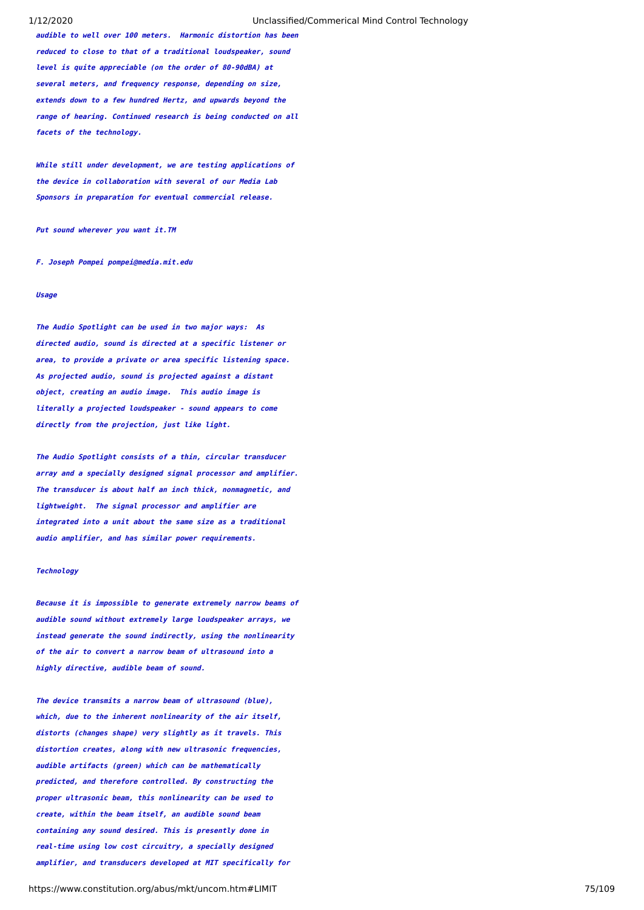**audible to well over 100 meters. Harmonic distortion has been reduced to close to that of a traditional loudspeaker, sound level is quite appreciable (on the order of 80-90dBA) at several meters, and frequency response, depending on size, extends down to a few hundred Hertz, and upwards beyond the range of hearing. Continued research is being conducted on all facets of the technology.**

**While still under development, we are testing applications of the device in collaboration with several of our Media Lab Sponsors in preparation for eventual commercial release.**

**Put sound wherever you want it.TM**

**F. Joseph Pompei pompei@media.mit.edu**

# **Usage**

**The Audio Spotlight can be used in two major ways: As directed audio, sound is directed at a specific listener or area, to provide a private or area specific listening space. As projected audio, sound is projected against a distant object, creating an audio image. This audio image is literally a projected loudspeaker - sound appears to come directly from the projection, just like light.**

**The Audio Spotlight consists of a thin, circular transducer array and a specially designed signal processor and amplifier. The transducer is about half an inch thick, nonmagnetic, and lightweight. The signal processor and amplifier are integrated into a unit about the same size as a traditional audio amplifier, and has similar power requirements.**

## **Technology**

**Because it is impossible to generate extremely narrow beams of audible sound without extremely large loudspeaker arrays, we instead generate the sound indirectly, using the nonlinearity of the air to convert a narrow beam of ultrasound into a highly directive, audible beam of sound.**

**The device transmits a narrow beam of ultrasound (blue), which, due to the inherent nonlinearity of the air itself, distorts (changes shape) very slightly as it travels. This distortion creates, along with new ultrasonic frequencies, audible artifacts (green) which can be mathematically predicted, and therefore controlled. By constructing the proper ultrasonic beam, this nonlinearity can be used to create, within the beam itself, an audible sound beam containing any sound desired. This is presently done in real-time using low cost circuitry, a specially designed amplifier, and transducers developed at MIT specifically for**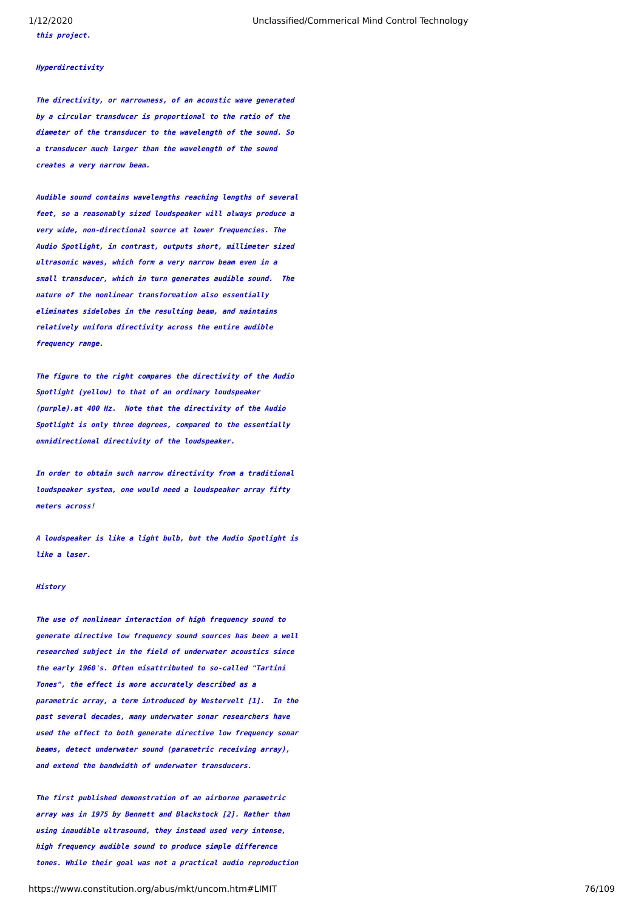**this project.**

# **Hyperdirectivity**

**The directivity, or narrowness, of an acoustic wave generated by a circular transducer is proportional to the ratio of the diameter of the transducer to the wavelength of the sound. So a transducer much larger than the wavelength of the sound creates a very narrow beam.**

**Audible sound contains wavelengths reaching lengths of several feet, so a reasonably sized loudspeaker will always produce a very wide, non-directional source at lower frequencies. The Audio Spotlight, in contrast, outputs short, millimeter sized ultrasonic waves, which form a very narrow beam even in a small transducer, which in turn generates audible sound. The nature of the nonlinear transformation also essentially eliminates sidelobes in the resulting beam, and maintains relatively uniform directivity across the entire audible frequency range.**

**The figure to the right compares the directivity of the Audio Spotlight (yellow) to that of an ordinary loudspeaker (purple).at 400 Hz. Note that the directivity of the Audio Spotlight is only three degrees, compared to the essentially omnidirectional directivity of the loudspeaker.**

**In order to obtain such narrow directivity from a traditional loudspeaker system, one would need a loudspeaker array fifty meters across!**

**A loudspeaker is like a light bulb, but the Audio Spotlight is like a laser.**

#### **History**

**The use of nonlinear interaction of high frequency sound to generate directive low frequency sound sources has been a well researched subject in the field of underwater acoustics since the early 1960's. Often misattributed to so-called "Tartini Tones", the effect is more accurately described as a parametric array, a term introduced by Westervelt [1]. In the past several decades, many underwater sonar researchers have used the effect to both generate directive low frequency sonar beams, detect underwater sound (parametric receiving array), and extend the bandwidth of underwater transducers.**

**The first published demonstration of an airborne parametric array was in 1975 by Bennett and Blackstock [2]. Rather than using inaudible ultrasound, they instead used very intense, high frequency audible sound to produce simple difference tones. While their goal was not a practical audio reproduction**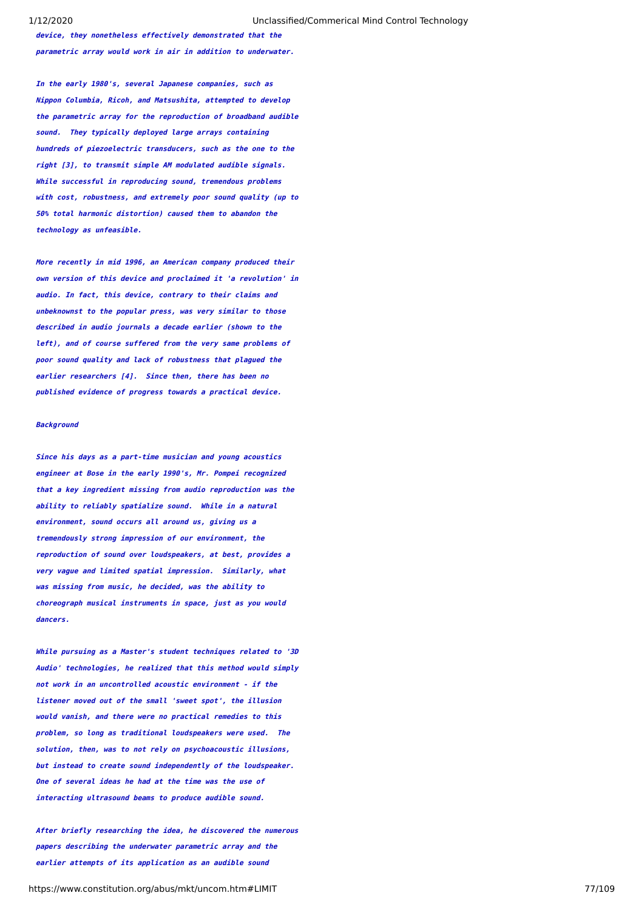**device, they nonetheless effectively demonstrated that the parametric array would work in air in addition to underwater.**

**In the early 1980's, several Japanese companies, such as Nippon Columbia, Ricoh, and Matsushita, attempted to develop the parametric array for the reproduction of broadband audible sound. They typically deployed large arrays containing hundreds of piezoelectric transducers, such as the one to the right [3], to transmit simple AM modulated audible signals. While successful in reproducing sound, tremendous problems with cost, robustness, and extremely poor sound quality (up to 50% total harmonic distortion) caused them to abandon the technology as unfeasible.**

**More recently in mid 1996, an American company produced their own version of this device and proclaimed it 'a revolution' in audio. In fact, this device, contrary to their claims and unbeknownst to the popular press, was very similar to those described in audio journals a decade earlier (shown to the left), and of course suffered from the very same problems of poor sound quality and lack of robustness that plagued the earlier researchers [4]. Since then, there has been no published evidence of progress towards a practical device.**

### **Background**

**Since his days as a part-time musician and young acoustics engineer at Bose in the early 1990's, Mr. Pompei recognized that a key ingredient missing from audio reproduction was the ability to reliably spatialize sound. While in a natural environment, sound occurs all around us, giving us a tremendously strong impression of our environment, the reproduction of sound over loudspeakers, at best, provides a very vague and limited spatial impression. Similarly, what was missing from music, he decided, was the ability to choreograph musical instruments in space, just as you would dancers.**

**While pursuing as a Master's student techniques related to '3D Audio' technologies, he realized that this method would simply not work in an uncontrolled acoustic environment - if the listener moved out of the small 'sweet spot', the illusion would vanish, and there were no practical remedies to this problem, so long as traditional loudspeakers were used. The solution, then, was to not rely on psychoacoustic illusions, but instead to create sound independently of the loudspeaker. One of several ideas he had at the time was the use of interacting ultrasound beams to produce audible sound.**

**After briefly researching the idea, he discovered the numerous papers describing the underwater parametric array and the earlier attempts of its application as an audible sound**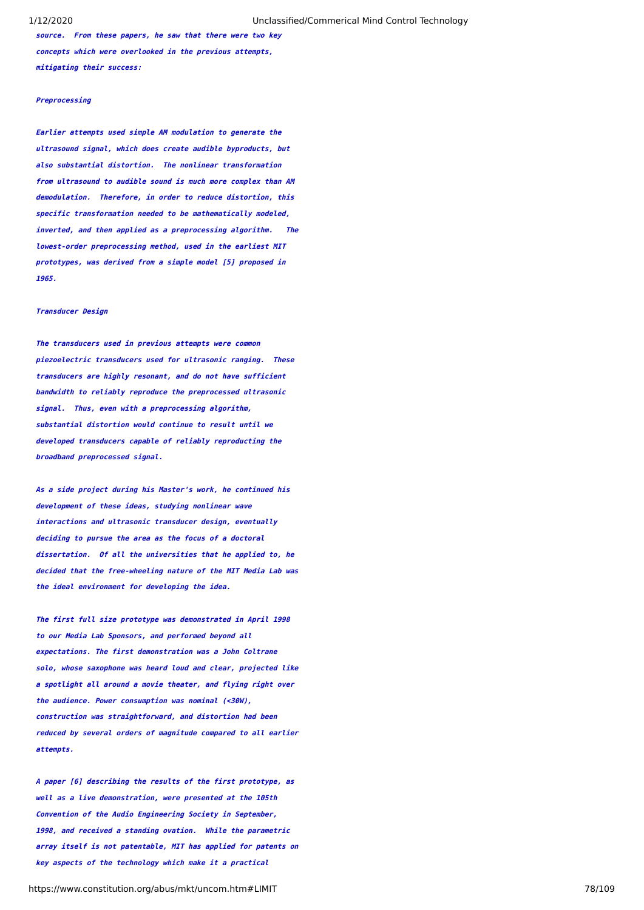**source. From these papers, he saw that there were two key concepts which were overlooked in the previous attempts, mitigating their success:**

## **Preprocessing**

**Earlier attempts used simple AM modulation to generate the ultrasound signal, which does create audible byproducts, but also substantial distortion. The nonlinear transformation from ultrasound to audible sound is much more complex than AM demodulation. Therefore, in order to reduce distortion, this specific transformation needed to be mathematically modeled, inverted, and then applied as a preprocessing algorithm. The lowest-order preprocessing method, used in the earliest MIT prototypes, was derived from a simple model [5] proposed in 1965.**

#### **Transducer Design**

**The transducers used in previous attempts were common piezoelectric transducers used for ultrasonic ranging. These transducers are highly resonant, and do not have sufficient bandwidth to reliably reproduce the preprocessed ultrasonic signal. Thus, even with a preprocessing algorithm, substantial distortion would continue to result until we developed transducers capable of reliably reproducting the broadband preprocessed signal.**

**As a side project during his Master's work, he continued his development of these ideas, studying nonlinear wave interactions and ultrasonic transducer design, eventually deciding to pursue the area as the focus of a doctoral dissertation. Of all the universities that he applied to, he decided that the free-wheeling nature of the MIT Media Lab was the ideal environment for developing the idea.**

**The first full size prototype was demonstrated in April 1998 to our Media Lab Sponsors, and performed beyond all expectations. The first demonstration was a John Coltrane solo, whose saxophone was heard loud and clear, projected like a spotlight all around a movie theater, and flying right over the audience. Power consumption was nominal (<30W), construction was straightforward, and distortion had been reduced by several orders of magnitude compared to all earlier attempts.**

**A paper [6] describing the results of the first prototype, as well as a live demonstration, were presented at the 105th Convention of the Audio Engineering Society in September, 1998, and received a standing ovation. While the parametric array itself is not patentable, MIT has applied for patents on key aspects of the technology which make it a practical**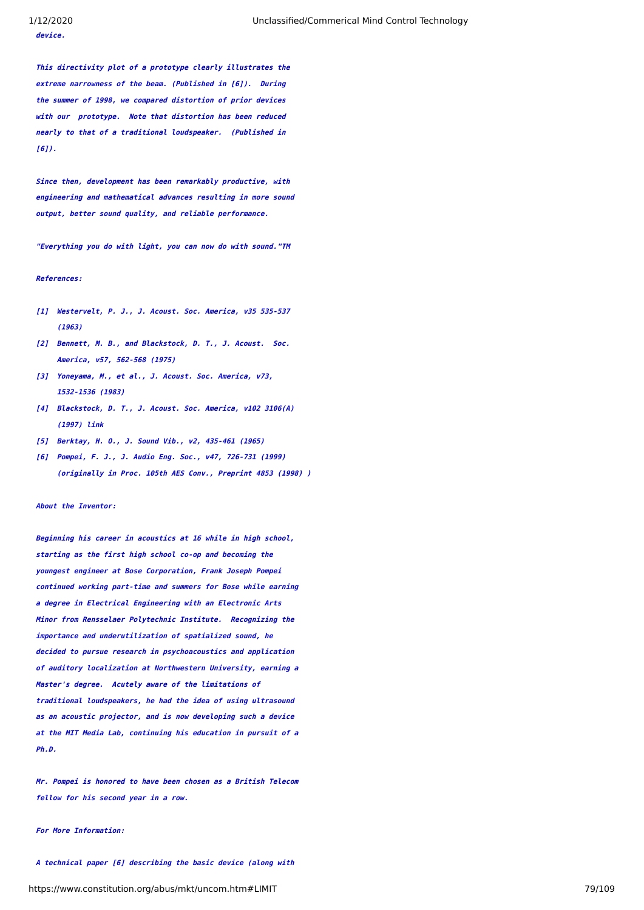**device.**

**This directivity plot of a prototype clearly illustrates the extreme narrowness of the beam. (Published in [6]). During the summer of 1998, we compared distortion of prior devices with our prototype. Note that distortion has been reduced nearly to that of a traditional loudspeaker. (Published in [6]).**

**Since then, development has been remarkably productive, with engineering and mathematical advances resulting in more sound output, better sound quality, and reliable performance.**

**"Everything you do with light, you can now do with sound."TM**

#### **References:**

- **[1] Westervelt, P. J., J. Acoust. Soc. America, v35 535-537 (1963)**
- **[2] Bennett, M. B., and Blackstock, D. T., J. Acoust. Soc. America, v57, 562-568 (1975)**
- **[3] Yoneyama, M., et al., J. Acoust. Soc. America, v73, 1532-1536 (1983)**
- **[4] Blackstock, D. T., J. Acoust. Soc. America, v102 3106(A) (1997) link**
- **[5] Berktay, H. O., J. Sound Vib., v2, 435-461 (1965)**
- **[6] Pompei, F. J., J. Audio Eng. Soc., v47, 726-731 (1999) (originally in Proc. 105th AES Conv., Preprint 4853 (1998) )**

**About the Inventor:**

**Beginning his career in acoustics at 16 while in high school, starting as the first high school co-op and becoming the youngest engineer at Bose Corporation, Frank Joseph Pompei continued working part-time and summers for Bose while earning a degree in Electrical Engineering with an Electronic Arts Minor from Rensselaer Polytechnic Institute. Recognizing the importance and underutilization of spatialized sound, he decided to pursue research in psychoacoustics and application of auditory localization at Northwestern University, earning a Master's degree. Acutely aware of the limitations of traditional loudspeakers, he had the idea of using ultrasound as an acoustic projector, and is now developing such a device at the MIT Media Lab, continuing his education in pursuit of a Ph.D.**

**Mr. Pompei is honored to have been chosen as a British Telecom fellow for his second year in a row.**

#### **For More Information:**

https://www.constitution.org/abus/mkt/uncom.htm#LIMIT 79/109 **A technical paper [6] describing the basic device (along with**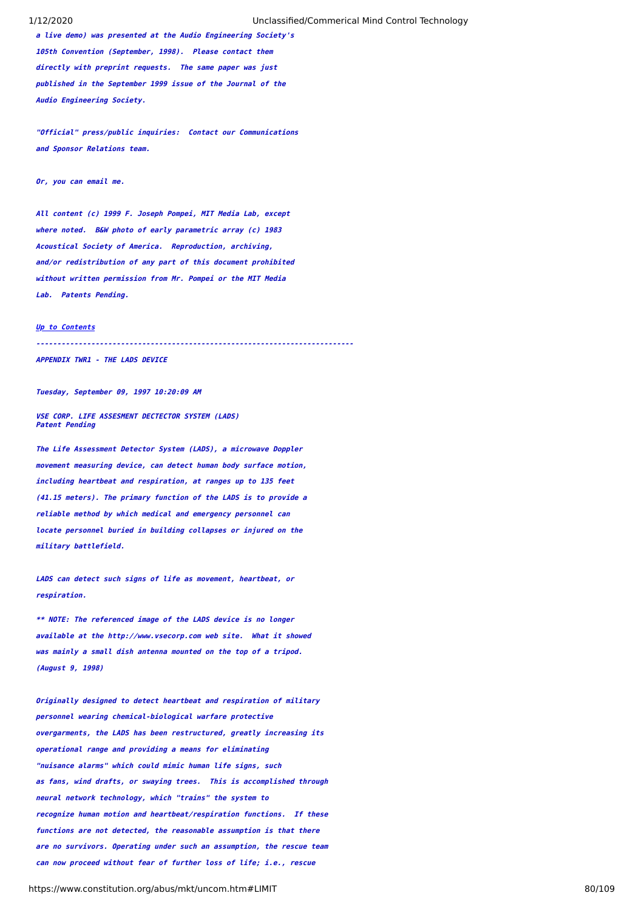**a live demo) was presented at the Audio Engineering Society's 105th Convention (September, 1998). Please contact them directly with preprint requests. The same paper was just published in the September 1999 issue of the Journal of the Audio Engineering Society.**

**"Official" press/public inquiries: Contact our Communications and Sponsor Relations team.**

**Or, you can email me.**

**All content (c) 1999 F. Joseph Pompei, MIT Media Lab, except where noted. B&W photo of early parametric array (c) 1983 Acoustical Society of America. Reproduction, archiving, and/or redistribution of any part of this document prohibited without written permission from Mr. Pompei or the MIT Media Lab. Patents Pending.**

#### **[Up to Contents](#page-2-0)**

**---------------------------------------------------------------------------**

**APPENDIX TWR1 - THE LADS DEVICE**

**Tuesday, September 09, 1997 10:20:09 AM**

**VSE CORP. LIFE ASSESMENT DECTECTOR SYSTEM (LADS) Patent Pending**

**The Life Assessment Detector System (LADS), a microwave Doppler movement measuring device, can detect human body surface motion, including heartbeat and respiration, at ranges up to 135 feet (41.15 meters). The primary function of the LADS is to provide a reliable method by which medical and emergency personnel can locate personnel buried in building collapses or injured on the military battlefield.** 

**LADS can detect such signs of life as movement, heartbeat, or respiration.**

**\*\* NOTE: The referenced image of the LADS device is no longer available at the http://www.vsecorp.com web site. What it showed was mainly a small dish antenna mounted on the top of a tripod. (August 9, 1998)**

**Originally designed to detect heartbeat and respiration of military personnel wearing chemical-biological warfare protective overgarments, the LADS has been restructured, greatly increasing its operational range and providing a means for eliminating "nuisance alarms" which could mimic human life signs, such as fans, wind drafts, or swaying trees. This is accomplished through neural network technology, which "trains" the system to recognize human motion and heartbeat/respiration functions. If these functions are not detected, the reasonable assumption is that there are no survivors. Operating under such an assumption, the rescue team can now proceed without fear of further loss of life; i.e., rescue**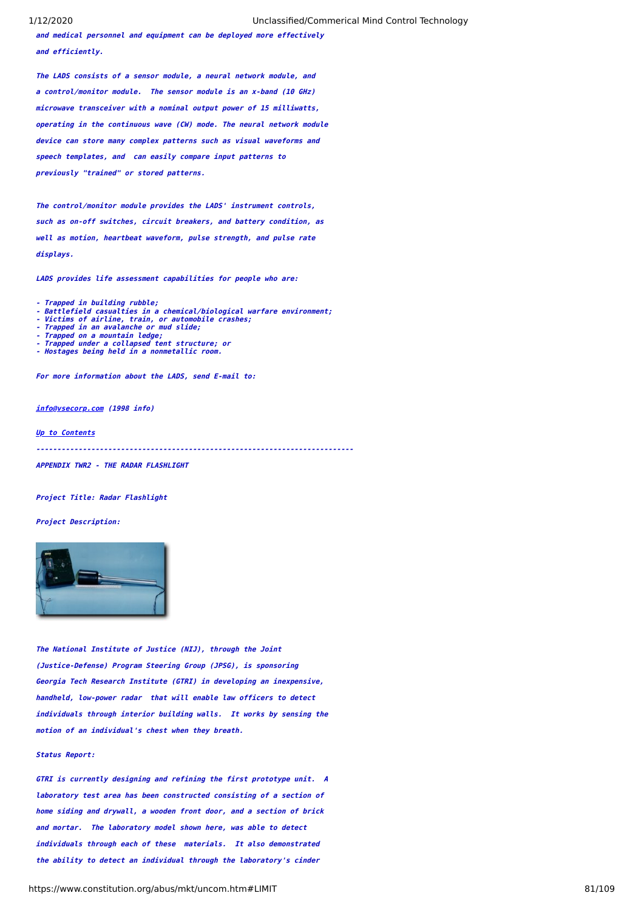**and medical personnel and equipment can be deployed more effectively and efficiently.**

**The LADS consists of a sensor module, a neural network module, and a control/monitor module. The sensor module is an x-band (10 GHz) microwave transceiver with a nominal output power of 15 milliwatts, operating in the continuous wave (CW) mode. The neural network module device can store many complex patterns such as visual waveforms and speech templates, and can easily compare input patterns to previously "trained" or stored patterns.** 

**The control/monitor module provides the LADS' instrument controls, such as on-off switches, circuit breakers, and battery condition, as well as motion, heartbeat waveform, pulse strength, and pulse rate displays.**

**LADS provides life assessment capabilities for people who are:**

- **Trapped in building rubble;**
- **Battlefield casualties in a chemical/biological warfare environment; Victims of airline, train, or automobile crashes; Trapped in an avalanche or mud slide;**
- 
- 
- **Trapped on a mountain ledge; Trapped under a collapsed tent structure; or**
- **Hostages being held in a nonmetallic room.**
- 

**For more information about the LADS, send E-mail to:** 

**[info@vsecorp.com](mailto:info@vsecorp.com) (1998 info)**

**[Up to Contents](#page-2-0)**

**---------------------------------------------------------------------------**

**APPENDIX TWR2 - THE RADAR FLASHLIGHT**

**Project Title: Radar Flashlight**

## **Project Description:**



**The National Institute of Justice (NIJ), through the Joint (Justice-Defense) Program Steering Group (JPSG), is sponsoring Georgia Tech Research Institute (GTRI) in developing an inexpensive, handheld, low-power radar that will enable law officers to detect individuals through interior building walls. It works by sensing the motion of an individual's chest when they breath.**

## **Status Report:**

**GTRI is currently designing and refining the first prototype unit. A laboratory test area has been constructed consisting of a section of home siding and drywall, a wooden front door, and a section of brick and mortar. The laboratory model shown here, was able to detect individuals through each of these materials. It also demonstrated the ability to detect an individual through the laboratory's cinder**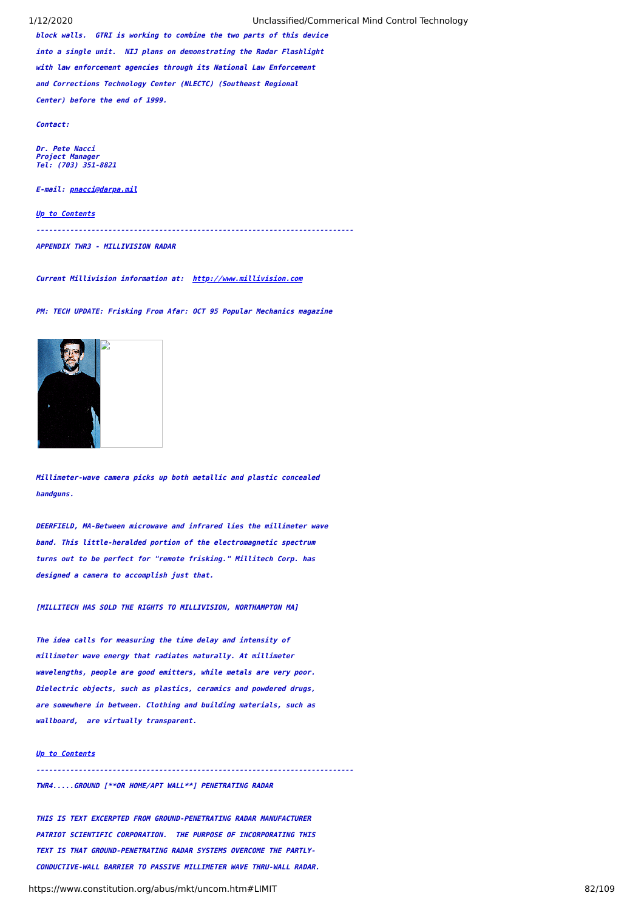1/12/2020 Unclassified/Commerical Mind Control Technology

**block walls. GTRI is working to combine the two parts of this device into a single unit. NIJ plans on demonstrating the Radar Flashlight with law enforcement agencies through its National Law Enforcement and Corrections Technology Center (NLECTC) (Southeast Regional Center) before the end of 1999.**

**Contact:**

**Dr. Pete Nacci Project Manager Tel: (703) 351-8821**

**E-mail: [pnacci@darpa.mil](mailto:pnacci@darpa.mil)**

**[Up to Contents](#page-2-0)**

**---------------------------------------------------------------------------**

**APPENDIX TWR3 - MILLIVISION RADAR**

**Current Millivision information at: [http://www.millivision.com](http://www.millivision.com/)**

**PM: TECH UPDATE: Frisking From Afar: OCT 95 Popular Mechanics magazine**



**Millimeter-wave camera picks up both metallic and plastic concealed handguns.**

**DEERFIELD, MA-Between microwave and infrared lies the millimeter wave band. This little-heralded portion of the electromagnetic spectrum turns out to be perfect for "remote frisking." Millitech Corp. has designed a camera to accomplish just that.**

**[MILLITECH HAS SOLD THE RIGHTS TO MILLIVISION, NORTHAMPTON MA]**

**The idea calls for measuring the time delay and intensity of millimeter wave energy that radiates naturally. At millimeter wavelengths, people are good emitters, while metals are very poor. Dielectric objects, such as plastics, ceramics and powdered drugs, are somewhere in between. Clothing and building materials, such as wallboard, are virtually transparent.**

### **[Up to Contents](#page-2-0)**

**---------------------------------------------------------------------------**

**TWR4.....GROUND [\*\*OR HOME/APT WALL\*\*] PENETRATING RADAR**

**THIS IS TEXT EXCERPTED FROM GROUND-PENETRATING RADAR MANUFACTURER PATRIOT SCIENTIFIC CORPORATION. THE PURPOSE OF INCORPORATING THIS TEXT IS THAT GROUND-PENETRATING RADAR SYSTEMS OVERCOME THE PARTLY-CONDUCTIVE-WALL BARRIER TO PASSIVE MILLIMETER WAVE THRU-WALL RADAR.**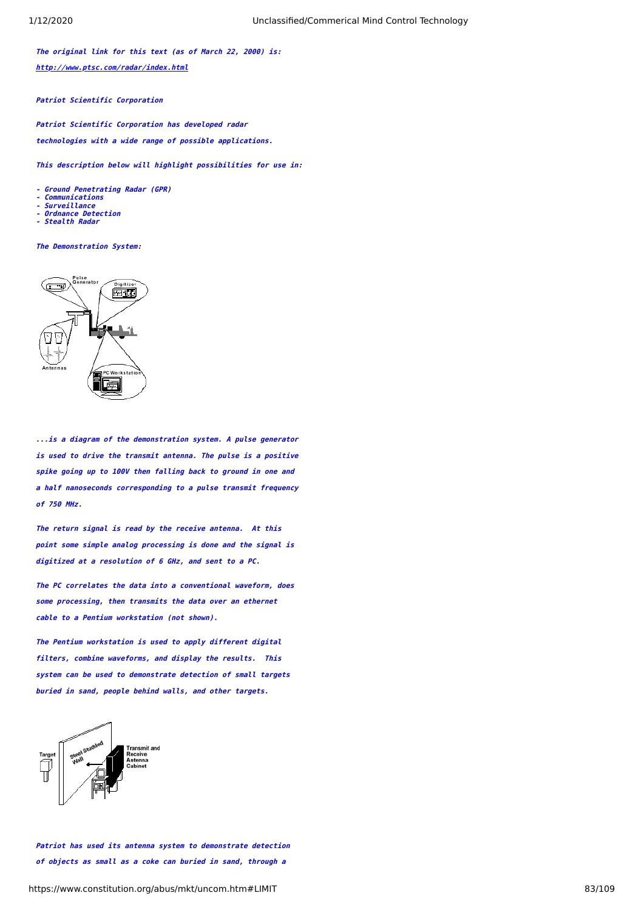**The original link for this text (as of March 22, 2000) is: <http://www.ptsc.com/radar/index.html>**

**Patriot Scientific Corporation**

**Patriot Scientific Corporation has developed radar technologies with a wide range of possible applications.**

**This description below will highlight possibilities for use in:**

**- Ground Penetrating Radar (GPR)**

- **Communications**
- **Surveillance**
- **Ordnance Detection Stealth Radar**

**The Demonstration System:**



**...is a diagram of the demonstration system. A pulse generator is used to drive the transmit antenna. The pulse is a positive spike going up to 100V then falling back to ground in one and a half nanoseconds corresponding to a pulse transmit frequency of 750 MHz.**

**The return signal is read by the receive antenna. At this point some simple analog processing is done and the signal is digitized at a resolution of 6 GHz, and sent to a PC.**

**The PC correlates the data into a conventional waveform, does some processing, then transmits the data over an ethernet cable to a Pentium workstation (not shown).**

**The Pentium workstation is used to apply different digital filters, combine waveforms, and display the results. This system can be used to demonstrate detection of small targets buried in sand, people behind walls, and other targets.**



**Patriot has used its antenna system to demonstrate detection of objects as small as a coke can buried in sand, through a**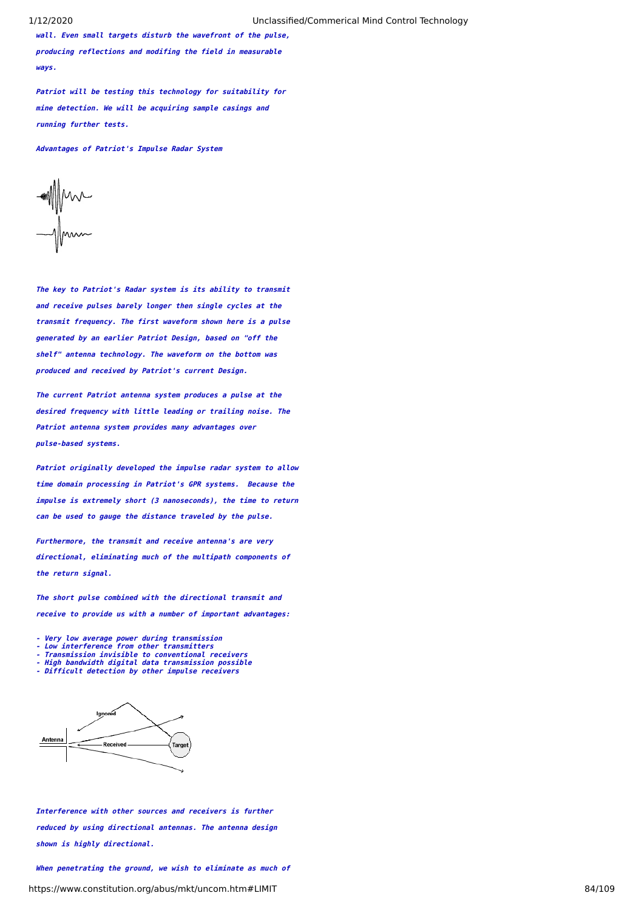**wall. Even small targets disturb the wavefront of the pulse, producing reflections and modifing the field in measurable ways.**

**Patriot will be testing this technology for suitability for mine detection. We will be acquiring sample casings and running further tests.**

**Advantages of Patriot's Impulse Radar System**

 $\mathbb{M}$ 

**The key to Patriot's Radar system is its ability to transmit and receive pulses barely longer then single cycles at the transmit frequency. The first waveform shown here is a pulse generated by an earlier Patriot Design, based on "off the shelf" antenna technology. The waveform on the bottom was produced and received by Patriot's current Design.**

**The current Patriot antenna system produces a pulse at the desired frequency with little leading or trailing noise. The Patriot antenna system provides many advantages over pulse-based systems.**

**Patriot originally developed the impulse radar system to allow time domain processing in Patriot's GPR systems. Because the impulse is extremely short (3 nanoseconds), the time to return can be used to gauge the distance traveled by the pulse.**

**Furthermore, the transmit and receive antenna's are very directional, eliminating much of the multipath components of the return signal.**

**The short pulse combined with the directional transmit and receive to provide us with a number of important advantages:**

**- Very low average power during transmission - Low interference from other transmitters**

- 
- 
- **Transmission invisible to conventional receivers High bandwidth digital data transmission possible Difficult detection by other impulse receivers**
- 



**Interference with other sources and receivers is further reduced by using directional antennas. The antenna design shown is highly directional.**

https://www.constitution.org/abus/mkt/uncom.htm#LIMIT 84/109 **When penetrating the ground, we wish to eliminate as much of**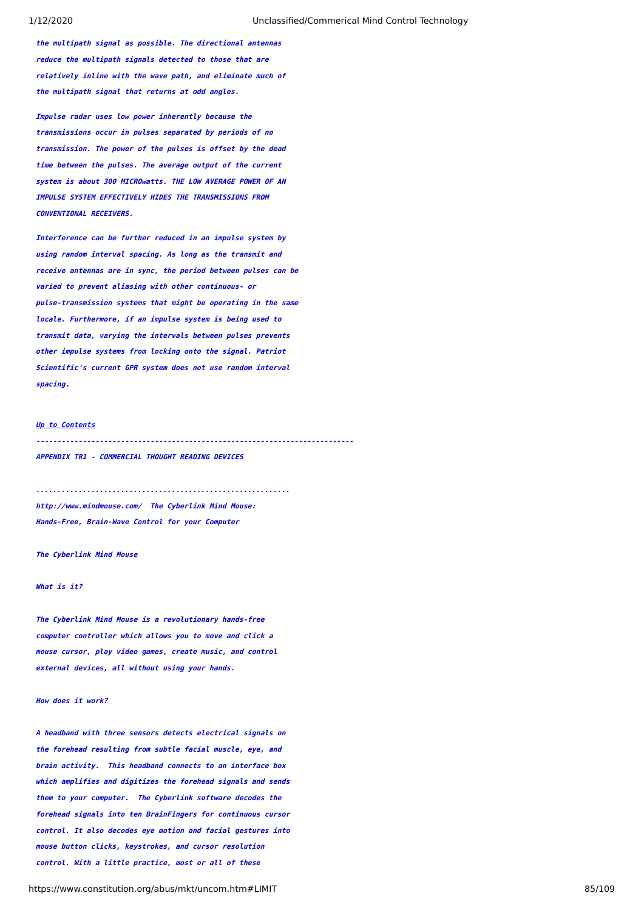**the multipath signal as possible. The directional antennas reduce the multipath signals detected to those that are relatively inline with the wave path, and eliminate much of the multipath signal that returns at odd angles.**

**Impulse radar uses low power inherently because the transmissions occur in pulses separated by periods of no transmission. The power of the pulses is offset by the dead time between the pulses. The average output of the current system is about 300 MICROwatts. THE LOW AVERAGE POWER OF AN IMPULSE SYSTEM EFFECTIVELY HIDES THE TRANSMISSIONS FROM CONVENTIONAL RECEIVERS.**

**Interference can be further reduced in an impulse system by using random interval spacing. As long as the transmit and receive antennas are in sync, the period between pulses can be varied to prevent aliasing with other continuous- or pulse-transmission systems that might be operating in the same locale. Furthermore, if an impulse system is being used to transmit data, varying the intervals between pulses prevents other impulse systems from locking onto the signal. Patriot Scientific's current GPR system does not use random interval spacing.**

# **[Up to Contents](#page-2-0)**

**---------------------------------------------------------------------------**

**APPENDIX TR1 - COMMERCIAL THOUGHT READING DEVICES**

**http://www.mindmouse.com/ The Cyberlink Mind Mouse: Hands-Free, Brain-Wave Control for your Computer**

**............................................................**

**The Cyberlink Mind Mouse**

## **What is it?**

**The Cyberlink Mind Mouse is a revolutionary hands-free computer controller which allows you to move and click a mouse cursor, play video games, create music, and control external devices, all without using your hands.**

## **How does it work?**

**A headband with three sensors detects electrical signals on the forehead resulting from subtle facial muscle, eye, and brain activity. This headband connects to an interface box which amplifies and digitizes the forehead signals and sends them to your computer. The Cyberlink software decodes the forehead signals into ten BrainFingers for continuous cursor control. It also decodes eye motion and facial gestures into mouse button clicks, keystrokes, and cursor resolution control. With a little practice, most or all of these**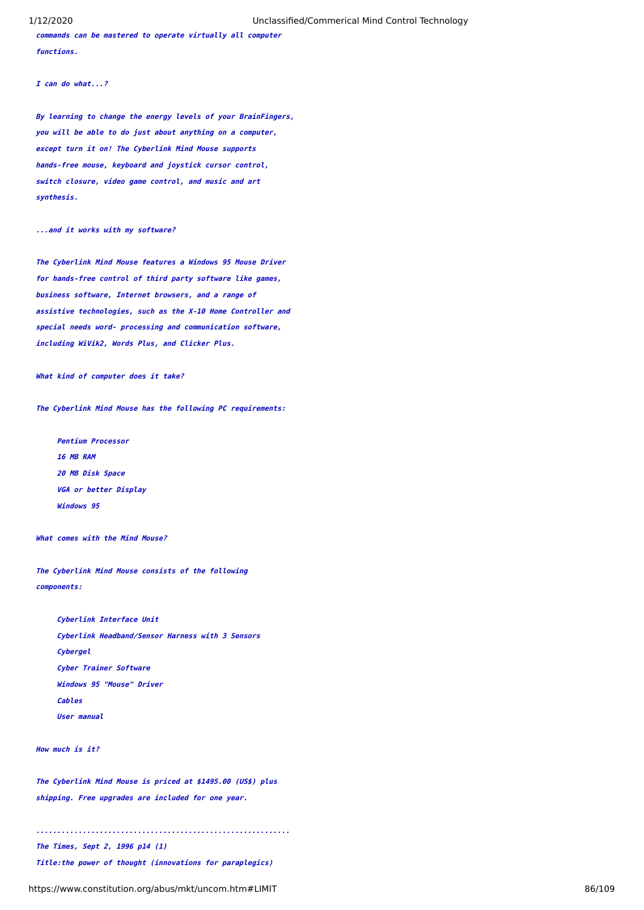**commands can be mastered to operate virtually all computer functions.**

**I can do what...?**

**By learning to change the energy levels of your BrainFingers, you will be able to do just about anything on a computer, except turn it on! The Cyberlink Mind Mouse supports hands-free mouse, keyboard and joystick cursor control, switch closure, video game control, and music and art synthesis.**

#### **...and it works with my software?**

**The Cyberlink Mind Mouse features a Windows 95 Mouse Driver for hands-free control of third party software like games, business software, Internet browsers, and a range of assistive technologies, such as the X-10 Home Controller and special needs word- processing and communication software, including WiVik2, Words Plus, and Clicker Plus.**

**What kind of computer does it take?**

**The Cyberlink Mind Mouse has the following PC requirements:**

 **Pentium Processor 16 MB RAM 20 MB Disk Space VGA or better Display Windows 95** 

**What comes with the Mind Mouse?**

**The Cyberlink Mind Mouse consists of the following components:**

 **Cyberlink Interface Unit Cyberlink Headband/Sensor Harness with 3 Sensors Cybergel Cyber Trainer Software Windows 95 "Mouse" Driver Cables User manual** 

**How much is it?**

**The Cyberlink Mind Mouse is priced at \$1495.00 (US\$) plus shipping. Free upgrades are included for one year.**

**............................................................**

**The Times, Sept 2, 1996 p14 (1)**

**Title:the power of thought (innovations for paraplegics)**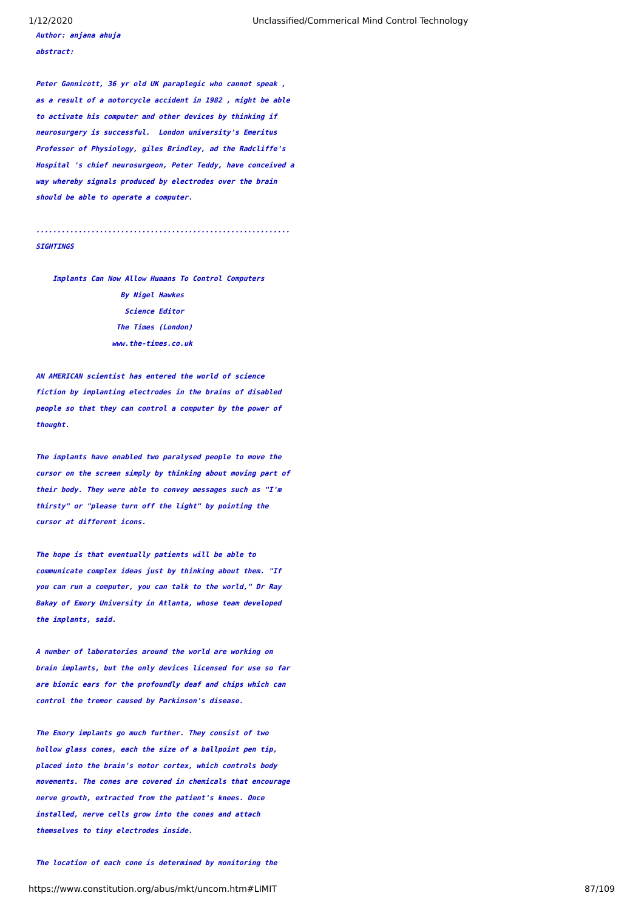**Author: anjana ahuja abstract:**

**Peter Gannicott, 36 yr old UK paraplegic who cannot speak , as a result of a motorcycle accident in 1982 , might be able to activate his computer and other devices by thinking if neurosurgery is successful. London university's Emeritus Professor of Physiology, giles Brindley, ad the Radcliffe's Hospital 's chief neurosurgeon, Peter Teddy, have conceived a way whereby signals produced by electrodes over the brain should be able to operate a computer.**

#### **SIGHTINGS**

 **Implants Can Now Allow Humans To Control Computers By Nigel Hawkes Science Editor The Times (London) www.the-times.co.uk**

**............................................................**

**AN AMERICAN scientist has entered the world of science fiction by implanting electrodes in the brains of disabled people so that they can control a computer by the power of thought.**

**The implants have enabled two paralysed people to move the cursor on the screen simply by thinking about moving part of their body. They were able to convey messages such as "I'm thirsty" or "please turn off the light" by pointing the cursor at different icons.**

**The hope is that eventually patients will be able to communicate complex ideas just by thinking about them. "If you can run a computer, you can talk to the world," Dr Ray Bakay of Emory University in Atlanta, whose team developed the implants, said.**

**A number of laboratories around the world are working on brain implants, but the only devices licensed for use so far are bionic ears for the profoundly deaf and chips which can control the tremor caused by Parkinson's disease.**

**The Emory implants go much further. They consist of two hollow glass cones, each the size of a ballpoint pen tip, placed into the brain's motor cortex, which controls body movements. The cones are covered in chemicals that encourage nerve growth, extracted from the patient's knees. Once installed, nerve cells grow into the cones and attach themselves to tiny electrodes inside.**

#### **The location of each cone is determined by monitoring the**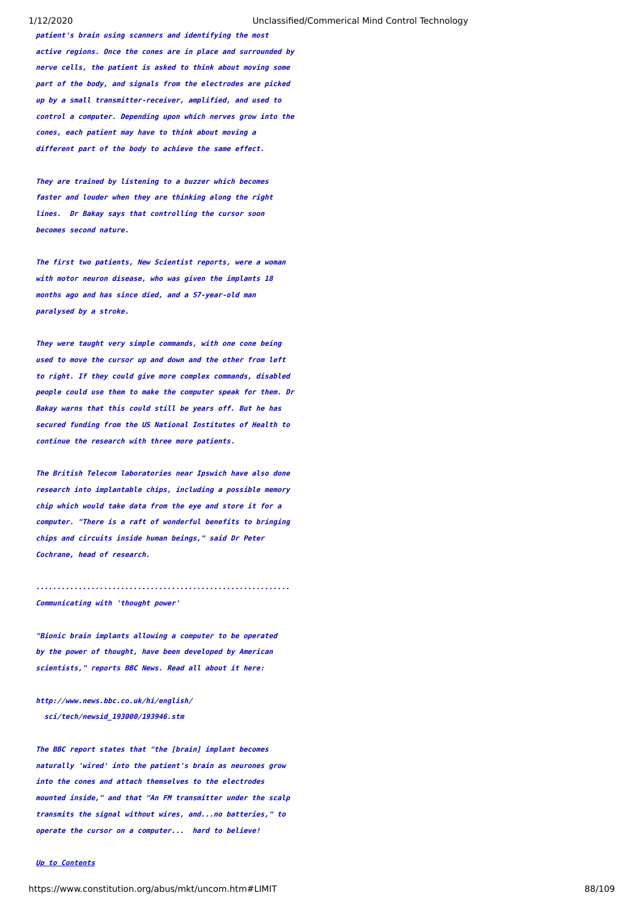**patient's brain using scanners and identifying the most active regions. Once the cones are in place and surrounded by nerve cells, the patient is asked to think about moving some part of the body, and signals from the electrodes are picked up by a small transmitter-receiver, amplified, and used to control a computer. Depending upon which nerves grow into the cones, each patient may have to think about moving a different part of the body to achieve the same effect.**

**They are trained by listening to a buzzer which becomes faster and louder when they are thinking along the right lines. Dr Bakay says that controlling the cursor soon becomes second nature.**

**The first two patients, New Scientist reports, were a woman with motor neuron disease, who was given the implants 18 months ago and has since died, and a 57-year-old man paralysed by a stroke.**

**They were taught very simple commands, with one cone being used to move the cursor up and down and the other from left to right. If they could give more complex commands, disabled people could use them to make the computer speak for them. Dr Bakay warns that this could still be years off. But he has secured funding from the US National Institutes of Health to continue the research with three more patients.**

**The British Telecom laboratories near Ipswich have also done research into implantable chips, including a possible memory chip which would take data from the eye and store it for a computer. "There is a raft of wonderful benefits to bringing chips and circuits inside human beings," said Dr Peter Cochrane, head of research.**

**............................................................**

# **Communicating with 'thought power'**

**"Bionic brain implants allowing a computer to be operated by the power of thought, have been developed by American scientists," reports BBC News. Read all about it here:**

**http://www.news.bbc.co.uk/hi/english/ sci/tech/newsid\_193000/193946.stm**

**The BBC report states that "the [brain] implant becomes naturally 'wired' into the patient's brain as neurones grow into the cones and attach themselves to the electrodes mounted inside," and that "An FM transmitter under the scalp transmits the signal without wires, and...no batteries," to operate the cursor on a computer... hard to believe!**

### **[Up to Contents](#page-2-0)**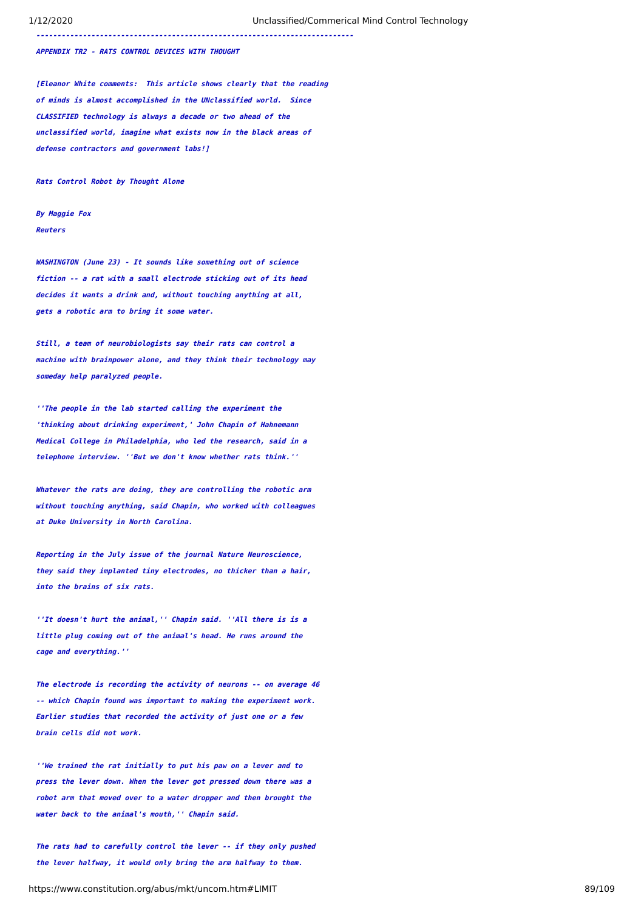**---------------------------------------------------------------------------**

**APPENDIX TR2 - RATS CONTROL DEVICES WITH THOUGHT**

**[Eleanor White comments: This article shows clearly that the reading of minds is almost accomplished in the UNclassified world. Since CLASSIFIED technology is always a decade or two ahead of the unclassified world, imagine what exists now in the black areas of defense contractors and government labs!]**

**Rats Control Robot by Thought Alone**

**By Maggie Fox Reuters**

**WASHINGTON (June 23) - It sounds like something out of science fiction -- a rat with a small electrode sticking out of its head decides it wants a drink and, without touching anything at all, gets a robotic arm to bring it some water.**

**Still, a team of neurobiologists say their rats can control a machine with brainpower alone, and they think their technology may someday help paralyzed people.**

**''The people in the lab started calling the experiment the 'thinking about drinking experiment,' John Chapin of Hahnemann Medical College in Philadelphia, who led the research, said in a telephone interview. ''But we don't know whether rats think.''**

**Whatever the rats are doing, they are controlling the robotic arm without touching anything, said Chapin, who worked with colleagues at Duke University in North Carolina.**

**Reporting in the July issue of the journal Nature Neuroscience, they said they implanted tiny electrodes, no thicker than a hair, into the brains of six rats.**

**''It doesn't hurt the animal,'' Chapin said. ''All there is is a little plug coming out of the animal's head. He runs around the cage and everything.''**

**The electrode is recording the activity of neurons -- on average 46 -- which Chapin found was important to making the experiment work. Earlier studies that recorded the activity of just one or a few brain cells did not work.**

**''We trained the rat initially to put his paw on a lever and to press the lever down. When the lever got pressed down there was a robot arm that moved over to a water dropper and then brought the water back to the animal's mouth,'' Chapin said.**

**The rats had to carefully control the lever -- if they only pushed the lever halfway, it would only bring the arm halfway to them.**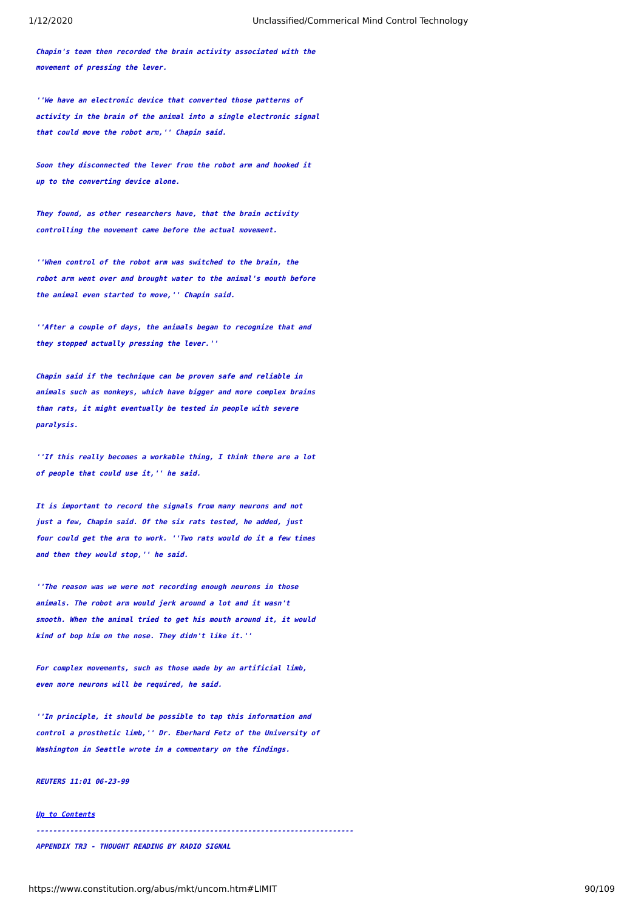**Chapin's team then recorded the brain activity associated with the movement of pressing the lever.**

**''We have an electronic device that converted those patterns of activity in the brain of the animal into a single electronic signal that could move the robot arm,'' Chapin said.**

**Soon they disconnected the lever from the robot arm and hooked it up to the converting device alone.**

**They found, as other researchers have, that the brain activity controlling the movement came before the actual movement.**

**''When control of the robot arm was switched to the brain, the robot arm went over and brought water to the animal's mouth before the animal even started to move,'' Chapin said.**

**''After a couple of days, the animals began to recognize that and they stopped actually pressing the lever.''**

**Chapin said if the technique can be proven safe and reliable in animals such as monkeys, which have bigger and more complex brains than rats, it might eventually be tested in people with severe paralysis.**

**''If this really becomes a workable thing, I think there are a lot of people that could use it,'' he said.**

**It is important to record the signals from many neurons and not just a few, Chapin said. Of the six rats tested, he added, just four could get the arm to work. ''Two rats would do it a few times and then they would stop,'' he said.**

**''The reason was we were not recording enough neurons in those animals. The robot arm would jerk around a lot and it wasn't smooth. When the animal tried to get his mouth around it, it would kind of bop him on the nose. They didn't like it.''**

**For complex movements, such as those made by an artificial limb, even more neurons will be required, he said.**

**''In principle, it should be possible to tap this information and control a prosthetic limb,'' Dr. Eberhard Fetz of the University of Washington in Seattle wrote in a commentary on the findings.**

**REUTERS 11:01 06-23-99**

#### **[Up to Contents](#page-2-0)**

**---------------------------------------------------------------------------**

**APPENDIX TR3 - THOUGHT READING BY RADIO SIGNAL**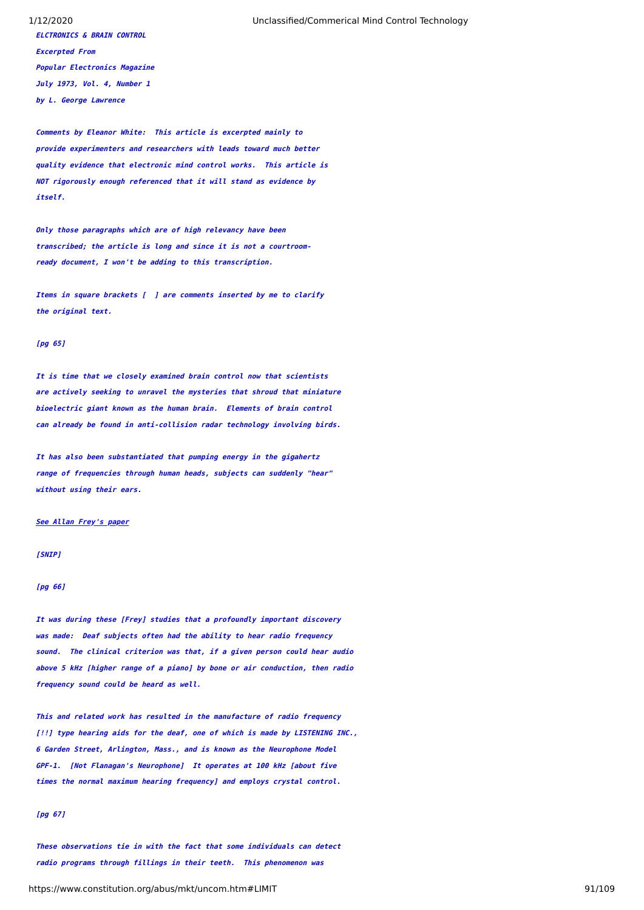1/12/2020 Unclassified/Commerical Mind Control Technology

**ELCTRONICS & BRAIN CONTROL Excerpted From Popular Electronics Magazine July 1973, Vol. 4, Number 1 by L. George Lawrence**

**Comments by Eleanor White: This article is excerpted mainly to provide experimenters and researchers with leads toward much better quality evidence that electronic mind control works. This article is NOT rigorously enough referenced that it will stand as evidence by itself.**

**Only those paragraphs which are of high relevancy have been transcribed; the article is long and since it is not a courtroomready document, I won't be adding to this transcription.**

**Items in square brackets [ ] are comments inserted by me to clarify the original text.**

### **[pg 65]**

**It is time that we closely examined brain control now that scientists are actively seeking to unravel the mysteries that shroud that miniature bioelectric giant known as the human brain. Elements of brain control can already be found in anti-collision radar technology involving birds.**

**It has also been substantiated that pumping energy in the gigahertz range of frequencies through human heads, subjects can suddenly "hear" without using their ears.**

### **[See Allan Frey's paper](https://www.constitution.org/abus/mkt/frey.htm)**

## **[SNIP]**

### **[pg 66]**

**It was during these [Frey] studies that a profoundly important discovery was made: Deaf subjects often had the ability to hear radio frequency sound. The clinical criterion was that, if a given person could hear audio above 5 kHz [higher range of a piano] by bone or air conduction, then radio frequency sound could be heard as well.**

**This and related work has resulted in the manufacture of radio frequency [!!] type hearing aids for the deaf, one of which is made by LISTENING INC., 6 Garden Street, Arlington, Mass., and is known as the Neurophone Model GPF-1. [Not Flanagan's Neurophone] It operates at 100 kHz [about five times the normal maximum hearing frequency] and employs crystal control.**

# **[pg 67]**

**These observations tie in with the fact that some individuals can detect radio programs through fillings in their teeth. This phenomenon was**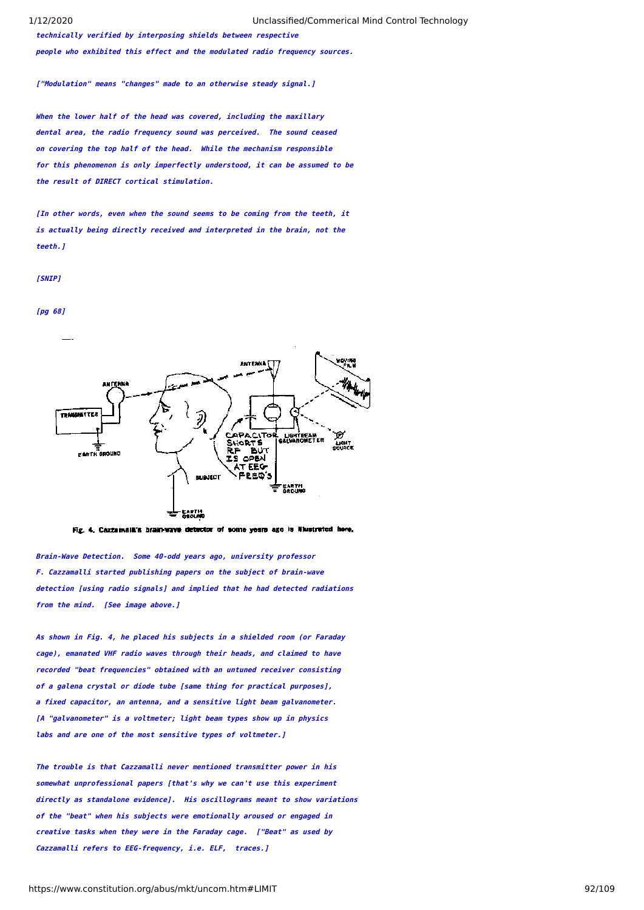**technically verified by interposing shields between respective people who exhibited this effect and the modulated radio frequency sources.**

**["Modulation" means "changes" made to an otherwise steady signal.]**

**When the lower half of the head was covered, including the maxillary dental area, the radio frequency sound was perceived. The sound ceased on covering the top half of the head. While the mechanism responsible for this phenomenon is only imperfectly understood, it can be assumed to be the result of DIRECT cortical stimulation.**

**[In other words, even when the sound seems to be coming from the teeth, it is actually being directly received and interpreted in the brain, not the teeth.]**

#### **[SNIP]**

#### **[pg 68]**



Fig. 4. Cazzamala's brainways detector of some years ago is Nustrated here.

 **Brain-Wave Detection. Some 40-odd years ago, university professor F. Cazzamalli started publishing papers on the subject of brain-wave detection [using radio signals] and implied that he had detected radiations from the mind. [See image above.]**

**As shown in Fig. 4, he placed his subjects in a shielded room (or Faraday cage), emanated VHF radio waves through their heads, and claimed to have recorded "beat frequencies" obtained with an untuned receiver consisting of a galena crystal or diode tube [same thing for practical purposes], a fixed capacitor, an antenna, and a sensitive light beam galvanometer. [A "galvanometer" is a voltmeter; light beam types show up in physics labs and are one of the most sensitive types of voltmeter.]**

**The trouble is that Cazzamalli never mentioned transmitter power in his somewhat unprofessional papers [that's why we can't use this experiment directly as standalone evidence]. His oscillograms meant to show variations of the "beat" when his subjects were emotionally aroused or engaged in creative tasks when they were in the Faraday cage. ["Beat" as used by Cazzamalli refers to EEG-frequency, i.e. ELF, traces.]**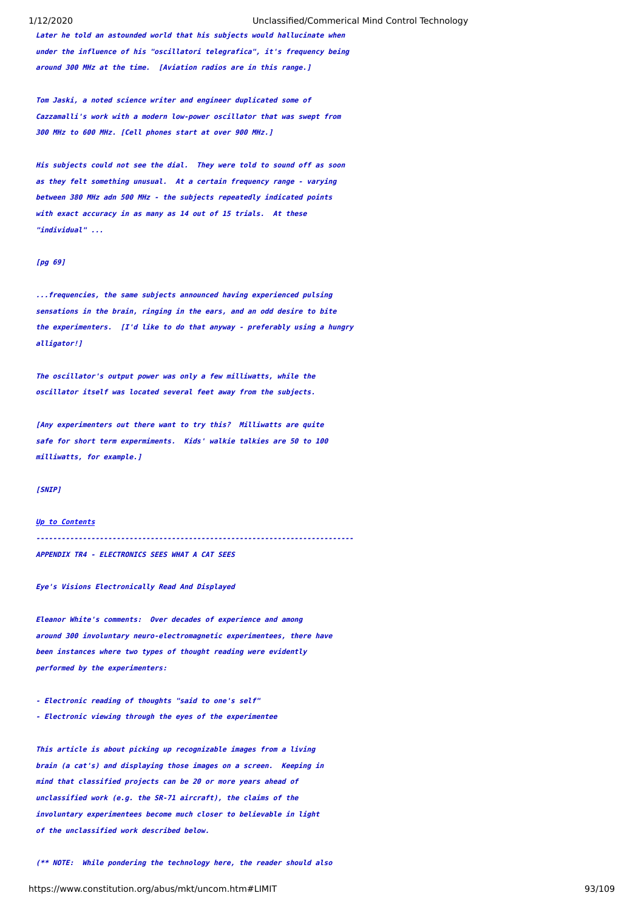**Later he told an astounded world that his subjects would hallucinate when under the influence of his "oscillatori telegrafica", it's frequency being around 300 MHz at the time. [Aviation radios are in this range.]**

**Tom Jaski, a noted science writer and engineer duplicated some of Cazzamalli's work with a modern low-power oscillator that was swept from 300 MHz to 600 MHz. [Cell phones start at over 900 MHz.]**

**His subjects could not see the dial. They were told to sound off as soon as they felt something unusual. At a certain frequency range - varying between 380 MHz adn 500 MHz - the subjects repeatedly indicated points with exact accuracy in as many as 14 out of 15 trials. At these "individual" ...**

# **[pg 69]**

**...frequencies, the same subjects announced having experienced pulsing sensations in the brain, ringing in the ears, and an odd desire to bite the experimenters. [I'd like to do that anyway - preferably using a hungry alligator!]**

**The oscillator's output power was only a few milliwatts, while the oscillator itself was located several feet away from the subjects.**

**[Any experimenters out there want to try this? Milliwatts are quite safe for short term expermiments. Kids' walkie talkies are 50 to 100 milliwatts, for example.]**

**[SNIP]**

### **[Up to Contents](#page-2-0)**

**---------------------------------------------------------------------------**

**APPENDIX TR4 - ELECTRONICS SEES WHAT A CAT SEES**

**Eye's Visions Electronically Read And Displayed**

**Eleanor White's comments: Over decades of experience and among around 300 involuntary neuro-electromagnetic experimentees, there have been instances where two types of thought reading were evidently performed by the experimenters:**

**- Electronic reading of thoughts "said to one's self"**

**- Electronic viewing through the eyes of the experimentee**

**This article is about picking up recognizable images from a living brain (a cat's) and displaying those images on a screen. Keeping in mind that classified projects can be 20 or more years ahead of unclassified work (e.g. the SR-71 aircraft), the claims of the involuntary experimentees become much closer to believable in light of the unclassified work described below.**

**(\*\* NOTE: While pondering the technology here, the reader should also**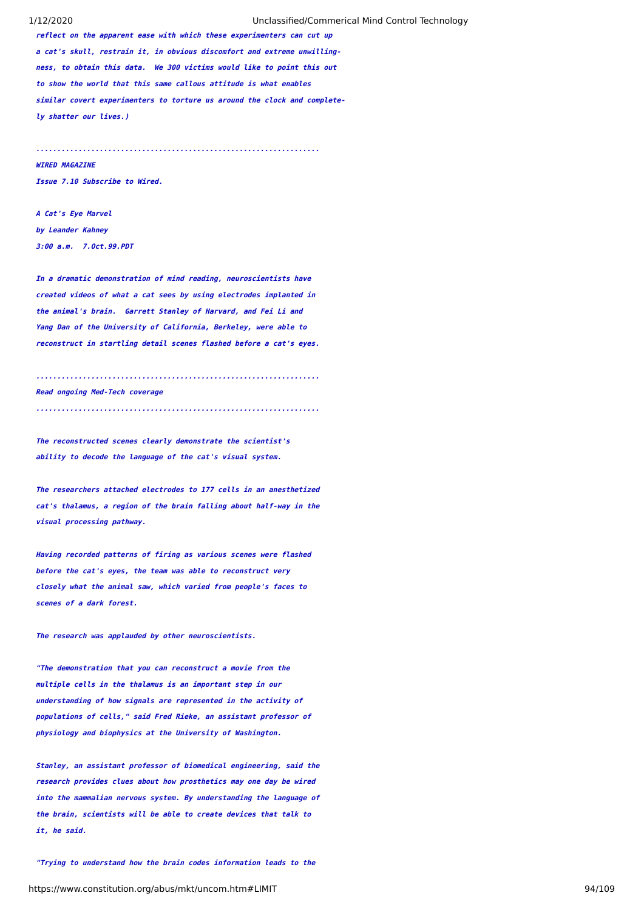**reflect on the apparent ease with which these experimenters can cut up a cat's skull, restrain it, in obvious discomfort and extreme unwillingness, to obtain this data. We 300 victims would like to point this out to show the world that this same callous attitude is what enables similar covert experimenters to torture us around the clock and completely shatter our lives.)**

**...................................................................**

#### **WIRED MAGAZINE**

**Issue 7.10 Subscribe to Wired.**

**A Cat's Eye Marvel by Leander Kahney 3:00 a.m. 7.Oct.99.PDT**

**In a dramatic demonstration of mind reading, neuroscientists have created videos of what a cat sees by using electrodes implanted in the animal's brain. Garrett Stanley of Harvard, and Fei Li and Yang Dan of the University of California, Berkeley, were able to reconstruct in startling detail scenes flashed before a cat's eyes.**

**Read ongoing Med-Tech coverage** 

**...................................................................**

**...................................................................**

**The reconstructed scenes clearly demonstrate the scientist's ability to decode the language of the cat's visual system.**

**The researchers attached electrodes to 177 cells in an anesthetized cat's thalamus, a region of the brain falling about half-way in the visual processing pathway.**

**Having recorded patterns of firing as various scenes were flashed before the cat's eyes, the team was able to reconstruct very closely what the animal saw, which varied from people's faces to scenes of a dark forest.**

**The research was applauded by other neuroscientists.**

**"The demonstration that you can reconstruct a movie from the multiple cells in the thalamus is an important step in our understanding of how signals are represented in the activity of populations of cells," said Fred Rieke, an assistant professor of physiology and biophysics at the University of Washington.**

**Stanley, an assistant professor of biomedical engineering, said the research provides clues about how prosthetics may one day be wired into the mammalian nervous system. By understanding the language of the brain, scientists will be able to create devices that talk to it, he said.**

**"Trying to understand how the brain codes information leads to the**

https://www.constitution.org/abus/mkt/uncom.htm#LIMIT 94/109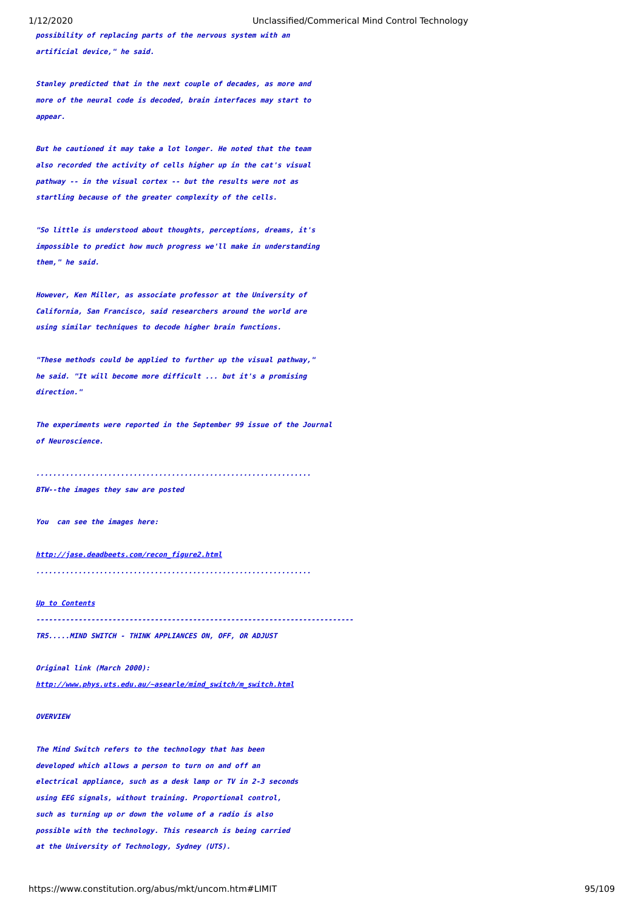**possibility of replacing parts of the nervous system with an artificial device," he said.**

**Stanley predicted that in the next couple of decades, as more and more of the neural code is decoded, brain interfaces may start to appear.**

**But he cautioned it may take a lot longer. He noted that the team also recorded the activity of cells higher up in the cat's visual pathway -- in the visual cortex -- but the results were not as startling because of the greater complexity of the cells.**

**"So little is understood about thoughts, perceptions, dreams, it's impossible to predict how much progress we'll make in understanding them," he said.**

**However, Ken Miller, as associate professor at the University of California, San Francisco, said researchers around the world are using similar techniques to decode higher brain functions.**

**"These methods could be applied to further up the visual pathway," he said. "It will become more difficult ... but it's a promising direction."**

**The experiments were reported in the September 99 issue of the Journal of Neuroscience.**

**................................................................. BTW--the images they saw are posted**

**You can see the images here:**

**[http://jase.deadbeets.com/recon\\_figure2.html](http://jase.deadbeets.com/recon_figure2.html)**

**.................................................................**

**[Up to Contents](#page-2-0)**

**---------------------------------------------------------------------------**

**TR5.....MIND SWITCH - THINK APPLIANCES ON, OFF, OR ADJUST**

**Original link (March 2000):**

**[http://www.phys.uts.edu.au/~asearle/mind\\_switch/m\\_switch.html](http://www.phys.uts.edu.au/~asearle/mind_switch/m_switch.html)**

# **OVERVIEW**

**The Mind Switch refers to the technology that has been developed which allows a person to turn on and off an electrical appliance, such as a desk lamp or TV in 2-3 seconds using EEG signals, without training. Proportional control, such as turning up or down the volume of a radio is also possible with the technology. This research is being carried at the University of Technology, Sydney (UTS).**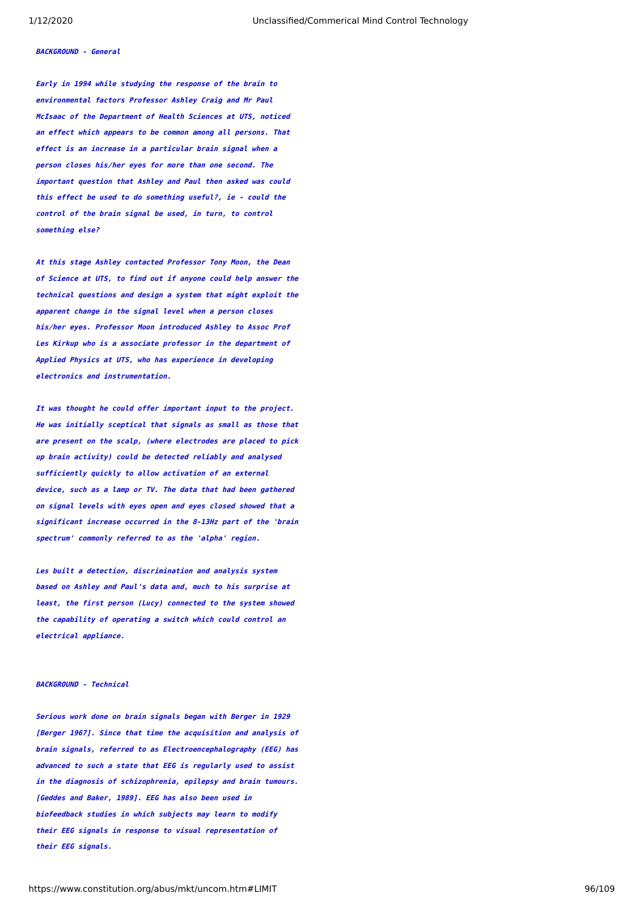### **BACKGROUND - General**

**Early in 1994 while studying the response of the brain to environmental factors Professor Ashley Craig and Mr Paul McIsaac of the Department of Health Sciences at UTS, noticed an effect which appears to be common among all persons. That effect is an increase in a particular brain signal when a person closes his/her eyes for more than one second. The important question that Ashley and Paul then asked was could this effect be used to do something useful?, ie - could the control of the brain signal be used, in turn, to control something else?**

**At this stage Ashley contacted Professor Tony Moon, the Dean of Science at UTS, to find out if anyone could help answer the technical questions and design a system that might exploit the apparent change in the signal level when a person closes his/her eyes. Professor Moon introduced Ashley to Assoc Prof Les Kirkup who is a associate professor in the department of Applied Physics at UTS, who has experience in developing electronics and instrumentation.**

**It was thought he could offer important input to the project. He was initially sceptical that signals as small as those that are present on the scalp, (where electrodes are placed to pick up brain activity) could be detected reliably and analysed sufficiently quickly to allow activation of an external device, such as a lamp or TV. The data that had been gathered on signal levels with eyes open and eyes closed showed that a significant increase occurred in the 8-13Hz part of the 'brain spectrum' commonly referred to as the 'alpha' region.**

**Les built a detection, discrimination and analysis system based on Ashley and Paul's data and, much to his surprise at least, the first person (Lucy) connected to the system showed the capability of operating a switch which could control an electrical appliance.**

### **BACKGROUND - Technical**

**Serious work done on brain signals began with Berger in 1929 [Berger 1967]. Since that time the acquisition and analysis of brain signals, referred to as Electroencephalography (EEG) has advanced to such a state that EEG is regularly used to assist in the diagnosis of schizophrenia, epilepsy and brain tumours. [Geddes and Baker, 1989]. EEG has also been used in biofeedback studies in which subjects may learn to modify their EEG signals in response to visual representation of their EEG signals.**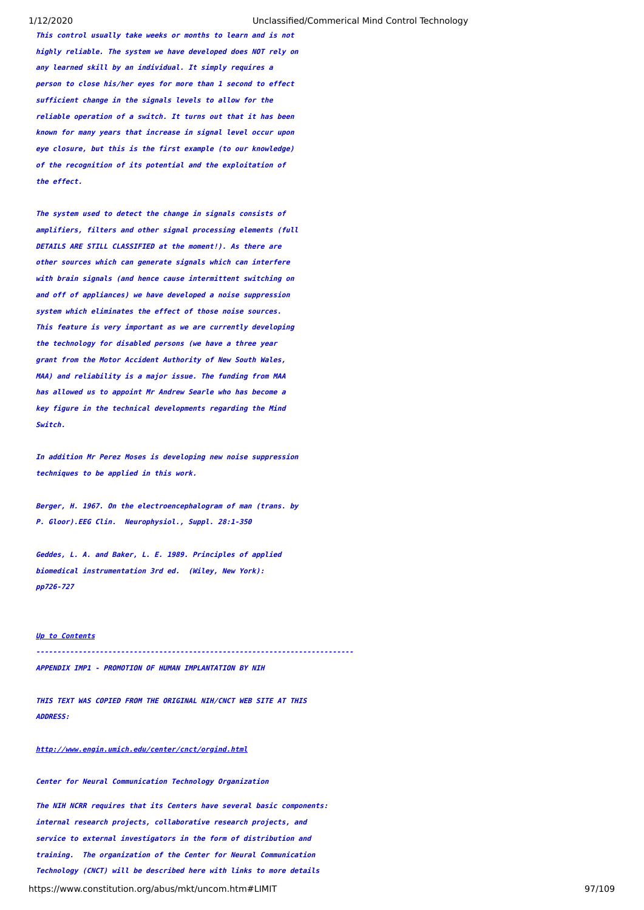**This control usually take weeks or months to learn and is not highly reliable. The system we have developed does NOT rely on any learned skill by an individual. It simply requires a person to close his/her eyes for more than 1 second to effect sufficient change in the signals levels to allow for the reliable operation of a switch. It turns out that it has been known for many years that increase in signal level occur upon eye closure, but this is the first example (to our knowledge) of the recognition of its potential and the exploitation of the effect.**

**The system used to detect the change in signals consists of amplifiers, filters and other signal processing elements (full DETAILS ARE STILL CLASSIFIED at the moment!). As there are other sources which can generate signals which can interfere with brain signals (and hence cause intermittent switching on and off of appliances) we have developed a noise suppression system which eliminates the effect of those noise sources. This feature is very important as we are currently developing the technology for disabled persons (we have a three year grant from the Motor Accident Authority of New South Wales, MAA) and reliability is a major issue. The funding from MAA has allowed us to appoint Mr Andrew Searle who has become a key figure in the technical developments regarding the Mind Switch.**

**In addition Mr Perez Moses is developing new noise suppression techniques to be applied in this work.**

**Berger, H. 1967. On the electroencephalogram of man (trans. by P. Gloor).EEG Clin. Neurophysiol., Suppl. 28:1-350**

**Geddes, L. A. and Baker, L. E. 1989. Principles of applied biomedical instrumentation 3rd ed. (Wiley, New York): pp726-727**

### **[Up to Contents](#page-2-0)**

**---------------------------------------------------------------------------**

**APPENDIX IMP1 - PROMOTION OF HUMAN IMPLANTATION BY NIH**

**THIS TEXT WAS COPIED FROM THE ORIGINAL NIH/CNCT WEB SITE AT THIS ADDRESS:**

**<http://www.engin.umich.edu/center/cnct/orgind.html>**

**Center for Neural Communication Technology Organization**

**The NIH NCRR requires that its Centers have several basic components: internal research projects, collaborative research projects, and service to external investigators in the form of distribution and training. The organization of the Center for Neural Communication Technology (CNCT) will be described here with links to more details**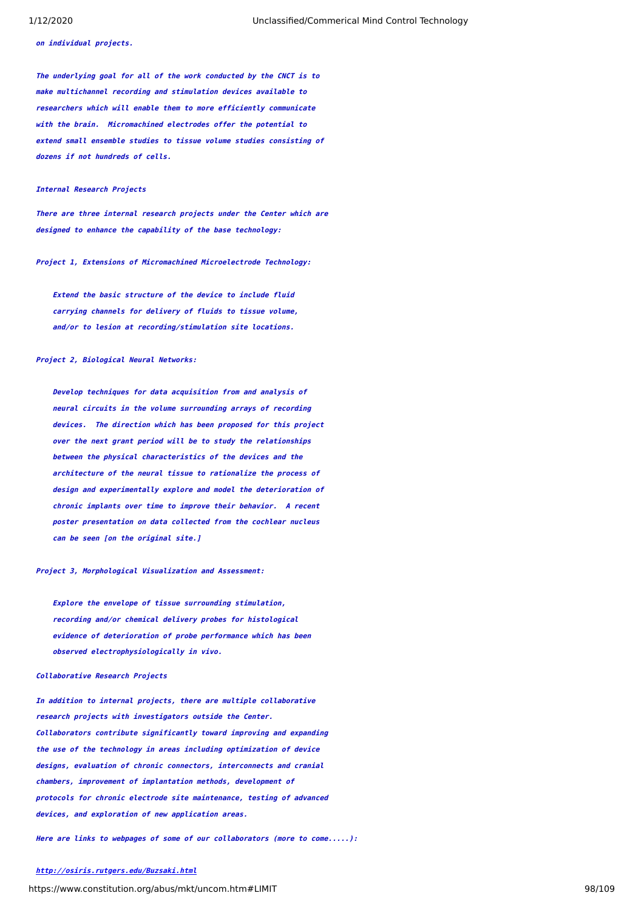**on individual projects.**

**The underlying goal for all of the work conducted by the CNCT is to make multichannel recording and stimulation devices available to researchers which will enable them to more efficiently communicate with the brain. Micromachined electrodes offer the potential to extend small ensemble studies to tissue volume studies consisting of dozens if not hundreds of cells.**

### **Internal Research Projects**

**There are three internal research projects under the Center which are designed to enhance the capability of the base technology:**

**Project 1, Extensions of Micromachined Microelectrode Technology:**

 **Extend the basic structure of the device to include fluid carrying channels for delivery of fluids to tissue volume, and/or to lesion at recording/stimulation site locations.**

## **Project 2, Biological Neural Networks:**

 **Develop techniques for data acquisition from and analysis of neural circuits in the volume surrounding arrays of recording devices. The direction which has been proposed for this project over the next grant period will be to study the relationships between the physical characteristics of the devices and the architecture of the neural tissue to rationalize the process of design and experimentally explore and model the deterioration of chronic implants over time to improve their behavior. A recent poster presentation on data collected from the cochlear nucleus can be seen [on the original site.]**

## **Project 3, Morphological Visualization and Assessment:**

 **Explore the envelope of tissue surrounding stimulation, recording and/or chemical delivery probes for histological evidence of deterioration of probe performance which has been observed electrophysiologically in vivo.**

#### **Collaborative Research Projects**

**In addition to internal projects, there are multiple collaborative research projects with investigators outside the Center. Collaborators contribute significantly toward improving and expanding the use of the technology in areas including optimization of device designs, evaluation of chronic connectors, interconnects and cranial chambers, improvement of implantation methods, development of protocols for chronic electrode site maintenance, testing of advanced devices, and exploration of new application areas.**

**Here are links to webpages of some of our collaborators (more to come.....):**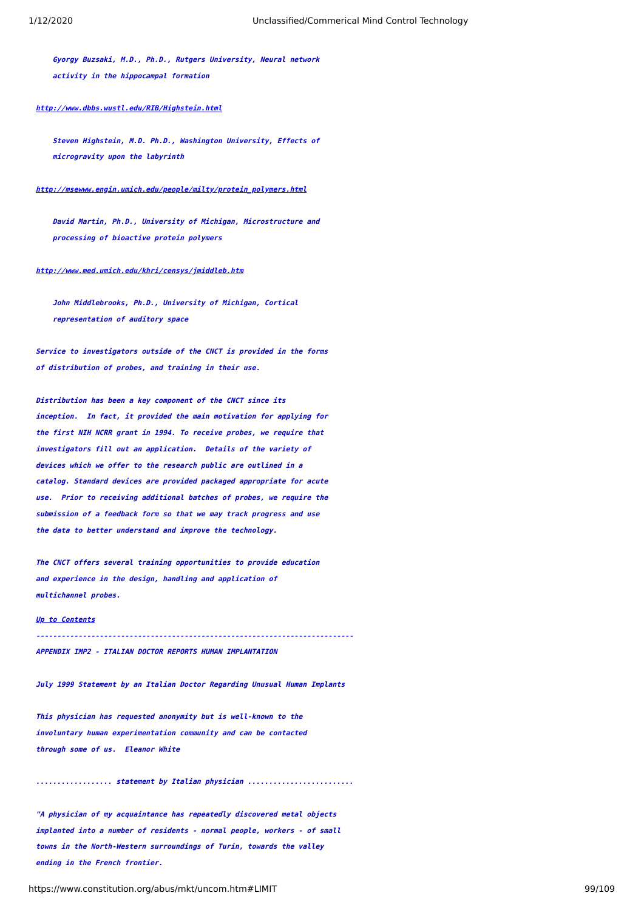**Gyorgy Buzsaki, M.D., Ph.D., Rutgers University, Neural network activity in the hippocampal formation**

### **<http://www.dbbs.wustl.edu/RIB/Highstein.html>**

 **Steven Highstein, M.D. Ph.D., Washington University, Effects of microgravity upon the labyrinth**

## **[http://msewww.engin.umich.edu/people/milty/protein\\_polymers.html](http://msewww.engin.umich.edu/people/milty/protein_polymers.html)**

 **David Martin, Ph.D., University of Michigan, Microstructure and processing of bioactive protein polymers**

### **<http://www.med.umich.edu/khri/censys/jmiddleb.htm>**

 **John Middlebrooks, Ph.D., University of Michigan, Cortical representation of auditory space**

**Service to investigators outside of the CNCT is provided in the forms of distribution of probes, and training in their use.**

**Distribution has been a key component of the CNCT since its inception. In fact, it provided the main motivation for applying for the first NIH NCRR grant in 1994. To receive probes, we require that investigators fill out an application. Details of the variety of devices which we offer to the research public are outlined in a catalog. Standard devices are provided packaged appropriate for acute use. Prior to receiving additional batches of probes, we require the submission of a feedback form so that we may track progress and use the data to better understand and improve the technology.**

**The CNCT offers several training opportunities to provide education and experience in the design, handling and application of multichannel probes.**

## **[Up to Contents](#page-2-0)**

**---------------------------------------------------------------------------**

**APPENDIX IMP2 - ITALIAN DOCTOR REPORTS HUMAN IMPLANTATION**

**July 1999 Statement by an Italian Doctor Regarding Unusual Human Implants**

**This physician has requested anonymity but is well-known to the involuntary human experimentation community and can be contacted through some of us. Eleanor White**

**.................. statement by Italian physician .........................**

**"A physician of my acquaintance has repeatedly discovered metal objects implanted into a number of residents - normal people, workers - of small towns in the North-Western surroundings of Turin, towards the valley ending in the French frontier.**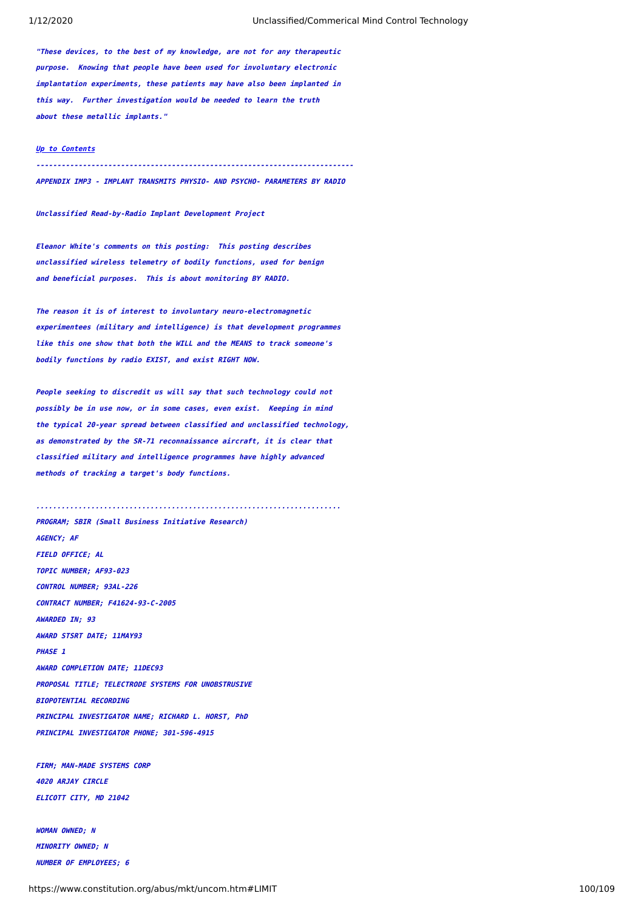**"These devices, to the best of my knowledge, are not for any therapeutic purpose. Knowing that people have been used for involuntary electronic implantation experiments, these patients may have also been implanted in this way. Further investigation would be needed to learn the truth about these metallic implants."**

# **[Up to Contents](#page-2-0)**

**---------------------------------------------------------------------------**

**APPENDIX IMP3 - IMPLANT TRANSMITS PHYSIO- AND PSYCHO- PARAMETERS BY RADIO**

**Unclassified Read-by-Radio Implant Development Project**

**Eleanor White's comments on this posting: This posting describes unclassified wireless telemetry of bodily functions, used for benign and beneficial purposes. This is about monitoring BY RADIO.**

**The reason it is of interest to involuntary neuro-electromagnetic experimentees (military and intelligence) is that development programmes like this one show that both the WILL and the MEANS to track someone's bodily functions by radio EXIST, and exist RIGHT NOW.**

**People seeking to discredit us will say that such technology could not possibly be in use now, or in some cases, even exist. Keeping in mind the typical 20-year spread between classified and unclassified technology, as demonstrated by the SR-71 reconnaissance aircraft, it is clear that classified military and intelligence programmes have highly advanced methods of tracking a target's body functions.**

**........................................................................ PROGRAM; SBIR (Small Business Initiative Research) AGENCY; AF FIELD OFFICE; AL TOPIC NUMBER; AF93-023 CONTROL NUMBER; 93AL-226 CONTRACT NUMBER; F41624-93-C-2005 AWARDED IN; 93 AWARD STSRT DATE; 11MAY93 PHASE 1 AWARD COMPLETION DATE; 11DEC93 PROPOSAL TITLE; TELECTRODE SYSTEMS FOR UNOBSTRUSIVE BIOPOTENTIAL RECORDING PRINCIPAL INVESTIGATOR NAME; RICHARD L. HORST, PhD PRINCIPAL INVESTIGATOR PHONE; 301-596-4915**

**FIRM; MAN-MADE SYSTEMS CORP 4020 ARJAY CIRCLE ELICOTT CITY, MD 21042**

**WOMAN OWNED; N MINORITY OWNED; N NUMBER OF EMPLOYEES; 6**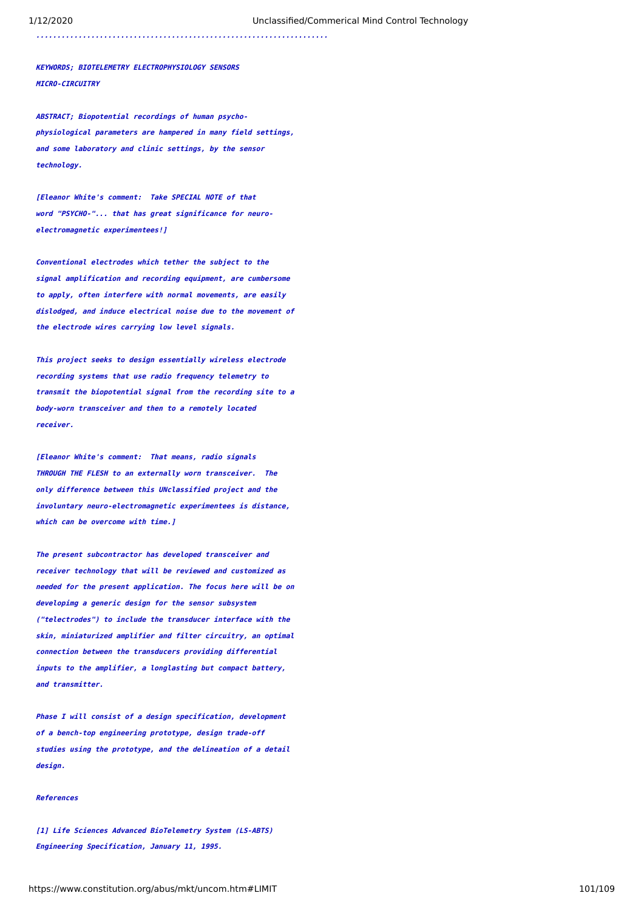**.....................................................................**

**KEYWORDS; BIOTELEMETRY ELECTROPHYSIOLOGY SENSORS MICRO-CIRCUITRY**

**ABSTRACT; Biopotential recordings of human psychophysiological parameters are hampered in many field settings, and some laboratory and clinic settings, by the sensor technology.**

**[Eleanor White's comment: Take SPECIAL NOTE of that word "PSYCHO-"... that has great significance for neuroelectromagnetic experimentees!]**

**Conventional electrodes which tether the subject to the signal amplification and recording equipment, are cumbersome to apply, often interfere with normal movements, are easily dislodged, and induce electrical noise due to the movement of the electrode wires carrying low level signals.**

**This project seeks to design essentially wireless electrode recording systems that use radio frequency telemetry to transmit the biopotential signal from the recording site to a body-worn transceiver and then to a remotely located receiver.**

**[Eleanor White's comment: That means, radio signals THROUGH THE FLESH to an externally worn transceiver. The only difference between this UNclassified project and the involuntary neuro-electromagnetic experimentees is distance, which can be overcome with time.]**

**The present subcontractor has developed transceiver and receiver technology that will be reviewed and customized as needed for the present application. The focus here will be on developimg a generic design for the sensor subsystem ("telectrodes") to include the transducer interface with the skin, miniaturized amplifier and filter circuitry, an optimal connection between the transducers providing differential inputs to the amplifier, a longlasting but compact battery, and transmitter.**

**Phase I will consist of a design specification, development of a bench-top engineering prototype, design trade-off studies using the prototype, and the delineation of a detail design.**

# **References**

**[1] Life Sciences Advanced BioTelemetry System (LS-ABTS) Engineering Specification, January 11, 1995.**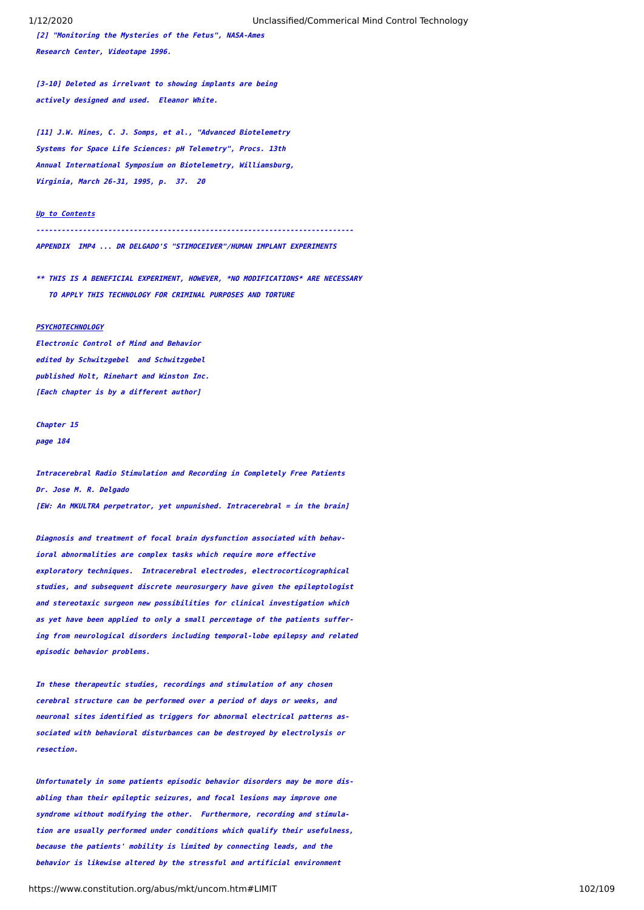**[2] "Monitoring the Mysteries of the Fetus", NASA-Ames Research Center, Videotape 1996.**

**[3-10] Deleted as irrelvant to showing implants are being actively designed and used. Eleanor White.**

**[11] J.W. Hines, C. J. Somps, et al., "Advanced Biotelemetry Systems for Space Life Sciences: pH Telemetry", Procs. 13th Annual International Symposium on Biotelemetry, Williamsburg, Virginia, March 26-31, 1995, p. 37. 20**

#### **[Up to Contents](#page-2-0)**

**---------------------------------------------------------------------------APPENDIX IMP4 ... DR DELGADO'S "STIMOCEIVER"/HUMAN IMPLANT EXPERIMENTS**

**\*\* THIS IS A BENEFICIAL EXPERIMENT, HOWEVER, \*NO MODIFICATIONS\* ARE NECESSARY TO APPLY THIS TECHNOLOGY FOR CRIMINAL PURPOSES AND TORTURE**

#### **PSYCHOTECHNOLOGY**

**Electronic Control of Mind and Behavior edited by Schwitzgebel and Schwitzgebel published Holt, Rinehart and Winston Inc. [Each chapter is by a different author]**

# **Chapter 15 page 184**

**Intracerebral Radio Stimulation and Recording in Completely Free Patients Dr. Jose M. R. Delgado [EW: An MKULTRA perpetrator, yet unpunished. Intracerebral = in the brain]**

**Diagnosis and treatment of focal brain dysfunction associated with behavioral abnormalities are complex tasks which require more effective exploratory techniques. Intracerebral electrodes, electrocorticographical studies, and subsequent discrete neurosurgery have given the epileptologist and stereotaxic surgeon new possibilities for clinical investigation which as yet have been applied to only a small percentage of the patients suffering from neurological disorders including temporal-lobe epilepsy and related episodic behavior problems.**

**In these therapeutic studies, recordings and stimulation of any chosen cerebral structure can be performed over a period of days or weeks, and neuronal sites identified as triggers for abnormal electrical patterns associated with behavioral disturbances can be destroyed by electrolysis or resection.**

**Unfortunately in some patients episodic behavior disorders may be more disabling than their epileptic seizures, and focal lesions may improve one syndrome without modifying the other. Furthermore, recording and stimulation are usually performed under conditions which qualify their usefulness, because the patients' mobility is limited by connecting leads, and the behavior is likewise altered by the stressful and artificial environment**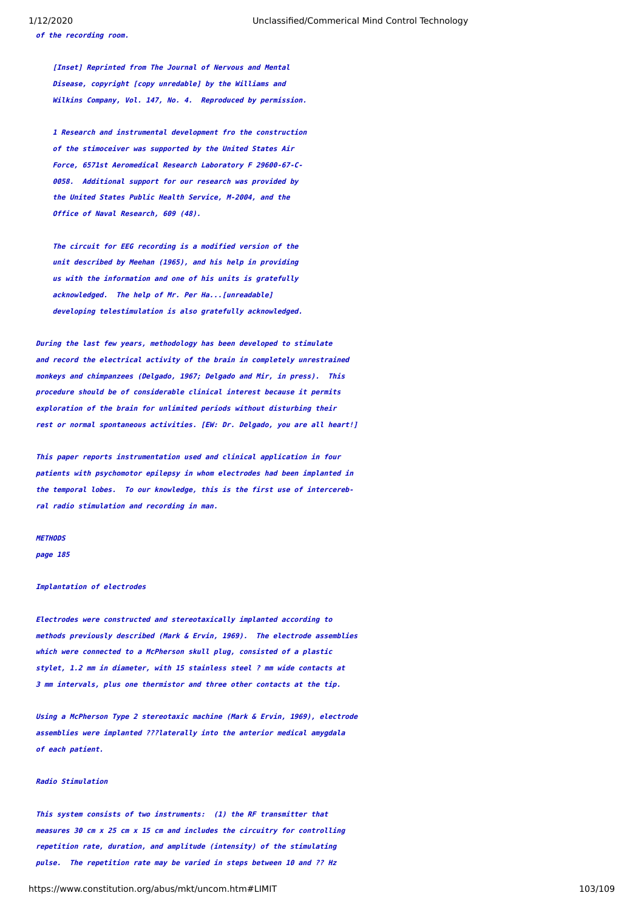**[Inset] Reprinted from The Journal of Nervous and Mental Disease, copyright [copy unredable] by the Williams and Wilkins Company, Vol. 147, No. 4. Reproduced by permission.**

 **1 Research and instrumental development fro the construction of the stimoceiver was supported by the United States Air Force, 6571st Aeromedical Research Laboratory F 29600-67-C- 0058. Additional support for our research was provided by the United States Public Health Service, M-2004, and the Office of Naval Research, 609 (48).**

 **The circuit for EEG recording is a modified version of the unit described by Meehan (1965), and his help in providing us with the information and one of his units is gratefully acknowledged. The help of Mr. Per Ha...[unreadable] developing telestimulation is also gratefully acknowledged.**

**During the last few years, methodology has been developed to stimulate and record the electrical activity of the brain in completely unrestrained monkeys and chimpanzees (Delgado, 1967; Delgado and Mir, in press). This procedure should be of considerable clinical interest because it permits exploration of the brain for unlimited periods without disturbing their rest or normal spontaneous activities. [EW: Dr. Delgado, you are all heart!]**

**This paper reports instrumentation used and clinical application in four patients with psychomotor epilepsy in whom electrodes had been implanted in the temporal lobes. To our knowledge, this is the first use of intercerebral radio stimulation and recording in man.**

# **METHODS**

**page 185**

#### **Implantation of electrodes**

**Electrodes were constructed and stereotaxically implanted according to methods previously described (Mark & Ervin, 1969). The electrode assemblies which were connected to a McPherson skull plug, consisted of a plastic stylet, 1.2 mm in diameter, with 15 stainless steel ? mm wide contacts at 3 mm intervals, plus one thermistor and three other contacts at the tip.**

**Using a McPherson Type 2 stereotaxic machine (Mark & Ervin, 1969), electrode assemblies were implanted ???laterally into the anterior medical amygdala of each patient.**

#### **Radio Stimulation**

**This system consists of two instruments: (1) the RF transmitter that measures 30 cm x 25 cm x 15 cm and includes the circuitry for controlling repetition rate, duration, and amplitude (intensity) of the stimulating pulse. The repetition rate may be varied in steps between 10 and ?? Hz**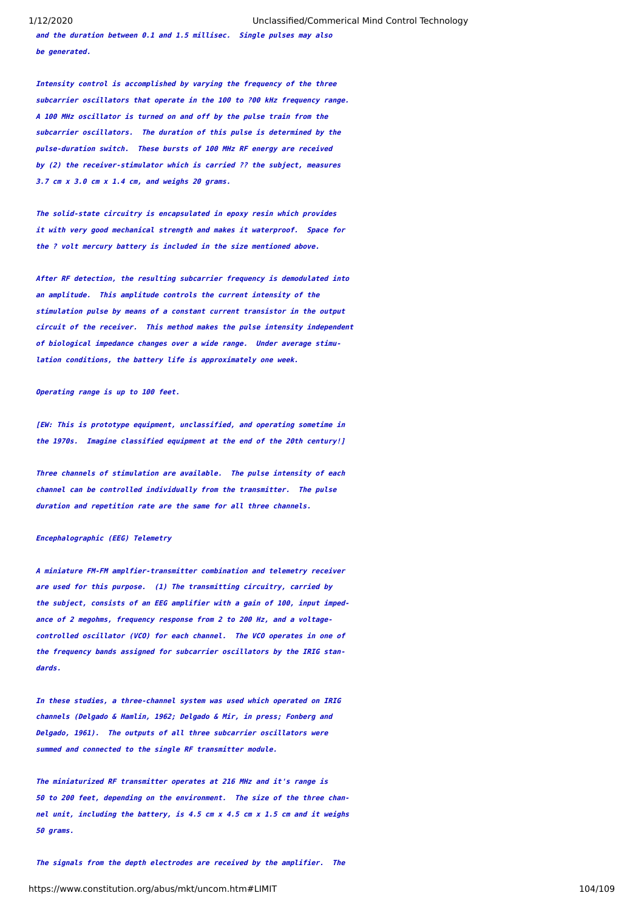**and the duration between 0.1 and 1.5 millisec. Single pulses may also be generated.**

**Intensity control is accomplished by varying the frequency of the three subcarrier oscillators that operate in the 100 to ?00 kHz frequency range. A 100 MHz oscillator is turned on and off by the pulse train from the subcarrier oscillators. The duration of this pulse is determined by the pulse-duration switch. These bursts of 100 MHz RF energy are received by (2) the receiver-stimulator which is carried ?? the subject, measures 3.7 cm x 3.0 cm x 1.4 cm, and weighs 20 grams.**

**The solid-state circuitry is encapsulated in epoxy resin which provides it with very good mechanical strength and makes it waterproof. Space for the ? volt mercury battery is included in the size mentioned above.**

**After RF detection, the resulting subcarrier frequency is demodulated into an amplitude. This amplitude controls the current intensity of the stimulation pulse by means of a constant current transistor in the output circuit of the receiver. This method makes the pulse intensity independent of biological impedance changes over a wide range. Under average stimulation conditions, the battery life is approximately one week.**

**Operating range is up to 100 feet.**

**[EW: This is prototype equipment, unclassified, and operating sometime in the 1970s. Imagine classified equipment at the end of the 20th century!]**

**Three channels of stimulation are available. The pulse intensity of each channel can be controlled individually from the transmitter. The pulse duration and repetition rate are the same for all three channels.**

## **Encephalographic (EEG) Telemetry**

**A miniature FM-FM amplfier-transmitter combination and telemetry receiver are used for this purpose. (1) The transmitting circuitry, carried by the subject, consists of an EEG amplifier with a gain of 100, input impedance of 2 megohms, frequency response from 2 to 200 Hz, and a voltagecontrolled oscillator (VCO) for each channel. The VCO operates in one of the frequency bands assigned for subcarrier oscillators by the IRIG standards.**

**In these studies, a three-channel system was used which operated on IRIG channels (Delgado & Hamlin, 1962; Delgado & Mir, in press; Fonberg and Delgado, 1961). The outputs of all three subcarrier oscillators were summed and connected to the single RF transmitter module.**

**The miniaturized RF transmitter operates at 216 MHz and it's range is 50 to 200 feet, depending on the environment. The size of the three channel unit, including the battery, is 4.5 cm x 4.5 cm x 1.5 cm and it weighs 50 grams.**

**The signals from the depth electrodes are received by the amplifier. The**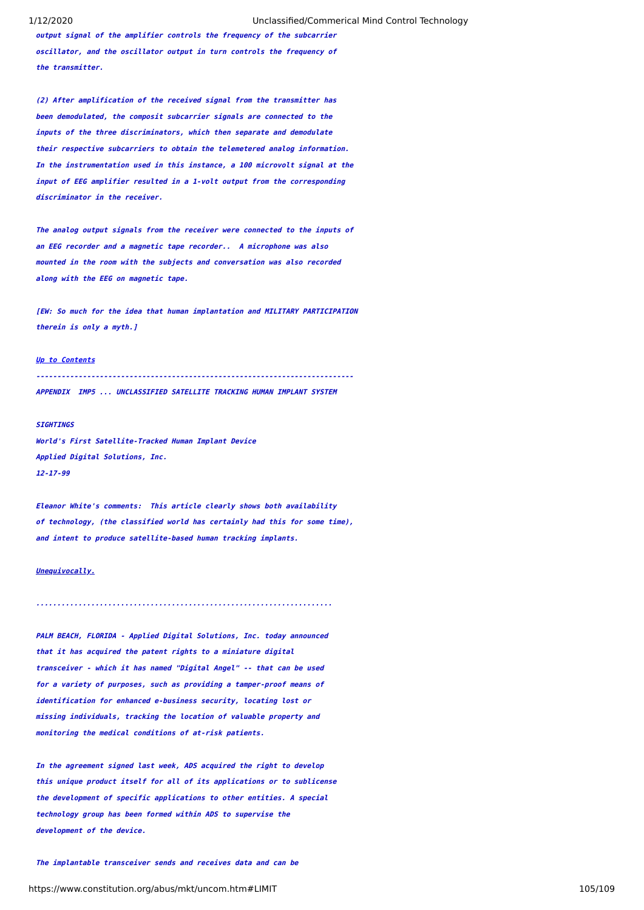**output signal of the amplifier controls the frequency of the subcarrier oscillator, and the oscillator output in turn controls the frequency of the transmitter.**

**(2) After amplification of the received signal from the transmitter has been demodulated, the composit subcarrier signals are connected to the inputs of the three discriminators, which then separate and demodulate their respective subcarriers to obtain the telemetered analog information. In the instrumentation used in this instance, a 100 microvolt signal at the input of EEG amplifier resulted in a 1-volt output from the corresponding discriminator in the receiver.**

**The analog output signals from the receiver were connected to the inputs of an EEG recorder and a magnetic tape recorder.. A microphone was also mounted in the room with the subjects and conversation was also recorded along with the EEG on magnetic tape.**

**[EW: So much for the idea that human implantation and MILITARY PARTICIPATION therein is only a myth.]**

### **[Up to Contents](#page-2-0)**

**---------------------------------------------------------------------------**

**APPENDIX IMP5 ... UNCLASSIFIED SATELLITE TRACKING HUMAN IMPLANT SYSTEM**

### **SIGHTINGS**

**World's First Satellite-Tracked Human Implant Device Applied Digital Solutions, Inc. 12-17-99**

**Eleanor White's comments: This article clearly shows both availability of technology, (the classified world has certainly had this for some time), and intent to produce satellite-based human tracking implants.**

### **Unequivocally.**

**PALM BEACH, FLORIDA - Applied Digital Solutions, Inc. today announced that it has acquired the patent rights to a miniature digital transceiver - which it has named "Digital Angel" -- that can be used for a variety of purposes, such as providing a tamper-proof means of identification for enhanced e-business security, locating lost or missing individuals, tracking the location of valuable property and monitoring the medical conditions of at-risk patients.**

**......................................................................**

**In the agreement signed last week, ADS acquired the right to develop this unique product itself for all of its applications or to sublicense the development of specific applications to other entities. A special technology group has been formed within ADS to supervise the development of the device.**

**The implantable transceiver sends and receives data and can be**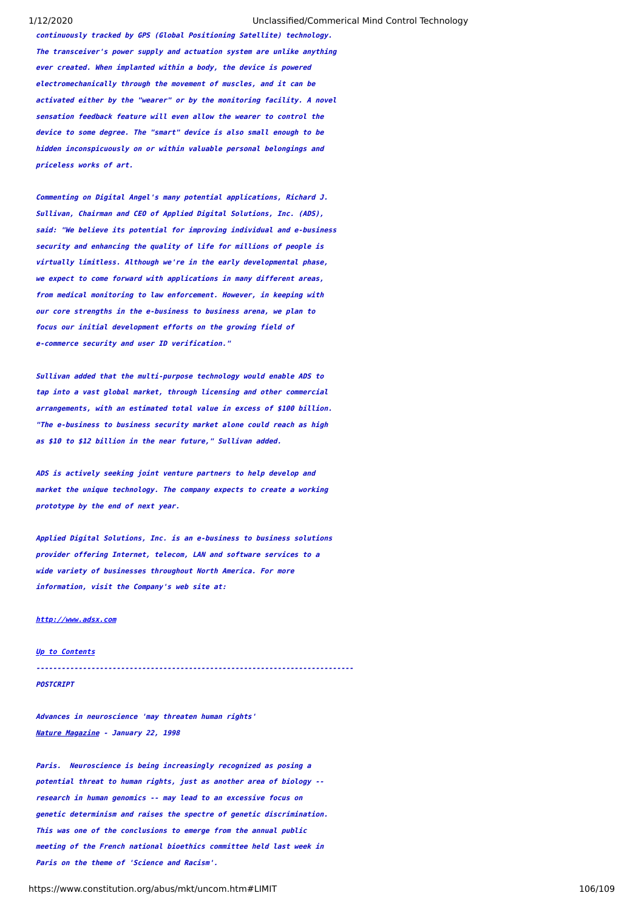**continuously tracked by GPS (Global Positioning Satellite) technology. The transceiver's power supply and actuation system are unlike anything ever created. When implanted within a body, the device is powered electromechanically through the movement of muscles, and it can be activated either by the "wearer" or by the monitoring facility. A novel sensation feedback feature will even allow the wearer to control the device to some degree. The "smart" device is also small enough to be hidden inconspicuously on or within valuable personal belongings and priceless works of art.**

**Commenting on Digital Angel's many potential applications, Richard J. Sullivan, Chairman and CEO of Applied Digital Solutions, Inc. (ADS), said: "We believe its potential for improving individual and e-business security and enhancing the quality of life for millions of people is virtually limitless. Although we're in the early developmental phase, we expect to come forward with applications in many different areas, from medical monitoring to law enforcement. However, in keeping with our core strengths in the e-business to business arena, we plan to focus our initial development efforts on the growing field of e-commerce security and user ID verification."**

**Sullivan added that the multi-purpose technology would enable ADS to tap into a vast global market, through licensing and other commercial arrangements, with an estimated total value in excess of \$100 billion. "The e-business to business security market alone could reach as high as \$10 to \$12 billion in the near future," Sullivan added.**

**ADS is actively seeking joint venture partners to help develop and market the unique technology. The company expects to create a working prototype by the end of next year.**

**Applied Digital Solutions, Inc. is an e-business to business solutions provider offering Internet, telecom, LAN and software services to a wide variety of businesses throughout North America. For more information, visit the Company's web site at:**

## **[http://www.adsx.com](http://www.adsx.com/)**

**[Up to Contents](#page-2-0) ---------------------------------------------------------------------------POSTCRIPT**

**Advances in neuroscience 'may threaten human rights' Nature Magazine - January 22, 1998**

**Paris. Neuroscience is being increasingly recognized as posing a potential threat to human rights, just as another area of biology - research in human genomics -- may lead to an excessive focus on genetic determinism and raises the spectre of genetic discrimination. This was one of the conclusions to emerge from the annual public meeting of the French national bioethics committee held last week in Paris on the theme of 'Science and Racism'.**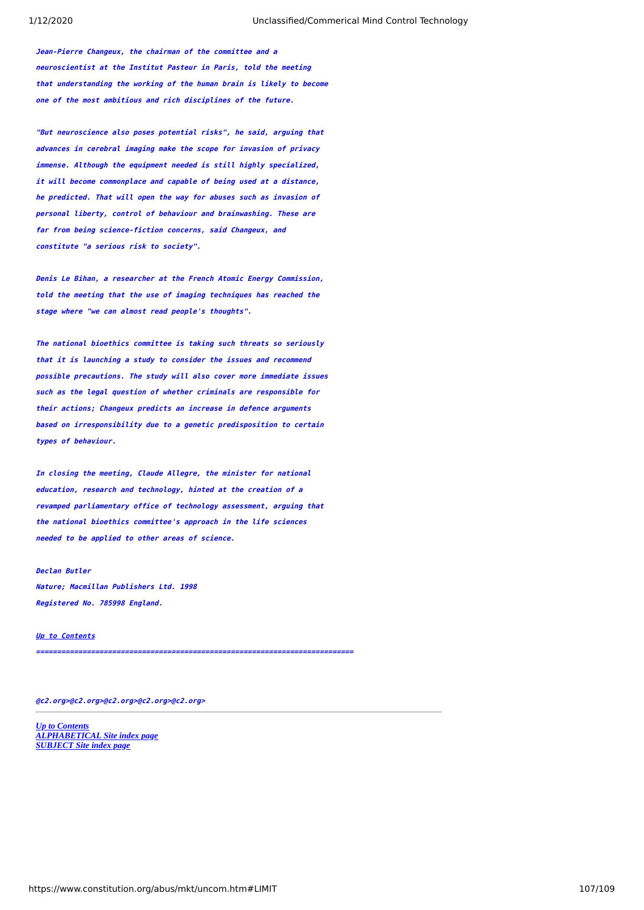**Jean-Pierre Changeux, the chairman of the committee and a neuroscientist at the Institut Pasteur in Paris, told the meeting that understanding the working of the human brain is likely to become one of the most ambitious and rich disciplines of the future.**

**"But neuroscience also poses potential risks", he said, arguing that advances in cerebral imaging make the scope for invasion of privacy immense. Although the equipment needed is still highly specialized, it will become commonplace and capable of being used at a distance, he predicted. That will open the way for abuses such as invasion of personal liberty, control of behaviour and brainwashing. These are far from being science-fiction concerns, said Changeux, and constitute "a serious risk to society".**

**Denis Le Bihan, a researcher at the French Atomic Energy Commission, told the meeting that the use of imaging techniques has reached the stage where "we can almost read people's thoughts".**

**The national bioethics committee is taking such threats so seriously that it is launching a study to consider the issues and recommend possible precautions. The study will also cover more immediate issues such as the legal question of whether criminals are responsible for their actions; Changeux predicts an increase in defence arguments based on irresponsibility due to a genetic predisposition to certain types of behaviour.**

**In closing the meeting, Claude Allegre, the minister for national education, research and technology, hinted at the creation of a revamped parliamentary office of technology assessment, arguing that the national bioethics committee's approach in the life sciences needed to be applied to other areas of science.**

**Declan Butler Nature; Macmillan Publishers Ltd. 1998 Registered No. 785998 England.**

**[Up to Contents](#page-2-0) ===========================================================================**

**@c2.org>@c2.org>@c2.org>@c2.org>@c2.org>**

*[Up to Contents](#page-2-0) [ALPHABETICAL Site index page](https://www.constitution.org/abus/mkt/ravindex.htm) [SUBJECT Site index page](https://www.constitution.org/abus/mkt/ravindex.htm)*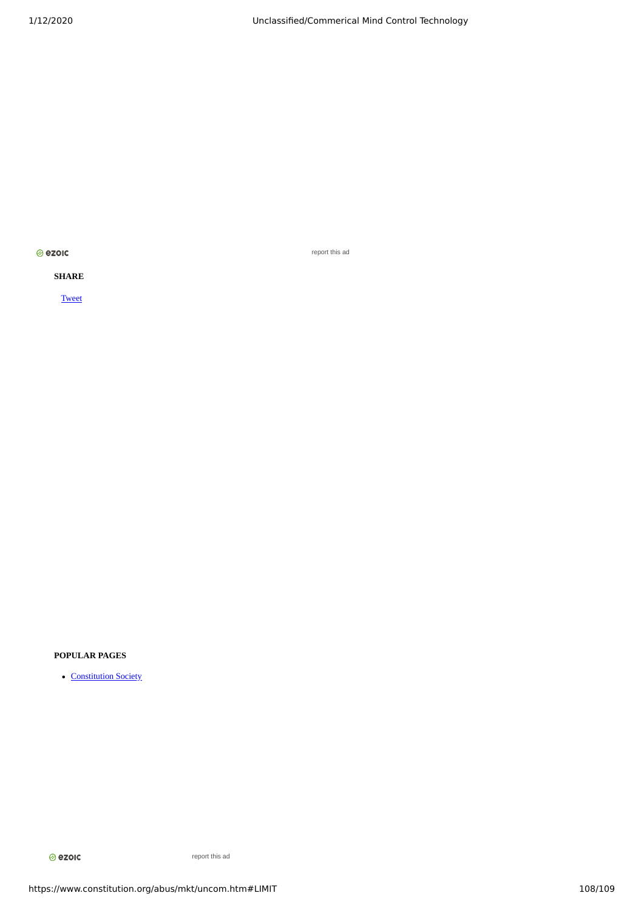<mark>⊘ ezoıc</mark>

report this ad

# **SHARE**

**[Tweet](https://twitter.com/share)** 

# **POPULAR PAGES**

• [Constitution Society](https://www.constitution.org/)

**⊘**ezoic